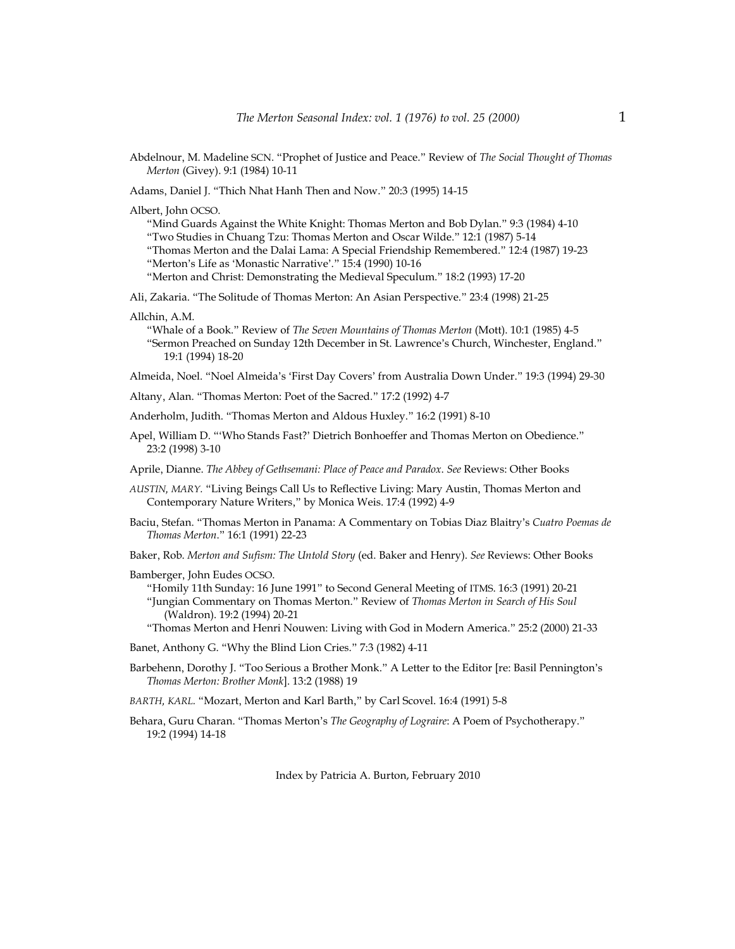- Abdelnour, M. Madeline SCN. "Prophet of Justice and Peace." Review of *The Social Thought of Thomas Merton* (Givey). 9:1 (1984) 10-11
- Adams, Daniel J. "Thich Nhat Hanh Then and Now." 20:3 (1995) 14-15

Albert, John OCSO.

"Mind Guards Against the White Knight: Thomas Merton and Bob Dylan." 9:3 (1984) 4-10 "Two Studies in Chuang Tzu: Thomas Merton and Oscar Wilde." 12:1 (1987) 5-14

"Thomas Merton and the Dalai Lama: A Special Friendship Remembered." 12:4 (1987) 19-23 "Merton's Life as 'Monastic Narrative'." 15:4 (1990) 10-16

"Merton and Christ: Demonstrating the Medieval Speculum." 18:2 (1993) 17-20

Ali, Zakaria. "The Solitude of Thomas Merton: An Asian Perspective." 23:4 (1998) 21-25

#### Allchin, A.M.

"Whale of a Book." Review of *The Seven Mountains of Thomas Merton* (Mott). 10:1 (1985) 4-5 "Sermon Preached on Sunday 12th December in St. Lawrence's Church, Winchester, England." 19:1 (1994) 18-20

Almeida, Noel. "Noel Almeida's 'First Day Covers' from Australia Down Under." 19:3 (1994) 29-30

Altany, Alan. "Thomas Merton: Poet of the Sacred." 17:2 (1992) 4-7

Anderholm, Judith. "Thomas Merton and Aldous Huxley." 16:2 (1991) 8-10

Apel, William D. "'Who Stands Fast?' Dietrich Bonhoeffer and Thomas Merton on Obedience." 23:2 (1998) 3-10

Aprile, Dianne. *The Abbey of Gethsemani: Place of Peace and Paradox*. *See* Reviews: Other Books

- *AUSTIN, MARY.* "Living Beings Call Us to Reflective Living: Mary Austin, Thomas Merton and Contemporary Nature Writers," by Monica Weis. 17:4 (1992) 4-9
- Baciu, Stefan. "Thomas Merton in Panama: A Commentary on Tobias Diaz Blaitry's *Cuatro Poemas de Thomas Merton*." 16:1 (1991) 22-23
- Baker, Rob. *Merton and Sufism: The Untold Story* (ed. Baker and Henry). *See* Reviews: Other Books
- Bamberger, John Eudes OCSO.

"Homily 11th Sunday: 16 June 1991" to Second General Meeting of ITMS. 16:3 (1991) 20-21 "Jungian Commentary on Thomas Merton." Review of *Thomas Merton in Search of His Soul* (Waldron). 19:2 (1994) 20-21

"Thomas Merton and Henri Nouwen: Living with God in Modern America." 25:2 (2000) 21-33

- Banet, Anthony G. "Why the Blind Lion Cries." 7:3 (1982) 4-11
- Barbehenn, Dorothy J. "Too Serious a Brother Monk." A Letter to the Editor [re: Basil Pennington's *Thomas Merton: Brother Monk*]. 13:2 (1988) 19
- *BARTH, KARL.* "Mozart, Merton and Karl Barth," by Carl Scovel. 16:4 (1991) 5-8
- Behara, Guru Charan. "Thomas Merton's *The Geography of Lograire*: A Poem of Psychotherapy." 19:2 (1994) 14-18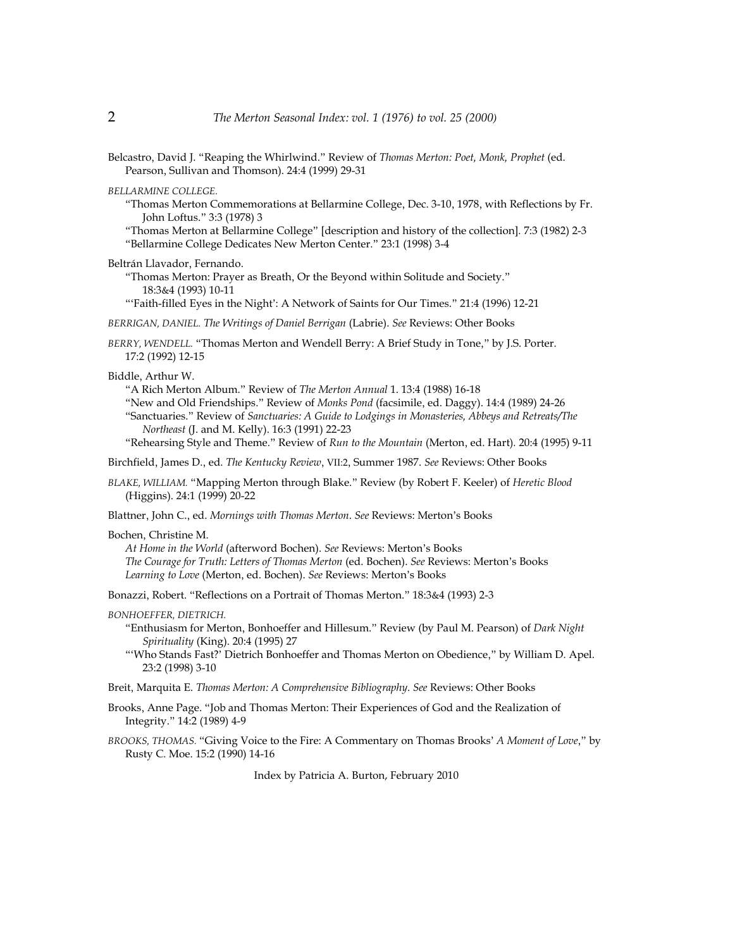Belcastro, David J. "Reaping the Whirlwind." Review of *Thomas Merton: Poet, Monk, Prophet* (ed. Pearson, Sullivan and Thomson). 24:4 (1999) 29-31

*BELLARMINE COLLEGE.*

"Thomas Merton Commemorations at Bellarmine College, Dec. 3-10, 1978, with Reflections by Fr. John Loftus." 3:3 (1978) 3

"Thomas Merton at Bellarmine College" [description and history of the collection]*.* 7:3 (1982) 2-3 "Bellarmine College Dedicates New Merton Center." 23:1 (1998) 3-4

Beltrán Llavador, Fernando.

"Thomas Merton: Prayer as Breath, Or the Beyond within Solitude and Society." 18:3&4 (1993) 10-11

"'Faith-filled Eyes in the Night': A Network of Saints for Our Times." 21:4 (1996) 12-21

*BERRIGAN, DANIEL. The Writings of Daniel Berrigan* (Labrie). *See* Reviews: Other Books

*BERRY, WENDELL.* "Thomas Merton and Wendell Berry: A Brief Study in Tone," by J.S. Porter. 17:2 (1992) 12-15

Biddle, Arthur W.

"A Rich Merton Album." Review of *The Merton Annual* 1. 13:4 (1988) 16-18 "New and Old Friendships." Review of *Monks Pond* (facsimile, ed. Daggy). 14:4 (1989) 24-26 "Sanctuaries." Review of *Sanctuaries: A Guide to Lodgings in Monasteries, Abbeys and Retreats/The Northeast* (J. and M. Kelly). 16:3 (1991) 22-23

"Rehearsing Style and Theme." Review of *Run to the Mountain* (Merton, ed. Hart)*.* 20:4 (1995) 9-11

Birchfield, James D., ed. *The Kentucky Review*, VII:2, Summer 1987. *See* Reviews: Other Books

*BLAKE, WILLIAM.* "Mapping Merton through Blake." Review (by Robert F. Keeler) of *Heretic Blood* (Higgins). 24:1 (1999) 20-22

Blattner, John C., ed. *Mornings with Thomas Merton*. *See* Reviews: Merton's Books

Bochen, Christine M.

*At Home in the World* (afterword Bochen). *See* Reviews: Merton's Books *The Courage for Truth: Letters of Thomas Merton* (ed. Bochen). *See* Reviews: Merton's Books *Learning to Love* (Merton, ed. Bochen). *See* Reviews: Merton's Books

Bonazzi, Robert. "Reflections on a Portrait of Thomas Merton." 18:3&4 (1993) 2-3

# *BONHOEFFER, DIETRICH.*

- "Enthusiasm for Merton, Bonhoeffer and Hillesum." Review (by Paul M. Pearson) of *Dark Night Spirituality* (King). 20:4 (1995) 27
- "'Who Stands Fast?' Dietrich Bonhoeffer and Thomas Merton on Obedience," by William D. Apel. 23:2 (1998) 3-10

Breit, Marquita E. *Thomas Merton: A Comprehensive Bibliography*. *See* Reviews: Other Books

Brooks, Anne Page. "Job and Thomas Merton: Their Experiences of God and the Realization of Integrity." 14:2 (1989) 4-9

*BROOKS, THOMAS.* "Giving Voice to the Fire: A Commentary on Thomas Brooks' *A Moment of Love*," by Rusty C. Moe. 15:2 (1990) 14-16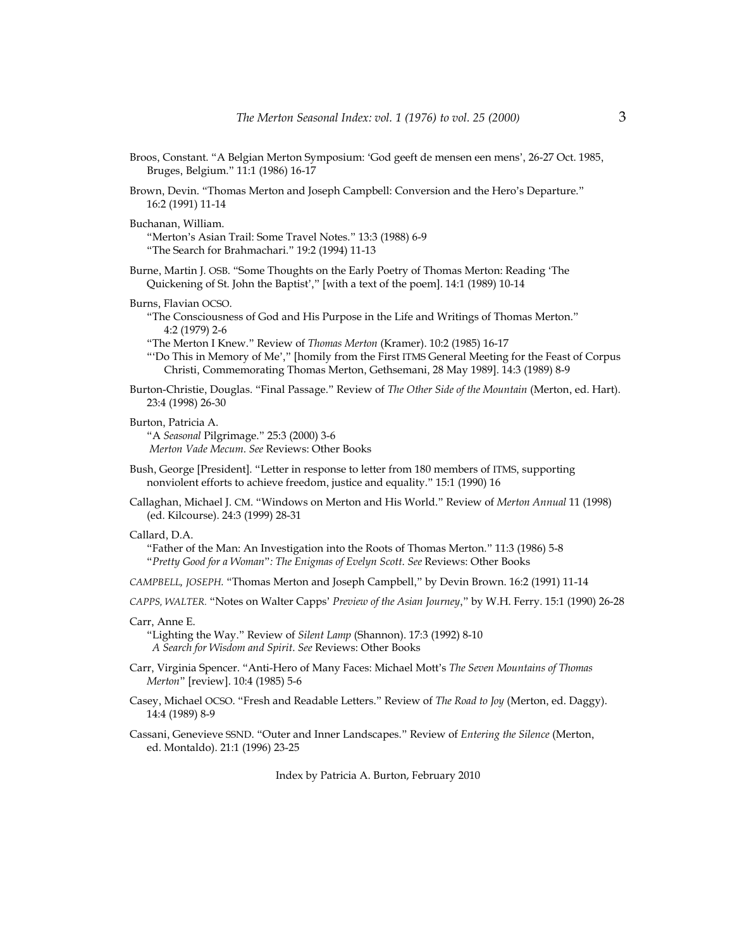- Broos, Constant. "A Belgian Merton Symposium: 'God geeft de mensen een mens', 26-27 Oct. 1985, Bruges, Belgium." 11:1 (1986) 16-17
- Brown, Devin. "Thomas Merton and Joseph Campbell: Conversion and the Hero's Departure." 16:2 (1991) 11-14

#### Buchanan, William.

"Merton's Asian Trail: Some Travel Notes." 13:3 (1988) 6-9 "The Search for Brahmachari." 19:2 (1994) 11-13

Burne, Martin J*.* OSB. "Some Thoughts on the Early Poetry of Thomas Merton: Reading 'The Quickening of St. John the Baptist'," [with a text of the poem]. 14:1 (1989) 10-14

#### Burns, Flavian OCSO.

"The Consciousness of God and His Purpose in the Life and Writings of Thomas Merton." 4:2 (1979) 2-6

"The Merton I Knew." Review of *Thomas Merton* (Kramer). 10:2 (1985) 16-17

- "'Do This in Memory of Me'," [homily from the First ITMS General Meeting for the Feast of Corpus Christi, Commemorating Thomas Merton, Gethsemani, 28 May 1989]. 14:3 (1989) 8-9
- Burton-Christie, Douglas. "Final Passage." Review of *The Other Side of the Mountain* (Merton, ed. Hart). 23:4 (1998) 26-30

#### Burton, Patricia A.

"A *Seasonal* Pilgrimage." 25:3 (2000) 3-6  *Merton Vade Mecum*. *See* Reviews: Other Books

- Bush, George [President]. "Letter in response to letter from 180 members of ITMS, supporting nonviolent efforts to achieve freedom, justice and equality." 15:1 (1990) 16
- Callaghan, Michael J. CM. "Windows on Merton and His World." Review of *Merton Annual* 11 (1998) (ed. Kilcourse). 24:3 (1999) 28-31

## Callard, D.A.

"Father of the Man: An Investigation into the Roots of Thomas Merton." 11:3 (1986) 5-8 "*Pretty Good for a Woman*"*: The Enigmas of Evelyn Scott*. *See* Reviews: Other Books

- *CAMPBELL, JOSEPH.* "Thomas Merton and Joseph Campbell," by Devin Brown. 16:2 (1991) 11-14
- *CAPPS, WALTER.* "Notes on Walter Capps' *Preview of the Asian Journey*," by W.H. Ferry. 15:1 (1990) 26-28

## Carr, Anne E.

"Lighting the Way." Review of *Silent Lamp* (Shannon). 17:3 (1992) 8-10  *A Search for Wisdom and Spirit*. *See* Reviews: Other Books

- Carr, Virginia Spencer. "Anti-Hero of Many Faces: Michael Mott's *The Seven Mountains of Thomas Merton*" [review]. 10:4 (1985) 5-6
- Casey, Michael OCSO. "Fresh and Readable Letters." Review of *The Road to Joy* (Merton, ed. Daggy). 14:4 (1989) 8-9
- Cassani, Genevieve SSND. "Outer and Inner Landscapes." Review of *Entering the Silence* (Merton, ed. Montaldo). 21:1 (1996) 23-25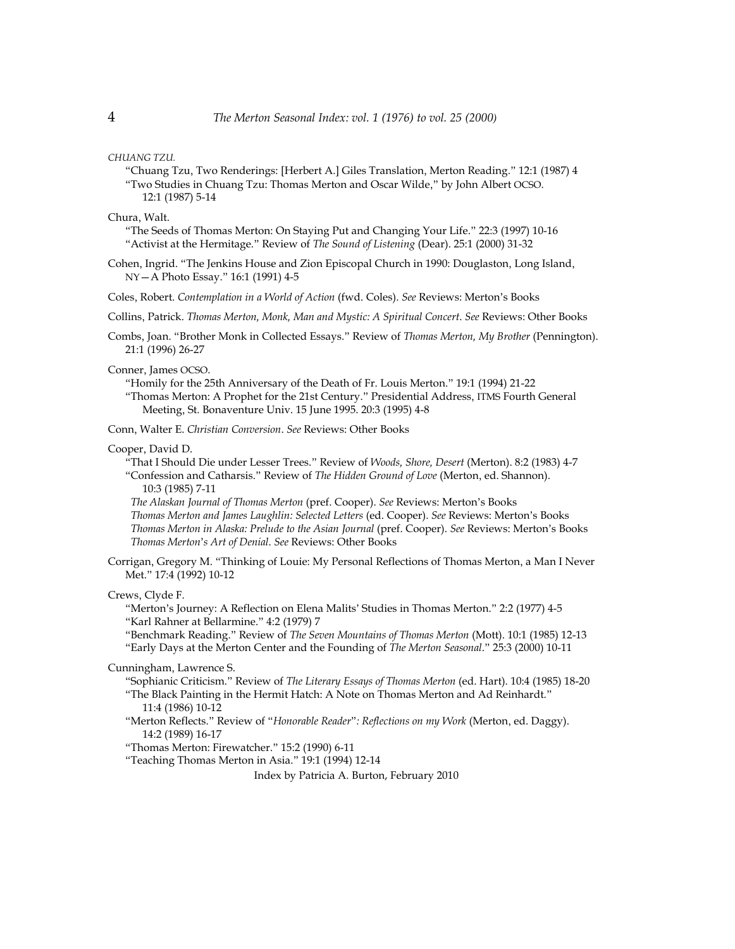#### *CHUANG TZU.*

"Chuang Tzu, Two Renderings: [Herbert A.] Giles Translation, Merton Reading." 12:1 (1987) 4 "Two Studies in Chuang Tzu: Thomas Merton and Oscar Wilde," by John Albert OCSO. 12:1 (1987) 5-14

Chura, Walt.

- "The Seeds of Thomas Merton: On Staying Put and Changing Your Life." 22:3 (1997) 10-16 "Activist at the Hermitage." Review of *The Sound of Listening* (Dear). 25:1 (2000) 31-32
- Cohen, Ingrid. "The Jenkins House and Zion Episcopal Church in 1990: Douglaston, Long Island, NY—A Photo Essay." 16:1 (1991) 4-5

Coles, Robert. *Contemplation in a World of Action* (fwd. Coles). *See* Reviews: Merton's Books

Collins, Patrick. *Thomas Merton, Monk, Man and Mystic: A Spiritual Concert*. *See* Reviews: Other Books

Combs, Joan. "Brother Monk in Collected Essays." Review of *Thomas Merton, My Brother* (Pennington). 21:1 (1996) 26-27

Conner, James OCSO.

"Homily for the 25th Anniversary of the Death of Fr. Louis Merton." 19:1 (1994) 21-22 "Thomas Merton: A Prophet for the 21st Century." Presidential Address, ITMS Fourth General Meeting, St. Bonaventure Univ. 15 June 1995. 20:3 (1995) 4-8

Conn, Walter E. *Christian Conversion*. *See* Reviews: Other Books

#### Cooper, David D.

"That I Should Die under Lesser Trees." Review of *Woods, Shore, Desert* (Merton). 8:2 (1983) 4-7 "Confession and Catharsis." Review of *The Hidden Ground of Love* (Merton, ed. Shannon).

10:3 (1985) 7-11

 *The Alaskan Journal of Thomas Merton* (pref. Cooper). *See* Reviews: Merton's Books  *Thomas Merton and James Laughlin: Selected Letters* (ed. Cooper). *See* Reviews: Merton's Books  *Thomas Merton in Alaska: Prelude to the Asian Journal* (pref. Cooper). *See* Reviews: Merton's Books  *Thomas Merton*'*s Art of Denial*. *See* Reviews: Other Books

Corrigan, Gregory M. "Thinking of Louie: My Personal Reflections of Thomas Merton, a Man I Never Met." 17:4 (1992) 10-12

Crews, Clyde F.

- "Merton's Journey: A Reflection on Elena Malits' Studies in Thomas Merton." 2:2 (1977) 4-5 "Karl Rahner at Bellarmine." 4:2 (1979) 7
- "Benchmark Reading." Review of *The Seven Mountains of Thomas Merton* (Mott). 10:1 (1985) 12-13 "Early Days at the Merton Center and the Founding of *The Merton Seasonal*." 25:3 (2000) 10-11

Cunningham, Lawrence S.

"Sophianic Criticism." Review of *The Literary Essays of Thomas Merton* (ed. Hart). 10:4 (1985) 18-20 "The Black Painting in the Hermit Hatch: A Note on Thomas Merton and Ad Reinhardt."

11:4 (1986) 10-12

"Merton Reflects." Review of "*Honorable Reader*"*: Reflections on my Work* (Merton, ed. Daggy). 14:2 (1989) 16-17

"Thomas Merton: Firewatcher." 15:2 (1990) 6-11

"Teaching Thomas Merton in Asia." 19:1 (1994) 12-14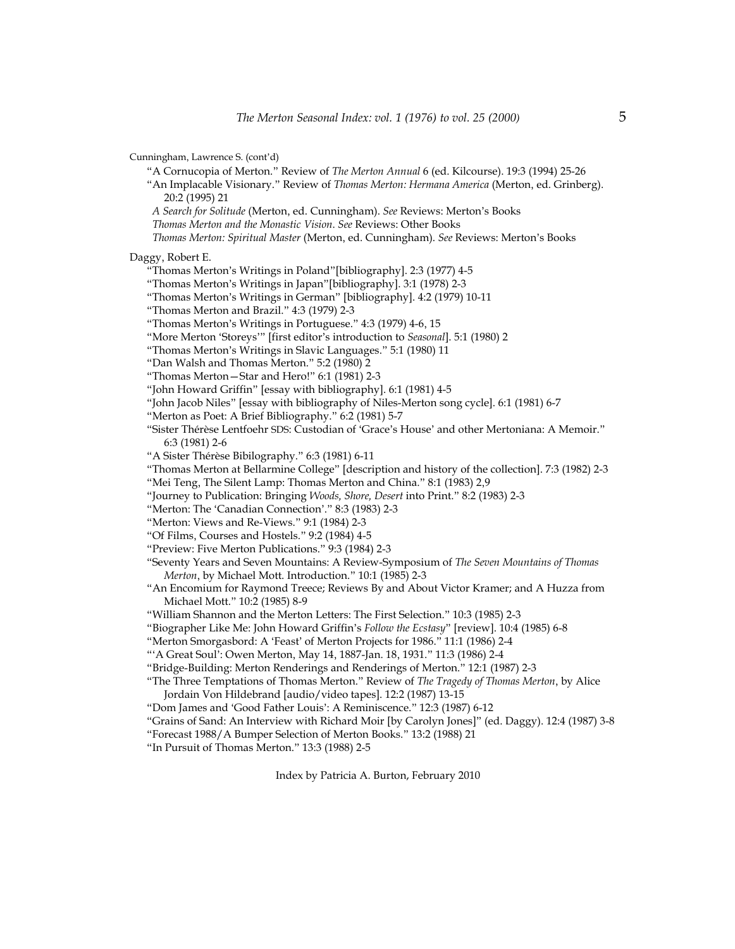Cunningham, Lawrence S. (cont'd)

"A Cornucopia of Merton." Review of *The Merton Annual* 6 (ed. Kilcourse). 19:3 (1994) 25-26

- "An Implacable Visionary." Review of *Thomas Merton: Hermana America* (Merton, ed. Grinberg). 20:2 (1995) 21
- *A Search for Solitude* (Merton, ed. Cunningham). *See* Reviews: Merton's Books
- *Thomas Merton and the Monastic Vision*. *See* Reviews: Other Books

 *Thomas Merton: Spiritual Master* (Merton, ed. Cunningham). *See* Reviews: Merton's Books

Daggy, Robert E.

- "Thomas Merton's Writings in Poland"[bibliography]. 2:3 (1977) 4-5
- "Thomas Merton's Writings in Japan"[bibliography]. 3:1 (1978) 2-3
- "Thomas Merton's Writings in German" [bibliography]. 4:2 (1979) 10-11
- "Thomas Merton and Brazil." 4:3 (1979) 2-3
- "Thomas Merton's Writings in Portuguese." 4:3 (1979) 4-6, 15
- "More Merton 'Storeys'" [first editor's introduction to *Seasonal*]. 5:1 (1980) 2
- "Thomas Merton's Writings in Slavic Languages." 5:1 (1980) 11
- "Dan Walsh and Thomas Merton." 5:2 (1980) 2
- "Thomas Merton—Star and Hero!" 6:1 (1981) 2-3
- "John Howard Griffin" [essay with bibliography]. 6:1 (1981) 4-5
- "John Jacob Niles" [essay with bibliography of Niles-Merton song cycle]. 6:1 (1981) 6-7
- "Merton as Poet: A Brief Bibliography." 6:2 (1981) 5-7
- "Sister Thérèse Lentfoehr SDS: Custodian of 'Grace's House' and other Mertoniana: A Memoir." 6:3 (1981) 2-6
- "A Sister Thérèse Bibilography." 6:3 (1981) 6-11
- "Thomas Merton at Bellarmine College" [description and history of the collection]. 7:3 (1982) 2-3 "Mei Teng, The Silent Lamp: Thomas Merton and China." 8:1 (1983) 2,9
- "Journey to Publication: Bringing *Woods, Shore, Desert* into Print." 8:2 (1983) 2-3
- "Merton: The 'Canadian Connection'." 8:3 (1983) 2-3
- "Merton: Views and Re-Views." 9:1 (1984) 2-3
- "Of Films, Courses and Hostels." 9:2 (1984) 4-5
- "Preview: Five Merton Publications." 9:3 (1984) 2-3
- "Seventy Years and Seven Mountains: A Review-Symposium of *The Seven Mountains of Thomas Merton*, by Michael Mott. Introduction." 10:1 (1985) 2-3
- "An Encomium for Raymond Treece; Reviews By and About Victor Kramer; and A Huzza from Michael Mott." 10:2 (1985) 8-9

"William Shannon and the Merton Letters: The First Selection." 10:3 (1985) 2-3

- "Biographer Like Me: John Howard Griffin's *Follow the Ecstasy*" [review]. 10:4 (1985) 6-8
- "Merton Smorgasbord: A 'Feast' of Merton Projects for 1986." 11:1 (1986) 2-4
- "'A Great Soul': Owen Merton, May 14, 1887-Jan. 18, 1931." 11:3 (1986) 2-4
- "Bridge-Building: Merton Renderings and Renderings of Merton." 12:1 (1987) 2-3
- "The Three Temptations of Thomas Merton." Review of *The Tragedy of Thomas Merton*, by Alice Jordain Von Hildebrand [audio/video tapes]. 12:2 (1987) 13-15
- "Dom James and 'Good Father Louis': A Reminiscence." 12:3 (1987) 6-12
- "Grains of Sand: An Interview with Richard Moir [by Carolyn Jones]" (ed. Daggy). 12:4 (1987) 3-8
- "Forecast 1988/A Bumper Selection of Merton Books." 13:2 (1988) 21
- "In Pursuit of Thomas Merton." 13:3 (1988) 2-5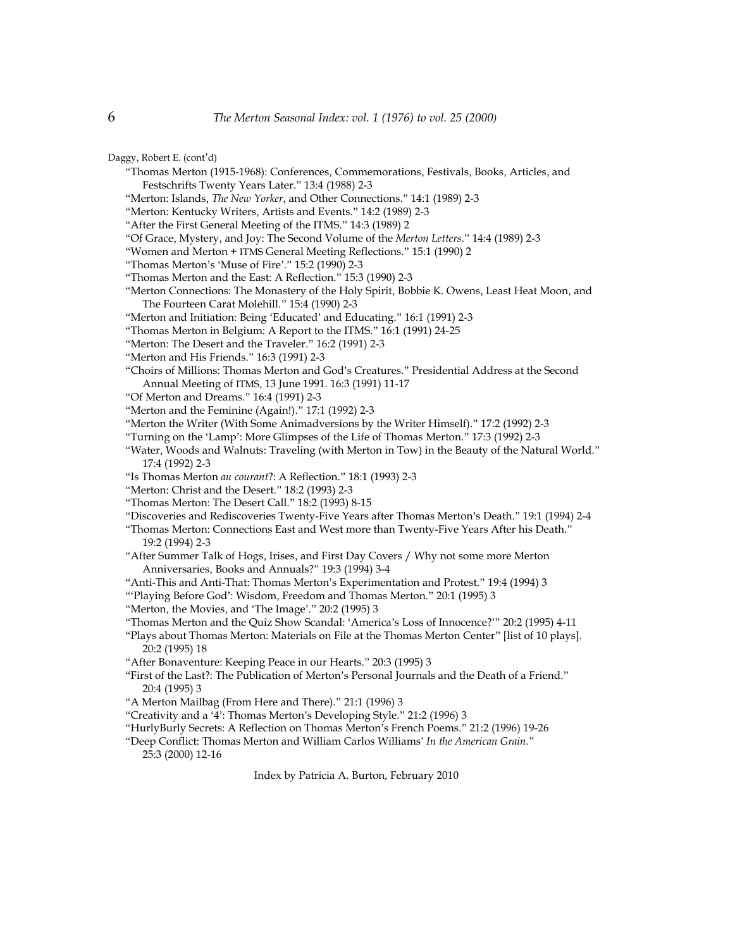Daggy, Robert E. (cont'd)

- "Thomas Merton (1915-1968): Conferences, Commemorations, Festivals, Books, Articles, and Festschrifts Twenty Years Later." 13:4 (1988) 2-3
- "Merton: Islands, *The New Yorker*, and Other Connections." 14:1 (1989) 2-3
- "Merton: Kentucky Writers, Artists and Events." 14:2 (1989) 2-3
- "After the First General Meeting of the ITMS." 14:3 (1989) 2
- "Of Grace, Mystery, and Joy: The Second Volume of the *Merton Letters*." 14:4 (1989) 2-3
- "Women and Merton + ITMS General Meeting Reflections." 15:1 (1990) 2
- "Thomas Merton's 'Muse of Fire'." 15:2 (1990) 2-3
- "Thomas Merton and the East: A Reflection." 15:3 (1990) 2-3
- "Merton Connections: The Monastery of the Holy Spirit, Bobbie K. Owens, Least Heat Moon, and The Fourteen Carat Molehill." 15:4 (1990) 2-3
- "Merton and Initiation: Being 'Educated' and Educating." 16:1 (1991) 2-3
- "Thomas Merton in Belgium: A Report to the ITMS." 16:1 (1991) 24-25
- "Merton: The Desert and the Traveler." 16:2 (1991) 2-3
- "Merton and His Friends." 16:3 (1991) 2-3
- "Choirs of Millions: Thomas Merton and God's Creatures." Presidential Address at the Second Annual Meeting of ITMS, 13 June 1991. 16:3 (1991) 11-17
- "Of Merton and Dreams." 16:4 (1991) 2-3
- "Merton and the Feminine (Again!)." 17:1 (1992) 2-3
- "Merton the Writer (With Some Animadversions by the Writer Himself)." 17:2 (1992) 2-3
- "Turning on the 'Lamp': More Glimpses of the Life of Thomas Merton." 17:3 (1992) 2-3
- "Water, Woods and Walnuts: Traveling (with Merton in Tow) in the Beauty of the Natural World." 17:4 (1992) 2-3
- "Is Thomas Merton *au courant*?: A Reflection." 18:1 (1993) 2-3
- "Merton: Christ and the Desert." 18:2 (1993) 2-3
- "Thomas Merton: The Desert Call." 18:2 (1993) 8-15
- "Discoveries and Rediscoveries Twenty-Five Years after Thomas Merton's Death." 19:1 (1994) 2-4
- "Thomas Merton: Connections East and West more than Twenty-Five Years After his Death." 19:2 (1994) 2-3
- "After Summer Talk of Hogs, Irises, and First Day Covers / Why not some more Merton Anniversaries, Books and Annuals?" 19:3 (1994) 3-4
- "Anti-This and Anti-That: Thomas Merton's Experimentation and Protest." 19:4 (1994) 3
- "'Playing Before God': Wisdom, Freedom and Thomas Merton." 20:1 (1995) 3
- "Merton, the Movies, and 'The Image'." 20:2 (1995) 3
- "Thomas Merton and the Quiz Show Scandal: 'America's Loss of Innocence?'" 20:2 (1995) 4-11
- "Plays about Thomas Merton: Materials on File at the Thomas Merton Center" [list of 10 plays]. 20:2 (1995) 18
- "After Bonaventure: Keeping Peace in our Hearts." 20:3 (1995) 3
- "First of the Last?: The Publication of Merton's Personal Journals and the Death of a Friend." 20:4 (1995) 3
- "A Merton Mailbag (From Here and There)." 21:1 (1996) 3
- "Creativity and a '4': Thomas Merton's Developing Style." 21:2 (1996) 3
- "HurlyBurly Secrets: A Reflection on Thomas Merton's French Poems." 21:2 (1996) 19-26
- "Deep Conflict: Thomas Merton and William Carlos Williams' *In the American Grain.*" 25:3 (2000) 12-16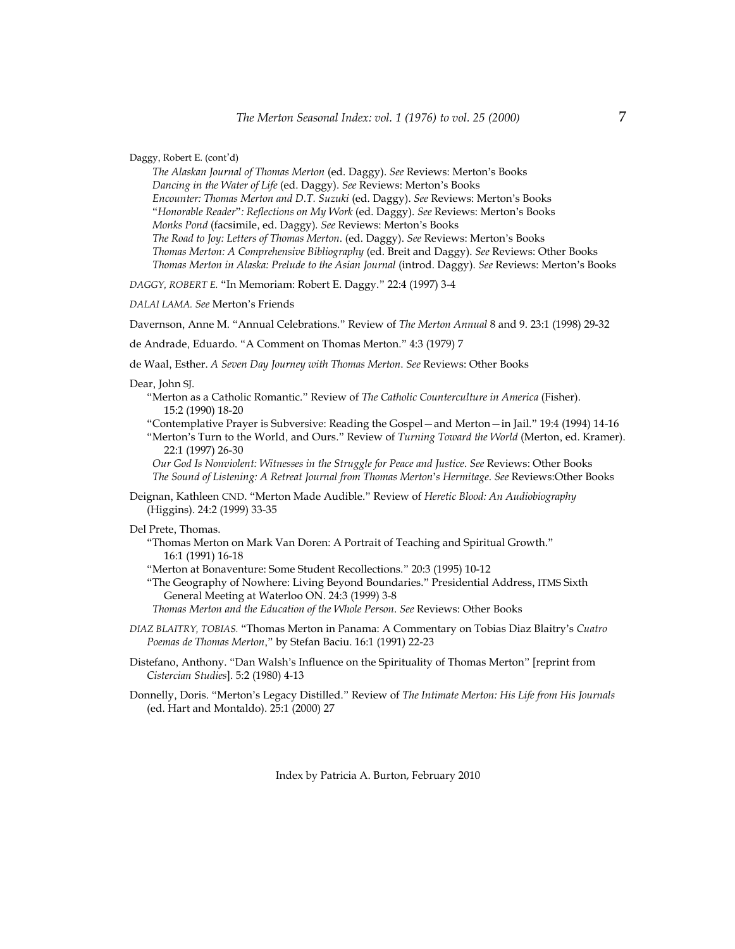Daggy, Robert E. (cont'd)

 *The Alaskan Journal of Thomas Merton* (ed. Daggy). *See* Reviews: Merton's Books  *Dancing in the Water of Life* (ed. Daggy). *See* Reviews: Merton's Books  *Encounter: Thomas Merton and D.T. Suzuki* (ed. Daggy). *See* Reviews: Merton's Books "*Honorable Reader*"*: Reflections on My Work* (ed. Daggy). *See* Reviews: Merton's Books  *Monks Pond* (facsimile, ed. Daggy)*. See* Reviews: Merton's Books  *The Road to Joy: Letters of Thomas Merton*. (ed. Daggy). *See* Reviews: Merton's Books  *Thomas Merton: A Comprehensive Bibliography* (ed. Breit and Daggy). *See* Reviews: Other Books  *Thomas Merton in Alaska: Prelude to the Asian Journal* (introd. Daggy). *See* Reviews: Merton's Books

*DAGGY, ROBERT E.* "In Memoriam: Robert E. Daggy." 22:4 (1997) 3-4

*DALAI LAMA. See* Merton's Friends

Davernson, Anne M. "Annual Celebrations." Review of *The Merton Annual* 8 and 9. 23:1 (1998) 29-32

de Andrade, Eduardo. "A Comment on Thomas Merton." 4:3 (1979) 7

de Waal, Esther. *A Seven Day Journey with Thomas Merton*. *See* Reviews: Other Books

#### Dear, John SJ.

"Merton as a Catholic Romantic." Review of *The Catholic Counterculture in America* (Fisher). 15:2 (1990) 18-20

"Contemplative Prayer is Subversive: Reading the Gospel—and Merton—in Jail." 19:4 (1994) 14-16 "Merton's Turn to the World, and Ours." Review of *Turning Toward the World* (Merton, ed. Kramer). 22:1 (1997) 26-30

 *Our God Is Nonviolent: Witnesses in the Struggle for Peace and Justice*. *See* Reviews: Other Books  *The Sound of Listening: A Retreat Journal from Thomas Merton*'*s Hermitage*. *See* Reviews:Other Books

Deignan, Kathleen CND. "Merton Made Audible." Review of *Heretic Blood: An Audiobiography* (Higgins). 24:2 (1999) 33-35

Del Prete, Thomas.

"Thomas Merton on Mark Van Doren: A Portrait of Teaching and Spiritual Growth." 16:1 (1991) 16-18

"Merton at Bonaventure: Some Student Recollections." 20:3 (1995) 10-12

"The Geography of Nowhere: Living Beyond Boundaries." Presidential Address, ITMS Sixth General Meeting at Waterloo ON. 24:3 (1999) 3-8

 *Thomas Merton and the Education of the Whole Person*. *See* Reviews: Other Books

- *DIAZ BLAITRY, TOBIAS.* "Thomas Merton in Panama: A Commentary on Tobias Diaz Blaitry's *Cuatro Poemas de Thomas Merton*," by Stefan Baciu. 16:1 (1991) 22-23
- Distefano, Anthony. "Dan Walsh's Influence on the Spirituality of Thomas Merton" [reprint from *Cistercian Studies*]. 5:2 (1980) 4-13
- Donnelly, Doris. "Merton's Legacy Distilled." Review of *The Intimate Merton: His Life from His Journals* (ed. Hart and Montaldo). 25:1 (2000) 27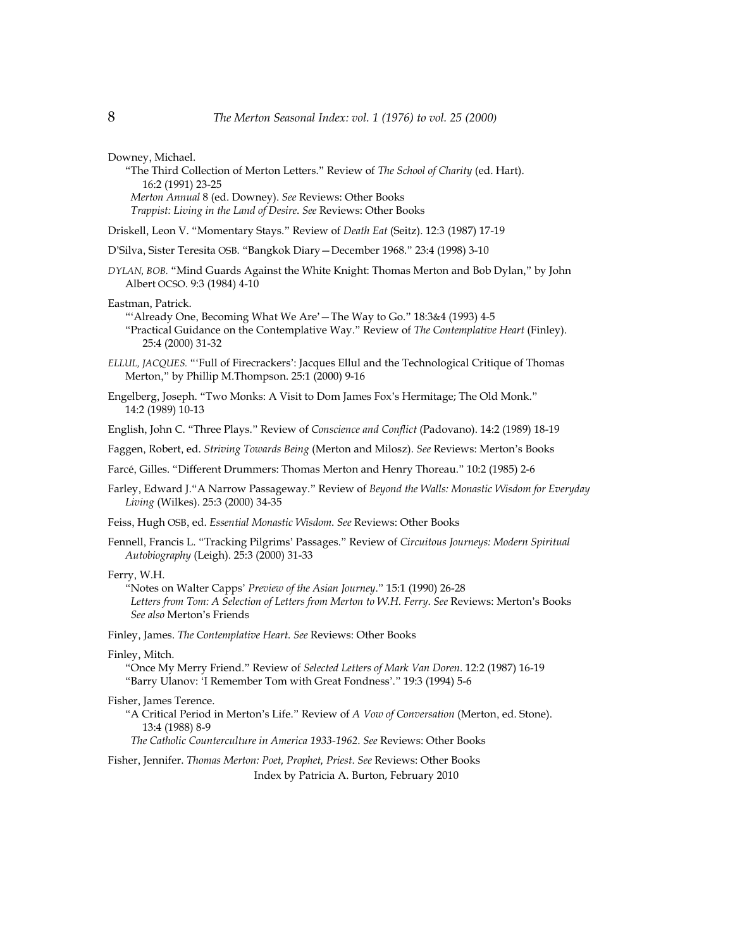Downey, Michael.

"The Third Collection of Merton Letters." Review of *The School of Charity* (ed. Hart). 16:2 (1991) 23-25  *Merton Annual* 8 (ed. Downey). *See* Reviews: Other Books  *Trappist: Living in the Land of Desire*. *See* Reviews: Other Books

Driskell, Leon V. "Momentary Stays." Review of *Death Eat* (Seitz). 12:3 (1987) 17-19

- D'Silva, Sister Teresita OSB. "Bangkok Diary—December 1968." 23:4 (1998) 3-10
- *DYLAN, BOB.* "Mind Guards Against the White Knight: Thomas Merton and Bob Dylan," by John Albert OCSO. 9:3 (1984) 4-10

Eastman, Patrick.

"'Already One, Becoming What We Are'—The Way to Go." 18:3&4 (1993) 4-5 "Practical Guidance on the Contemplative Way." Review of *The Contemplative Heart* (Finley). 25:4 (2000) 31-32

- *ELLUL, JACQUES.* "'Full of Firecrackers': Jacques Ellul and the Technological Critique of Thomas Merton," by Phillip M.Thompson. 25:1 (2000) 9-16
- Engelberg, Joseph. "Two Monks: A Visit to Dom James Fox's Hermitage; The Old Monk." 14:2 (1989) 10-13

English, John C. "Three Plays." Review of *Conscience and Conflict* (Padovano). 14:2 (1989) 18-19

Faggen, Robert, ed. *Striving Towards Being* (Merton and Milosz). *See* Reviews: Merton's Books

Farcé, Gilles. "Different Drummers: Thomas Merton and Henry Thoreau." 10:2 (1985) 2-6

Farley, Edward J."A Narrow Passageway." Review of *Beyond the Walls: Monastic Wisdom for Everyday Living* (Wilkes). 25:3 (2000) 34-35

Feiss, Hugh OSB, ed. *Essential Monastic Wisdom*. *See* Reviews: Other Books

Fennell, Francis L. "Tracking Pilgrims' Passages." Review of *Circuitous Journeys: Modern Spiritual Autobiography* (Leigh). 25:3 (2000) 31-33

Ferry, W.H.

"Notes on Walter Capps' *Preview of the Asian Journey*." 15:1 (1990) 26-28  *Letters from Tom: A Selection of Letters from Merton to W.H. Ferry*. *See* Reviews: Merton's Books *See also* Merton's Friends

Finley, James. *The Contemplative Heart*. *See* Reviews: Other Books

Finley, Mitch.

"Once My Merry Friend." Review of *Selected Letters of Mark Van Doren*. 12:2 (1987) 16-19 "Barry Ulanov: 'I Remember Tom with Great Fondness'." 19:3 (1994) 5-6

Fisher, James Terence.

"A Critical Period in Merton's Life." Review of *A Vow of Conversation* (Merton, ed. Stone). 13:4 (1988) 8-9

 *The Catholic Counterculture in America 1933-1962*. *See* Reviews: Other Books

Fisher, Jennifer. *Thomas Merton: Poet, Prophet, Priest*. *See* Reviews: Other Books Index by Patricia A. Burton, February 2010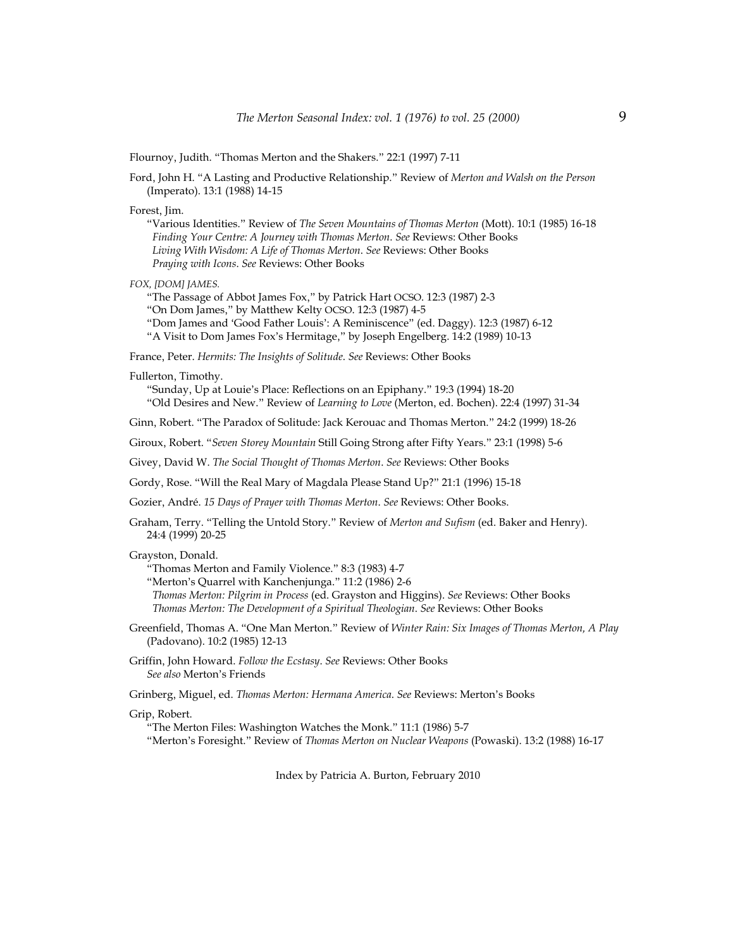Flournoy, Judith. "Thomas Merton and the Shakers." 22:1 (1997) 7-11

Ford, John H. "A Lasting and Productive Relationship." Review of *Merton and Walsh on the Person* (Imperato). 13:1 (1988) 14-15

Forest, Jim.

"Various Identities." Review of *The Seven Mountains of Thomas Merton* (Mott). 10:1 (1985) 16-18  *Finding Your Centre: A Journey with Thomas Merton*. *See* Reviews: Other Books  *Living With Wisdom: A Life of Thomas Merton*. *See* Reviews: Other Books  *Praying with Icons*. *See* Reviews: Other Books

*FOX, [DOM] JAMES.*

"The Passage of Abbot James Fox," by Patrick Hart OCSO. 12:3 (1987) 2-3

"On Dom James," by Matthew Kelty OCSO. 12:3 (1987) 4-5

"Dom James and 'Good Father Louis': A Reminiscence" (ed. Daggy). 12:3 (1987) 6-12 "A Visit to Dom James Fox's Hermitage," by Joseph Engelberg. 14:2 (1989) 10-13

France, Peter. *Hermits: The Insights of Solitude*. *See* Reviews: Other Books

Fullerton, Timothy.

"Sunday, Up at Louie's Place: Reflections on an Epiphany." 19:3 (1994) 18-20 "Old Desires and New." Review of *Learning to Love* (Merton, ed. Bochen). 22:4 (1997) 31-34

Ginn, Robert. "The Paradox of Solitude: Jack Kerouac and Thomas Merton." 24:2 (1999) 18-26

Giroux, Robert. "*Seven Storey Mountain* Still Going Strong after Fifty Years." 23:1 (1998) 5-6

Givey, David W. *The Social Thought of Thomas Merton*. *See* Reviews: Other Books

Gordy, Rose. "Will the Real Mary of Magdala Please Stand Up?" 21:1 (1996) 15-18

Gozier, André. *15 Days of Prayer with Thomas Merton*. *See* Reviews: Other Books.

Graham, Terry. "Telling the Untold Story." Review of *Merton and Sufism* (ed. Baker and Henry). 24:4 (1999) 20-25

Grayston, Donald.

"Thomas Merton and Family Violence." 8:3 (1983) 4-7

"Merton's Quarrel with Kanchenjunga." 11:2 (1986) 2-6

 *Thomas Merton: Pilgrim in Process* (ed. Grayston and Higgins). *See* Reviews: Other Books  *Thomas Merton: The Development of a Spiritual Theologian*. *See* Reviews: Other Books

Greenfield, Thomas A. "One Man Merton." Review of *Winter Rain: Six Images of Thomas Merton, A Play* (Padovano). 10:2 (1985) 12-13

Griffin, John Howard. *Follow the Ecstasy*. *See* Reviews: Other Books *See also* Merton's Friends

Grinberg, Miguel, ed. *Thomas Merton: Hermana America*. *See* Reviews: Merton's Books

Grip, Robert.

"The Merton Files: Washington Watches the Monk." 11:1 (1986) 5-7 "Merton's Foresight." Review of *Thomas Merton on Nuclear Weapons* (Powaski). 13:2 (1988) 16-17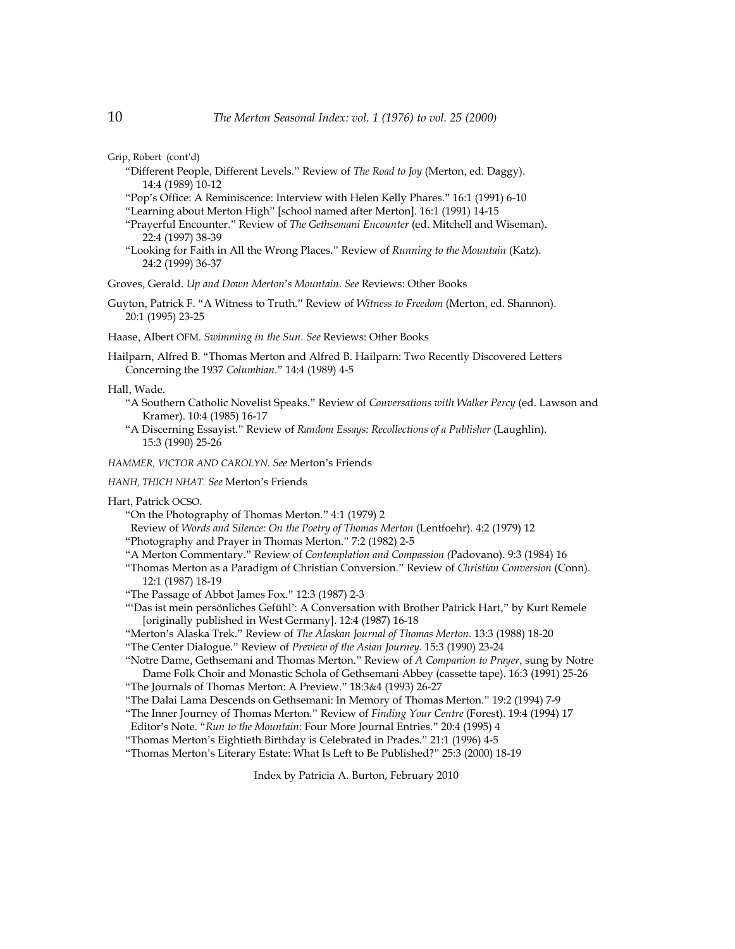Grip, Robert (cont'd)

- "Different People, Different Levels." Review of *The Road to Joy* (Merton, ed. Daggy). 14:4 (1989) 10-12
- "Pop's Office: A Reminiscence: Interview with Helen Kelly Phares." 16:1 (1991) 6-10
- "Learning about Merton High" [school named after Merton]. 16:1 (1991) 14-15
- "Prayerful Encounter." Review of *The Gethsemani Encounter* (ed. Mitchell and Wiseman). 22:4 (1997) 38-39
- "Looking for Faith in All the Wrong Places." Review of *Running to the Mountain* (Katz). 24:2 (1999) 36-37

Groves, Gerald. *Up and Down Merton*'*s Mountain*. *See* Reviews: Other Books

Guyton, Patrick F. "A Witness to Truth." Review of *Witness to Freedom* (Merton, ed. Shannon). 20:1 (1995) 23-25

Haase, Albert OFM. *Swimming in the Sun*. *See* Reviews: Other Books

Hailparn, Alfred B. "Thomas Merton and Alfred B. Hailparn: Two Recently Discovered Letters Concerning the 1937 *Columbian*." 14:4 (1989) 4-5

Hall, Wade.

- "A Southern Catholic Novelist Speaks." Review of *Conversations with Walker Percy* (ed. Lawson and Kramer). 10:4 (1985) 16-17
- "A Discerning Essayist." Review of *Random Essays: Recollections of a Publisher* (Laughlin). 15:3 (1990) 25-26

*HAMMER, VICTOR AND CAROLYN. See* Merton's Friends

*HANH, THICH NHAT. See* Merton's Friends

- Hart, Patrick OCSO.
	- "On the Photography of Thomas Merton." 4:1 (1979) 2
	- Review of *Words and Silence: On the Poetry of Thomas Merton* (Lentfoehr). 4:2 (1979) 12
	- "Photography and Prayer in Thomas Merton." 7:2 (1982) 2-5
	- "A Merton Commentary." Review of *Contemplation and Compassion (*Padovano). 9:3 (1984) 16
	- "Thomas Merton as a Paradigm of Christian Conversion." Review of *Christian Conversion* (Conn). 12:1 (1987) 18-19
	- "The Passage of Abbot James Fox." 12:3 (1987) 2-3
	- "'Das ist mein persönliches Gefühl': A Conversation with Brother Patrick Hart," by Kurt Remele [originally published in West Germany]. 12:4 (1987) 16-18
	- "Merton's Alaska Trek." Review of *The Alaskan Journal of Thomas Merton*. 13:3 (1988) 18-20
	- "The Center Dialogue." Review of *Preview of the Asian Journey*. 15:3 (1990) 23-24
	- "Notre Dame, Gethsemani and Thomas Merton." Review of *A Companion to Prayer*, sung by Notre Dame Folk Choir and Monastic Schola of Gethsemani Abbey (cassette tape). 16:3 (1991) 25-26 "The Journals of Thomas Merton: A Preview." 18:3&4 (1993) 26-27
	-
	- "The Dalai Lama Descends on Gethsemani: In Memory of Thomas Merton." 19:2 (1994) 7-9
	- "The Inner Journey of Thomas Merton." Review of *Finding Your Centre* (Forest). 19:4 (1994) 17
	- Editor's Note. "*Run to the Mountain*: Four More Journal Entries." 20:4 (1995) 4 "Thomas Merton's Eightieth Birthday is Celebrated in Prades." 21:1 (1996) 4-5
	- "Thomas Merton's Literary Estate: What Is Left to Be Published?" 25:3 (2000) 18-19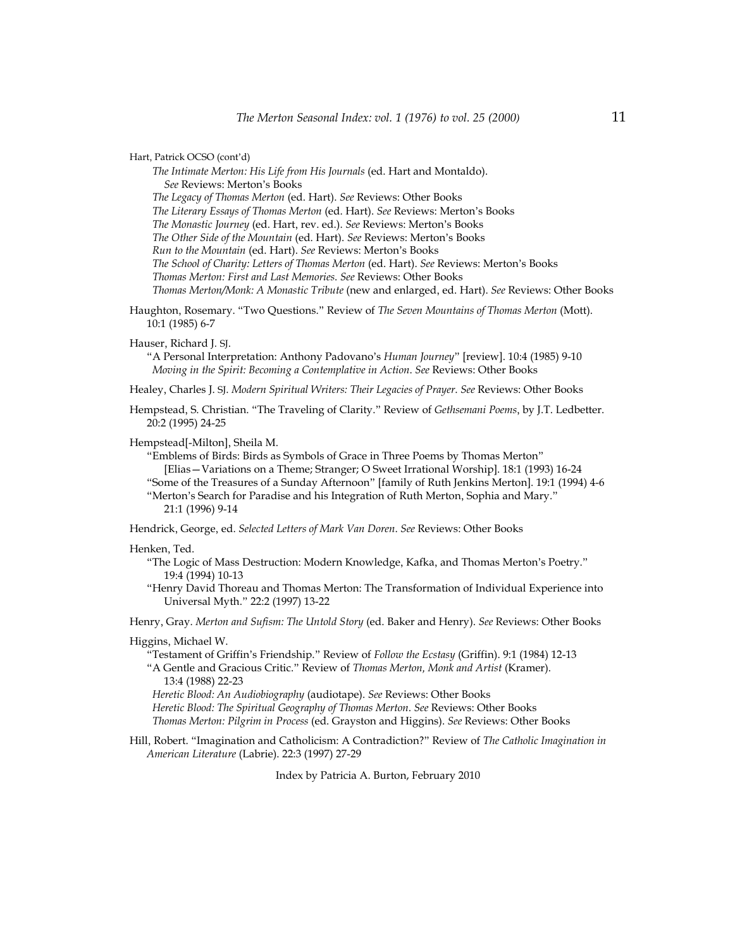Hart, Patrick OCSO (cont'd)

 *The Intimate Merton: His Life from His Journals* (ed. Hart and Montaldo). *See* Reviews: Merton's Books

 *The Legacy of Thomas Merton* (ed. Hart). *See* Reviews: Other Books

 *The Literary Essays of Thomas Merton* (ed. Hart). *See* Reviews: Merton's Books

 *The Monastic Journey* (ed. Hart, rev. ed.). *See* Reviews: Merton's Books

 *The Other Side of the Mountain* (ed. Hart). *See* Reviews: Merton's Books

 *Run to the Mountain* (ed. Hart). *See* Reviews: Merton's Books

 *The School of Charity: Letters of Thomas Merton* (ed. Hart). *See* Reviews: Merton's Books

 *Thomas Merton: First and Last Memories*. *See* Reviews: Other Books

 *Thomas Merton/Monk: A Monastic Tribute* (new and enlarged, ed. Hart). *See* Reviews: Other Books

Haughton, Rosemary. "Two Questions." Review of *The Seven Mountains of Thomas Merton* (Mott). 10:1 (1985) 6-7

## Hauser, Richard J*.* SJ.

"A Personal Interpretation: Anthony Padovano's *Human Journey*" [review]. 10:4 (1985) 9-10  *Moving in the Spirit: Becoming a Contemplative in Action*. *See* Reviews: Other Books

Healey, Charles J. SJ. *Modern Spiritual Writers: Their Legacies of Prayer*. *See* Reviews: Other Books

Hempstead, S. Christian. "The Traveling of Clarity." Review of *Gethsemani Poems*, by J.T. Ledbetter. 20:2 (1995) 24-25

Hempstead[-Milton], Sheila M.

"Emblems of Birds: Birds as Symbols of Grace in Three Poems by Thomas Merton" [Elias—Variations on a Theme; Stranger; O Sweet Irrational Worship]. 18:1 (1993) 16-24 "Some of the Treasures of a Sunday Afternoon" [family of Ruth Jenkins Merton]. 19:1 (1994) 4-6 "Merton's Search for Paradise and his Integration of Ruth Merton, Sophia and Mary." 21:1 (1996) 9-14

Hendrick, George, ed. *Selected Letters of Mark Van Doren*. *See* Reviews: Other Books

## Henken, Ted.

"The Logic of Mass Destruction: Modern Knowledge, Kafka, and Thomas Merton's Poetry." 19:4 (1994) 10-13

"Henry David Thoreau and Thomas Merton: The Transformation of Individual Experience into Universal Myth." 22:2 (1997) 13-22

Henry, Gray. *Merton and Sufism: The Untold Story* (ed. Baker and Henry). *See* Reviews: Other Books

# Higgins, Michael W.

"Testament of Griffin's Friendship." Review of *Follow the Ecstasy* (Griffin). 9:1 (1984) 12-13 "A Gentle and Gracious Critic." Review of *Thomas Merton, Monk and Artist* (Kramer).

13:4 (1988) 22-23

 *Heretic Blood: An Audiobiography* (audiotape). *See* Reviews: Other Books  *Heretic Blood: The Spiritual Geography of Thomas Merton*. *See* Reviews: Other Books  *Thomas Merton: Pilgrim in Process* (ed. Grayston and Higgins). *See* Reviews: Other Books

Hill, Robert. "Imagination and Catholicism: A Contradiction?" Review of *The Catholic Imagination in American Literature* (Labrie). 22:3 (1997) 27-29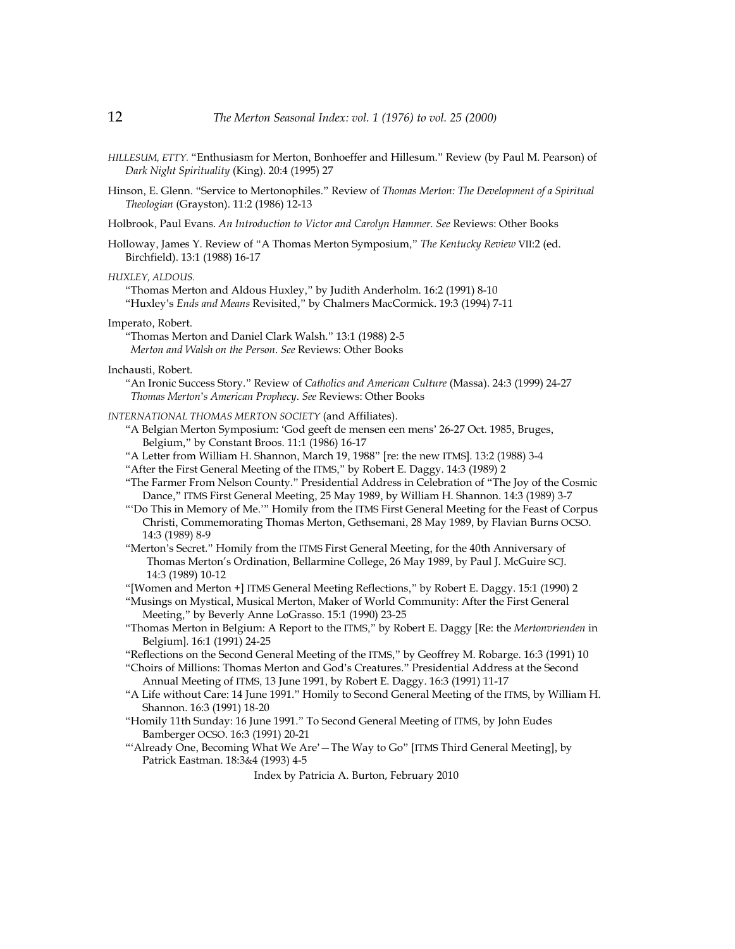- *HILLESUM, ETTY.* "Enthusiasm for Merton, Bonhoeffer and Hillesum." Review (by Paul M. Pearson) of *Dark Night Spirituality* (King). 20:4 (1995) 27
- Hinson, E. Glenn. "Service to Mertonophiles." Review of *Thomas Merton: The Development of a Spiritual Theologian* (Grayston). 11:2 (1986) 12-13
- Holbrook, Paul Evans. *An Introduction to Victor and Carolyn Hammer. See* Reviews: Other Books
- Holloway, James Y. Review of "A Thomas Merton Symposium," *The Kentucky Review* VII:2 (ed. Birchfield). 13:1 (1988) 16-17

*HUXLEY, ALDOUS.*

"Thomas Merton and Aldous Huxley," by Judith Anderholm. 16:2 (1991) 8-10 "Huxley's *Ends and Means* Revisited," by Chalmers MacCormick. 19:3 (1994) 7-11

Imperato, Robert.

"Thomas Merton and Daniel Clark Walsh." 13:1 (1988) 2-5  *Merton and Walsh on the Person*. *See* Reviews: Other Books

Inchausti, Robert.

"An Ironic Success Story." Review of *Catholics and American Culture* (Massa). 24:3 (1999) 24-27  *Thomas Merton*'*s American Prophecy*. *See* Reviews: Other Books

*INTERNATIONAL THOMAS MERTON SOCIETY* (and Affiliates).

- "A Belgian Merton Symposium: 'God geeft de mensen een mens' 26-27 Oct. 1985, Bruges, Belgium," by Constant Broos. 11:1 (1986) 16-17
- "A Letter from William H. Shannon, March 19, 1988" [re: the new ITMS]. 13:2 (1988) 3-4

"After the First General Meeting of the ITMS," by Robert E. Daggy. 14:3 (1989) 2

- "The Farmer From Nelson County." Presidential Address in Celebration of "The Joy of the Cosmic Dance," ITMS First General Meeting, 25 May 1989, by William H. Shannon. 14:3 (1989) 3-7
- "'Do This in Memory of Me.'" Homily from the ITMS First General Meeting for the Feast of Corpus Christi, Commemorating Thomas Merton, Gethsemani, 28 May 1989, by Flavian Burns OCSO. 14:3 (1989) 8-9
- "Merton's Secret." Homily from the ITMS First General Meeting, for the 40th Anniversary of Thomas Merton's Ordination, Bellarmine College, 26 May 1989, by Paul J. McGuire SCJ. 14:3 (1989) 10-12

"[Women and Merton +] ITMS General Meeting Reflections," by Robert E. Daggy. 15:1 (1990) 2

- "Musings on Mystical, Musical Merton, Maker of World Community: After the First General Meeting," by Beverly Anne LoGrasso. 15:1 (1990) 23-25
- "Thomas Merton in Belgium: A Report to the ITMS," by Robert E. Daggy [Re: the *Mertonvrienden* in Belgium]*.* 16:1 (1991) 24-25
- "Reflections on the Second General Meeting of the ITMS," by Geoffrey M. Robarge. 16:3 (1991) 10

"Choirs of Millions: Thomas Merton and God's Creatures." Presidential Address at the Second Annual Meeting of ITMS, 13 June 1991, by Robert E. Daggy. 16:3 (1991) 11-17

- "A Life without Care: 14 June 1991." Homily to Second General Meeting of the ITMS, by William H. Shannon. 16:3 (1991) 18-20
- "Homily 11th Sunday: 16 June 1991." To Second General Meeting of ITMS, by John Eudes Bamberger OCSO. 16:3 (1991) 20-21
- "'Already One, Becoming What We Are'—The Way to Go" [ITMS Third General Meeting], by Patrick Eastman. 18:3&4 (1993) 4-5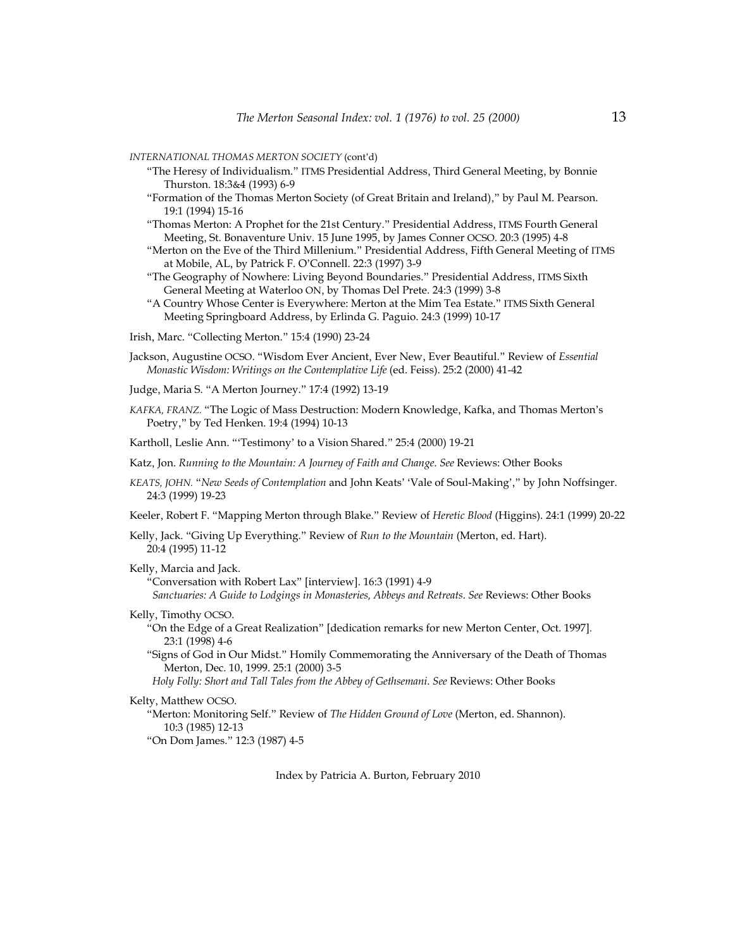*INTERNATIONAL THOMAS MERTON SOCIETY* (cont'd)

- "The Heresy of Individualism." ITMS Presidential Address, Third General Meeting, by Bonnie Thurston. 18:3&4 (1993) 6-9
- "Formation of the Thomas Merton Society (of Great Britain and Ireland)," by Paul M. Pearson. 19:1 (1994) 15-16
- "Thomas Merton: A Prophet for the 21st Century." Presidential Address, ITMS Fourth General Meeting, St. Bonaventure Univ. 15 June 1995, by James Conner OCSO. 20:3 (1995) 4-8
- "Merton on the Eve of the Third Millenium." Presidential Address, Fifth General Meeting of ITMS at Mobile, AL, by Patrick F. O'Connell. 22:3 (1997) 3-9
- "The Geography of Nowhere: Living Beyond Boundaries." Presidential Address, ITMS Sixth General Meeting at Waterloo ON, by Thomas Del Prete. 24:3 (1999) 3-8
- "A Country Whose Center is Everywhere: Merton at the Mim Tea Estate." ITMS Sixth General Meeting Springboard Address, by Erlinda G. Paguio. 24:3 (1999) 10-17
- Irish, Marc. "Collecting Merton." 15:4 (1990) 23-24
- Jackson, Augustine OCSO. "Wisdom Ever Ancient, Ever New, Ever Beautiful." Review of *Essential Monastic Wisdom: Writings on the Contemplative Life* (ed. Feiss). 25:2 (2000) 41-42
- Judge, Maria S. "A Merton Journey." 17:4 (1992) 13-19
- *KAFKA, FRANZ.* "The Logic of Mass Destruction: Modern Knowledge, Kafka, and Thomas Merton's Poetry," by Ted Henken. 19:4 (1994) 10-13
- Kartholl, Leslie Ann. "'Testimony' to a Vision Shared." 25:4 (2000) 19-21
- Katz, Jon. *Running to the Mountain: A Journey of Faith and Change*. *See* Reviews: Other Books
- *KEATS, JOHN.* "*New Seeds of Contemplation* and John Keats' 'Vale of Soul-Making'," by John Noffsinger. 24:3 (1999) 19-23
- Keeler, Robert F. "Mapping Merton through Blake." Review of *Heretic Blood* (Higgins). 24:1 (1999) 20-22

Kelly, Jack. "Giving Up Everything." Review of *Run to the Mountain* (Merton, ed. Hart). 20:4 (1995) 11-12

Kelly, Marcia and Jack.

"Conversation with Robert Lax" [interview]. 16:3 (1991) 4-9

 *Sanctuaries: A Guide to Lodgings in Monasteries, Abbeys and Retreats*. *See* Reviews: Other Books

Kelly, Timothy OCSO.

"On the Edge of a Great Realization" [dedication remarks for new Merton Center, Oct. 1997]*.* 23:1 (1998) 4-6

"Signs of God in Our Midst." Homily Commemorating the Anniversary of the Death of Thomas Merton, Dec. 10, 1999. 25:1 (2000) 3-5

 *Holy Folly: Short and Tall Tales from the Abbey of Gethsemani*. *See* Reviews: Other Books

# Kelty, Matthew OCSO.

"Merton: Monitoring Self." Review of *The Hidden Ground of Love* (Merton, ed. Shannon). 10:3 (1985) 12-13 "On Dom James." 12:3 (1987) 4-5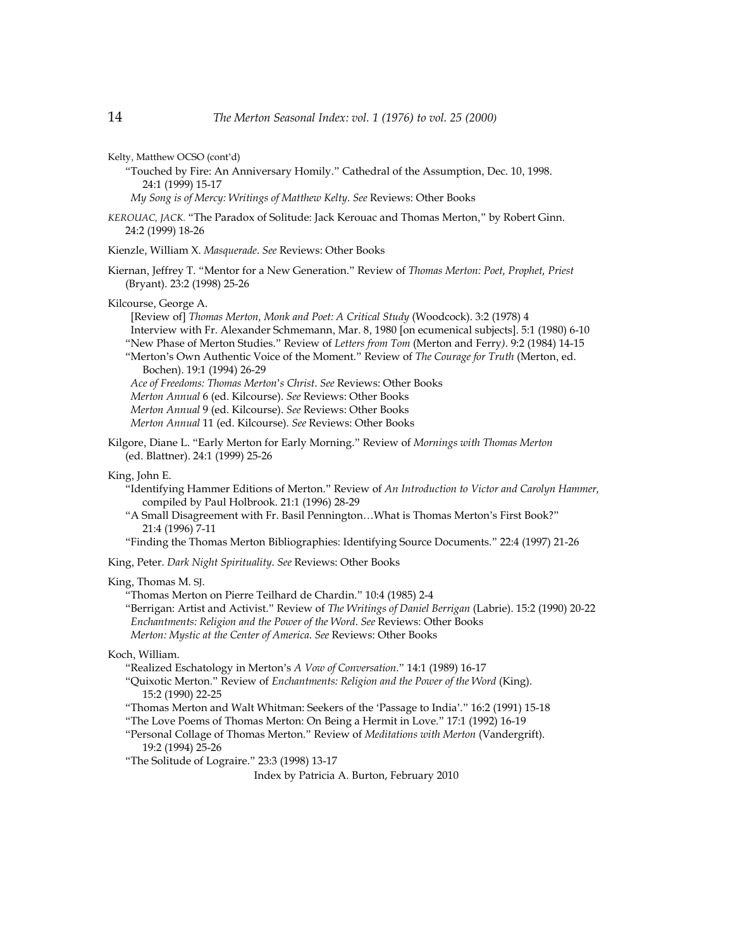Kelty, Matthew OCSO (cont'd)

"Touched by Fire: An Anniversary Homily." Cathedral of the Assumption, Dec. 10, 1998. 24:1 (1999) 15-17

 *My Song is of Mercy: Writings of Matthew Kelty*. *See* Reviews: Other Books

*KEROUAC, JACK.* "The Paradox of Solitude: Jack Kerouac and Thomas Merton," by Robert Ginn. 24:2 (1999) 18-26

Kienzle, William X. *Masquerade*. *See* Reviews: Other Books

Kiernan, Jeffrey T. "Mentor for a New Generation." Review of *Thomas Merton: Poet, Prophet, Priest* (Bryant). 23:2 (1998) 25-26

Kilcourse, George A.

 [Review of] *Thomas Merton, Monk and Poet: A Critical Study* (Woodcock). 3:2 (1978) 4 Interview with Fr. Alexander Schmemann, Mar. 8, 1980 [on ecumenical subjects]. 5:1 (1980) 6-10 "New Phase of Merton Studies." Review of *Letters from Tom* (Merton and Ferry*)*. 9:2 (1984) 14-15 "Merton's Own Authentic Voice of the Moment." Review of *The Courage for Truth* (Merton, ed. Bochen). 19:1 (1994) 26-29  *Ace of Freedoms: Thomas Merton*'*s Christ*. *See* Reviews: Other Books  *Merton Annual* 6 (ed. Kilcourse). *See* Reviews: Other Books  *Merton Annual* 9 (ed. Kilcourse). *See* Reviews: Other Books  *Merton Annual* 11 (ed. Kilcourse). *See* Reviews: Other Books

Kilgore, Diane L. "Early Merton for Early Morning." Review of *Mornings with Thomas Merton* (ed. Blattner). 24:1 (1999) 25-26

King, John E.

- "Identifying Hammer Editions of Merton." Review of *An Introduction to Victor and Carolyn Hammer,* compiled by Paul Holbrook. 21:1 (1996) 28-29
- "A Small Disagreement with Fr. Basil Pennington…What is Thomas Merton's First Book?" 21:4 (1996) 7-11
- "Finding the Thomas Merton Bibliographies: Identifying Source Documents." 22:4 (1997) 21-26

King, Peter. *Dark Night Spirituality*. *See* Reviews: Other Books

King, Thomas M. SJ.

"Thomas Merton on Pierre Teilhard de Chardin." 10:4 (1985) 2-4 "Berrigan: Artist and Activist." Review of *The Writings of Daniel Berrigan* (Labrie). 15:2 (1990) 20-22  *Enchantments: Religion and the Power of the Word*. *See* Reviews: Other Books  *Merton: Mystic at the Center of America*. *See* Reviews: Other Books

Koch, William.

"Realized Eschatology in Merton's *A Vow of Conversation*." 14:1 (1989) 16-17

- "Quixotic Merton." Review of *Enchantments: Religion and the Power of the Word* (King). 15:2 (1990) 22-25
- "Thomas Merton and Walt Whitman: Seekers of the 'Passage to India'." 16:2 (1991) 15-18
- "The Love Poems of Thomas Merton: On Being a Hermit in Love." 17:1 (1992) 16-19
- "Personal Collage of Thomas Merton." Review of *Meditations with Merton* (Vandergrift). 19:2 (1994) 25-26
- "The Solitude of Lograire." 23:3 (1998) 13-17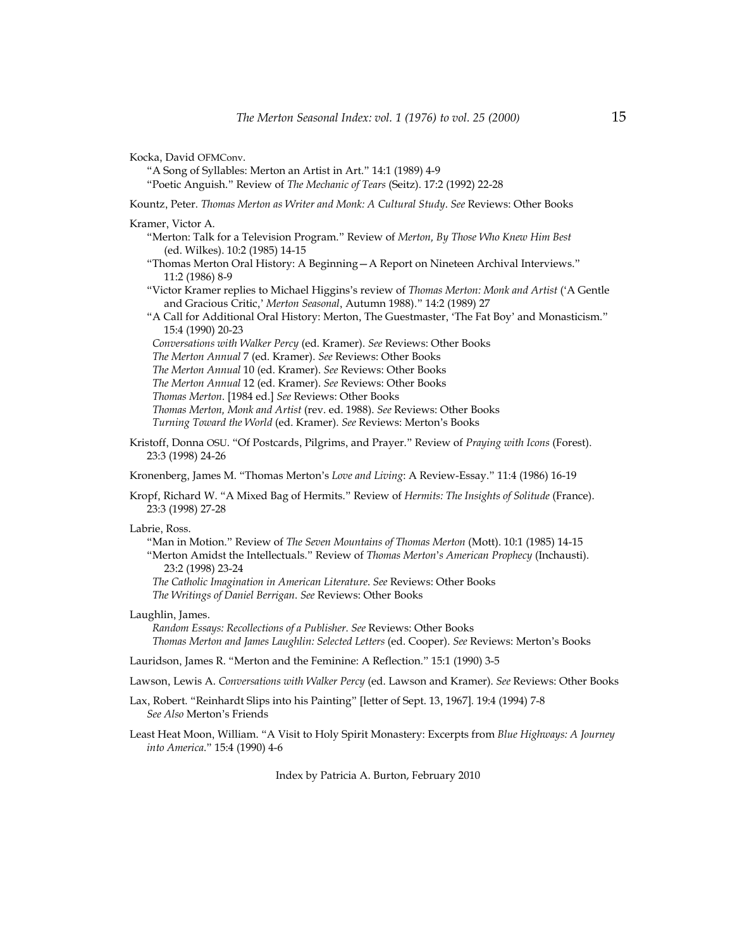Kocka, David OFMConv.

- "A Song of Syllables: Merton an Artist in Art." 14:1 (1989) 4-9
- "Poetic Anguish." Review of *The Mechanic of Tears* (Seitz). 17:2 (1992) 22-28

Kountz, Peter. *Thomas Merton as Writer and Monk: A Cultural Study*. *See* Reviews: Other Books

Kramer, Victor A.

- "Merton: Talk for a Television Program." Review of *Merton, By Those Who Knew Him Best* (ed. Wilkes). 10:2 (1985) 14-15
- "Thomas Merton Oral History: A Beginning—A Report on Nineteen Archival Interviews." 11:2 (1986) 8-9
- "Victor Kramer replies to Michael Higgins's review of *Thomas Merton: Monk and Artist* ('A Gentle and Gracious Critic,' *Merton Seasonal*, Autumn 1988)." 14:2 (1989) 27
- "A Call for Additional Oral History: Merton, The Guestmaster, 'The Fat Boy' and Monasticism." 15:4 (1990) 20-23

 *Conversations with Walker Percy* (ed. Kramer). *See* Reviews: Other Books

- *The Merton Annual* 7 (ed. Kramer). *See* Reviews: Other Books
- *The Merton Annual* 10 (ed. Kramer). *See* Reviews: Other Books
- *The Merton Annual* 12 (ed. Kramer). *See* Reviews: Other Books
- *Thomas Merton*. [1984 ed.] *See* Reviews: Other Books
- *Thomas Merton, Monk and Artist* (rev. ed. 1988). *See* Reviews: Other Books

 *Turning Toward the World* (ed. Kramer). *See* Reviews: Merton's Books

Kristoff, Donna OSU. "Of Postcards, Pilgrims, and Prayer." Review of *Praying with Icons* (Forest). 23:3 (1998) 24-26

Kronenberg, James M. "Thomas Merton's *Love and Living*: A Review-Essay." 11:4 (1986) 16-19

Kropf, Richard W. "A Mixed Bag of Hermits." Review of *Hermits: The Insights of Solitude* (France). 23:3 (1998) 27-28

Labrie, Ross.

"Man in Motion." Review of *The Seven Mountains of Thomas Merton* (Mott). 10:1 (1985) 14-15 "Merton Amidst the Intellectuals." Review of *Thomas Merton*'*s American Prophecy* (Inchausti). 23:2 (1998) 23-24

 *The Catholic Imagination in American Literature*. *See* Reviews: Other Books  *The Writings of Daniel Berrigan*. *See* Reviews: Other Books

# Laughlin, James.

 *Random Essays: Recollections of a Publisher*. *See* Reviews: Other Books  *Thomas Merton and James Laughlin: Selected Letters* (ed. Cooper). *See* Reviews: Merton's Books

Lauridson, James R. "Merton and the Feminine: A Reflection." 15:1 (1990) 3-5

Lawson, Lewis A. *Conversations with Walker Percy* (ed. Lawson and Kramer). *See* Reviews: Other Books

Lax, Robert. "Reinhardt Slips into his Painting" [letter of Sept. 13, 1967]*.* 19:4 (1994) 7-8 *See Also* Merton's Friends

Least Heat Moon, William. "A Visit to Holy Spirit Monastery: Excerpts from *Blue Highways: A Journey into America*." 15:4 (1990) 4-6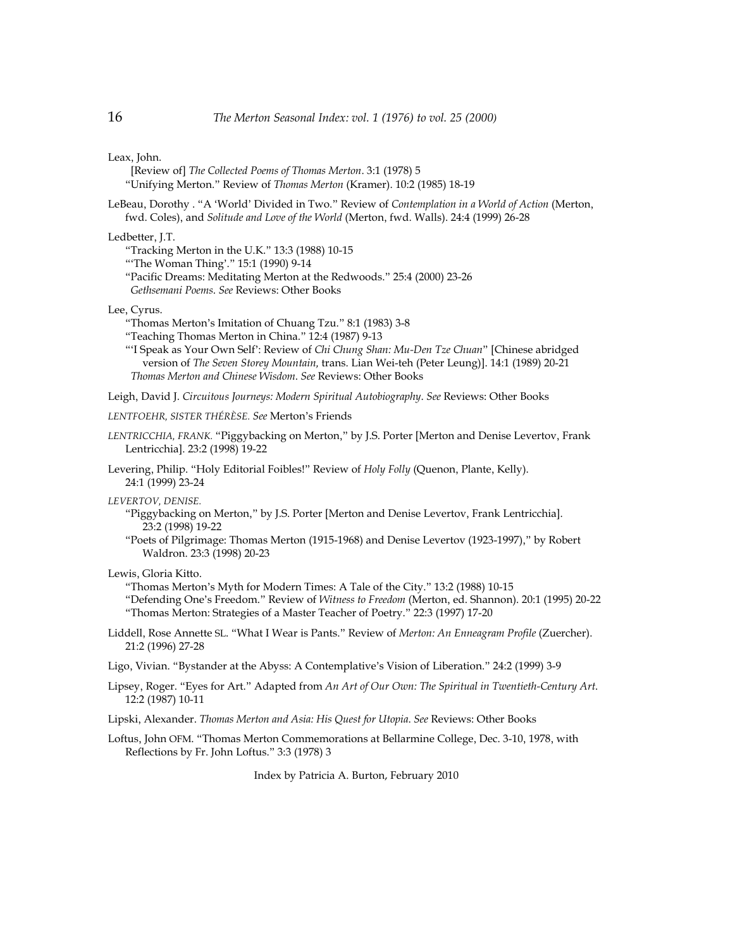Leax, John.

- [Review of] *The Collected Poems of Thomas Merton*. 3:1 (1978) 5 "Unifying Merton." Review of *Thomas Merton* (Kramer). 10:2 (1985) 18-19
- LeBeau, Dorothy . "A 'World' Divided in Two." Review of *Contemplation in a World of Action* (Merton, fwd. Coles), and *Solitude and Love of the World* (Merton, fwd. Walls). 24:4 (1999) 26-28

Ledbetter, J.T.

- "Tracking Merton in the U.K." 13:3 (1988) 10-15
- "'The Woman Thing'." 15:1 (1990) 9-14
- "Pacific Dreams: Meditating Merton at the Redwoods." 25:4 (2000) 23-26  *Gethsemani Poems*. *See* Reviews: Other Books

Lee, Cyrus.

- "Thomas Merton's Imitation of Chuang Tzu." 8:1 (1983) 3-8
- "Teaching Thomas Merton in China." 12:4 (1987) 9-13
- "'I Speak as Your Own Self': Review of *Chi Chung Shan: Mu-Den Tze Chuan*" [Chinese abridged version of *The Seven Storey Mountain,* trans. Lian Wei-teh (Peter Leung)]. 14:1 (1989) 20-21  *Thomas Merton and Chinese Wisdom*. *See* Reviews: Other Books

Leigh, David J. *Circuitous Journeys: Modern Spiritual Autobiography*. *See* Reviews: Other Books

- *LENTFOEHR, SISTER THÉRÈSE. See* Merton's Friends
- *LENTRICCHIA, FRANK.* "Piggybacking on Merton," by J.S. Porter [Merton and Denise Levertov, Frank Lentricchia]. 23:2 (1998) 19-22
- Levering, Philip. "Holy Editorial Foibles!" Review of *Holy Folly* (Quenon, Plante, Kelly). 24:1 (1999) 23-24

*LEVERTOV, DENISE.* 

- "Piggybacking on Merton," by J.S. Porter [Merton and Denise Levertov, Frank Lentricchia]. 23:2 (1998) 19-22
- "Poets of Pilgrimage: Thomas Merton (1915-1968) and Denise Levertov (1923-1997)," by Robert Waldron. 23:3 (1998) 20-23

Lewis, Gloria Kitto.

"Thomas Merton's Myth for Modern Times: A Tale of the City." 13:2 (1988) 10-15

"Defending One's Freedom." Review of *Witness to Freedom* (Merton, ed. Shannon). 20:1 (1995) 20-22 "Thomas Merton: Strategies of a Master Teacher of Poetry." 22:3 (1997) 17-20

- Liddell, Rose Annette SL. "What I Wear is Pants." Review of *Merton: An Enneagram Profile* (Zuercher). 21:2 (1996) 27-28
- Ligo, Vivian. "Bystander at the Abyss: A Contemplative's Vision of Liberation." 24:2 (1999) 3-9
- Lipsey, Roger. "Eyes for Art." Adapted from *An Art of Our Own: The Spiritual in Twentieth-Century Art*. 12:2 (1987) 10-11
- Lipski, Alexander. *Thomas Merton and Asia: His Quest for Utopia*. *See* Reviews: Other Books
- Loftus, John OFM. "Thomas Merton Commemorations at Bellarmine College, Dec. 3-10, 1978, with Reflections by Fr. John Loftus." 3:3 (1978) 3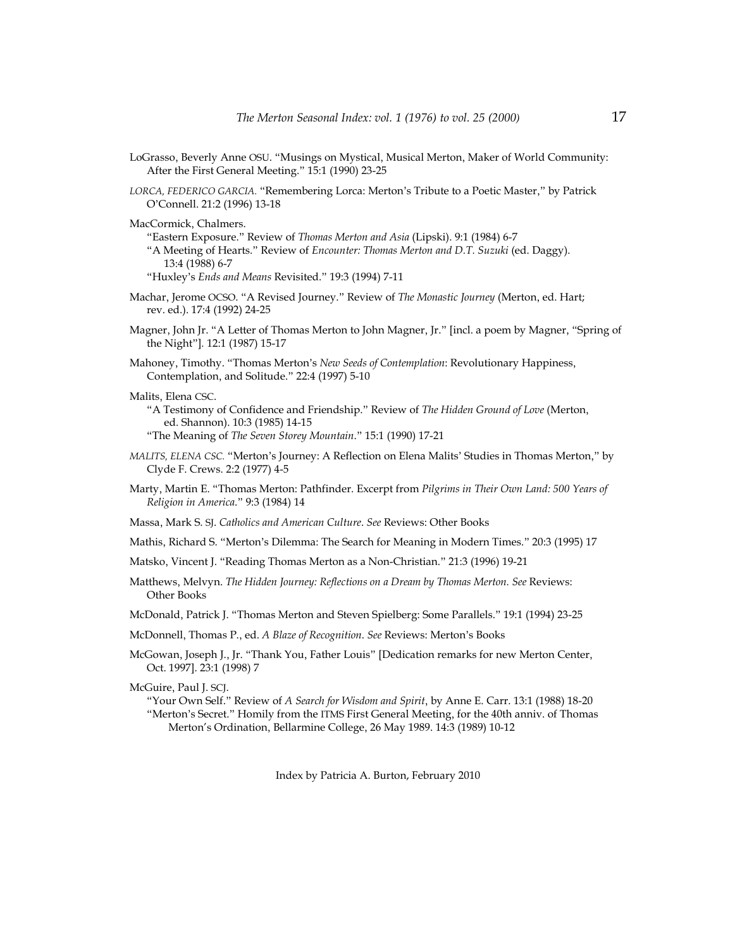- LoGrasso, Beverly Anne OSU. "Musings on Mystical, Musical Merton, Maker of World Community: After the First General Meeting." 15:1 (1990) 23-25
- *LORCA, FEDERICO GARCIA.* "Remembering Lorca: Merton's Tribute to a Poetic Master," by Patrick O'Connell. 21:2 (1996) 13-18

MacCormick, Chalmers.

"Eastern Exposure." Review of *Thomas Merton and Asia* (Lipski). 9:1 (1984) 6-7 "A Meeting of Hearts." Review of *Encounter: Thomas Merton and D.T. Suzuki* (ed. Daggy). 13:4 (1988) 6-7 "Huxley's *Ends and Means* Revisited." 19:3 (1994) 7-11

- Machar, Jerome OCSO. "A Revised Journey." Review of *The Monastic Journey* (Merton, ed. Hart; rev. ed.). 17:4 (1992) 24-25
- Magner, John Jr. "A Letter of Thomas Merton to John Magner, Jr." [incl. a poem by Magner, "Spring of the Night"]*.* 12:1 (1987) 15-17
- Mahoney, Timothy. "Thomas Merton's *New Seeds of Contemplation*: Revolutionary Happiness, Contemplation, and Solitude." 22:4 (1997) 5-10
- Malits, Elena CSC.
	- "A Testimony of Confidence and Friendship." Review of *The Hidden Ground of Love* (Merton, ed. Shannon). 10:3 (1985) 14-15 "The Meaning of *The Seven Storey Mountain*." 15:1 (1990) 17-21
- *MALITS, ELENA CSC.* "Merton's Journey: A Reflection on Elena Malits' Studies in Thomas Merton," by Clyde F. Crews. 2:2 (1977) 4-5
- Marty, Martin E. "Thomas Merton: Pathfinder. Excerpt from *Pilgrims in Their Own Land: 500 Years of Religion in America*." 9:3 (1984) 14
- Massa, Mark S. SJ. *Catholics and American Culture*. *See* Reviews: Other Books
- Mathis, Richard S. "Merton's Dilemma: The Search for Meaning in Modern Times." 20:3 (1995) 17
- Matsko, Vincent J. "Reading Thomas Merton as a Non-Christian." 21:3 (1996) 19-21
- Matthews, Melvyn. *The Hidden Journey: Reflections on a Dream by Thomas Merton. See* Reviews: Other Books
- McDonald, Patrick J. "Thomas Merton and Steven Spielberg: Some Parallels." 19:1 (1994) 23-25
- McDonnell, Thomas P., ed. *A Blaze of Recognition*. *See* Reviews: Merton's Books
- McGowan, Joseph J., Jr. "Thank You, Father Louis" [Dedication remarks for new Merton Center, Oct. 1997]. 23:1 (1998) 7

McGuire, Paul J. SCJ.

"Your Own Self." Review of *A Search for Wisdom and Spirit*, by Anne E. Carr. 13:1 (1988) 18-20 "Merton's Secret." Homily from the ITMS First General Meeting, for the 40th anniv. of Thomas Merton's Ordination, Bellarmine College, 26 May 1989. 14:3 (1989) 10-12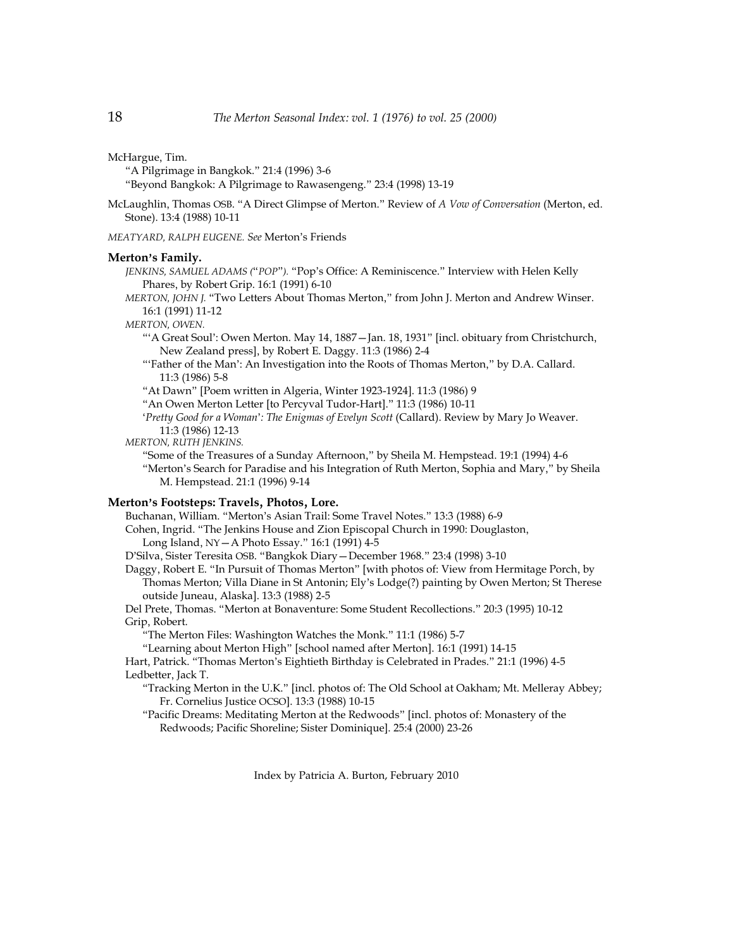McHargue, Tim.

"A Pilgrimage in Bangkok." 21:4 (1996) 3-6

"Beyond Bangkok: A Pilgrimage to Rawasengeng." 23:4 (1998) 13-19

McLaughlin, Thomas OSB. "A Direct Glimpse of Merton." Review of *A Vow of Conversation* (Merton, ed. Stone). 13:4 (1988) 10-11

*MEATYARD, RALPH EUGENE. See* Merton's Friends

# **Merton**'**s Family.**

*JENKINS, SAMUEL ADAMS (*"*POP*"*).* "Pop's Office: A Reminiscence." Interview with Helen Kelly Phares, by Robert Grip. 16:1 (1991) 6-10

*MERTON, JOHN J.* "Two Letters About Thomas Merton," from John J. Merton and Andrew Winser. 16:1 (1991) 11-12

*MERTON, OWEN.*

"'A Great Soul': Owen Merton. May 14, 1887—Jan. 18, 1931" [incl. obituary from Christchurch, New Zealand press], by Robert E. Daggy. 11:3 (1986) 2-4

- "'Father of the Man': An Investigation into the Roots of Thomas Merton," by D.A. Callard. 11:3 (1986) 5-8
- "At Dawn" [Poem written in Algeria, Winter 1923-1924]. 11:3 (1986) 9

"An Owen Merton Letter [to Percyval Tudor-Hart]." 11:3 (1986) 10-11

'*Pretty Good for a Woman*'*: The Enigmas of Evelyn Scott* (Callard). Review by Mary Jo Weaver. 11:3 (1986) 12-13

*MERTON, RUTH JENKINS.* 

"Some of the Treasures of a Sunday Afternoon," by Sheila M. Hempstead. 19:1 (1994) 4-6 "Merton's Search for Paradise and his Integration of Ruth Merton, Sophia and Mary," by Sheila M. Hempstead. 21:1 (1996) 9-14

# **Merton**'**s Footsteps: Travels**, **Photos**, **Lore.**

Buchanan, William. "Merton's Asian Trail: Some Travel Notes." 13:3 (1988) 6-9

Cohen, Ingrid. "The Jenkins House and Zion Episcopal Church in 1990: Douglaston,

Long Island, NY—A Photo Essay." 16:1 (1991) 4-5

D'Silva, Sister Teresita OSB. "Bangkok Diary—December 1968." 23:4 (1998) 3-10

Daggy, Robert E. "In Pursuit of Thomas Merton" [with photos of: View from Hermitage Porch, by Thomas Merton; Villa Diane in St Antonin; Ely's Lodge(?) painting by Owen Merton; St Therese outside Juneau, Alaska]. 13:3 (1988) 2-5

Del Prete, Thomas. "Merton at Bonaventure: Some Student Recollections." 20:3 (1995) 10-12 Grip, Robert.

"The Merton Files: Washington Watches the Monk." 11:1 (1986) 5-7

"Learning about Merton High" [school named after Merton]. 16:1 (1991) 14-15

Hart, Patrick. "Thomas Merton's Eightieth Birthday is Celebrated in Prades." 21:1 (1996) 4-5 Ledbetter, Jack T.

"Tracking Merton in the U.K." [incl. photos of: The Old School at Oakham; Mt. Melleray Abbey; Fr. Cornelius Justice OCSO]. 13:3 (1988) 10-15

"Pacific Dreams: Meditating Merton at the Redwoods" [incl. photos of: Monastery of the Redwoods; Pacific Shoreline; Sister Dominique]. 25:4 (2000) 23-26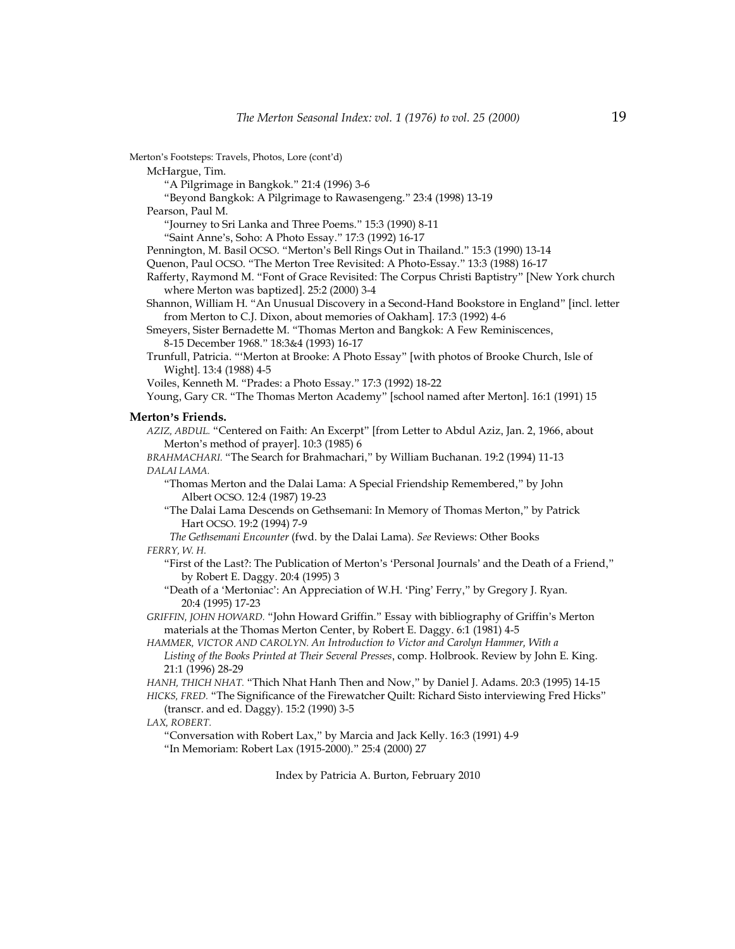Merton's Footsteps: Travels, Photos, Lore (cont'd) McHargue, Tim. "A Pilgrimage in Bangkok." 21:4 (1996) 3-6 "Beyond Bangkok: A Pilgrimage to Rawasengeng." 23:4 (1998) 13-19 Pearson, Paul M. "Journey to Sri Lanka and Three Poems." 15:3 (1990) 8-11 "Saint Anne's, Soho: A Photo Essay." 17:3 (1992) 16-17 Pennington, M. Basil OCSO. "Merton's Bell Rings Out in Thailand." 15:3 (1990) 13-14 Quenon, Paul OCSO. "The Merton Tree Revisited: A Photo-Essay." 13:3 (1988) 16-17 Rafferty, Raymond M. "Font of Grace Revisited: The Corpus Christi Baptistry" [New York church where Merton was baptized]. 25:2 (2000) 3-4 Shannon, William H. "An Unusual Discovery in a Second-Hand Bookstore in England" [incl. letter from Merton to C.J. Dixon, about memories of Oakham]*.* 17:3 (1992) 4-6 Smeyers, Sister Bernadette M. "Thomas Merton and Bangkok: A Few Reminiscences, 8-15 December 1968." 18:3&4 (1993) 16-17 Trunfull, Patricia. "'Merton at Brooke: A Photo Essay" [with photos of Brooke Church, Isle of Wight]. 13:4 (1988) 4-5 Voiles, Kenneth M. "Prades: a Photo Essay." 17:3 (1992) 18-22 Young, Gary CR. "The Thomas Merton Academy" [school named after Merton]. 16:1 (1991) 15 **Merton**'**s Friends.** *AZIZ, ABDUL.* "Centered on Faith: An Excerpt" [from Letter to Abdul Aziz, Jan. 2, 1966, about Merton's method of prayer]. 10:3 (1985) 6 *BRAHMACHARI.* "The Search for Brahmachari," by William Buchanan. 19:2 (1994) 11-13 *DALAI LAMA.* "Thomas Merton and the Dalai Lama: A Special Friendship Remembered," by John Albert OCSO. 12:4 (1987) 19-23 "The Dalai Lama Descends on Gethsemani: In Memory of Thomas Merton," by Patrick Hart OCSO. 19:2 (1994) 7-9  *The Gethsemani Encounter* (fwd. by the Dalai Lama). *See* Reviews: Other Books *FERRY, W. H.* "First of the Last?: The Publication of Merton's 'Personal Journals' and the Death of a Friend," by Robert E. Daggy. 20:4 (1995) 3 "Death of a 'Mertoniac': An Appreciation of W.H. 'Ping' Ferry," by Gregory J. Ryan. 20:4 (1995) 17-23 *GRIFFIN, JOHN HOWARD.* "John Howard Griffin." Essay with bibliography of Griffin's Merton materials at the Thomas Merton Center, by Robert E. Daggy. 6:1 (1981) 4-5 *HAMMER, VICTOR AND CAROLYN. An Introduction to Victor and Carolyn Hammer, With a Listing of the Books Printed at Their Several Presses*, comp. Holbrook. Review by John E. King. 21:1 (1996) 28-29 *HANH, THICH NHAT.* "Thich Nhat Hanh Then and Now," by Daniel J. Adams. 20:3 (1995) 14-15 *HICKS, FRED.* "The Significance of the Firewatcher Quilt: Richard Sisto interviewing Fred Hicks" (transcr. and ed. Daggy). 15:2 (1990) 3-5 *LAX, ROBERT.* "Conversation with Robert Lax," by Marcia and Jack Kelly. 16:3 (1991) 4-9 "In Memoriam: Robert Lax (1915-2000)." 25:4 (2000) 27 Index by Patricia A. Burton, February 2010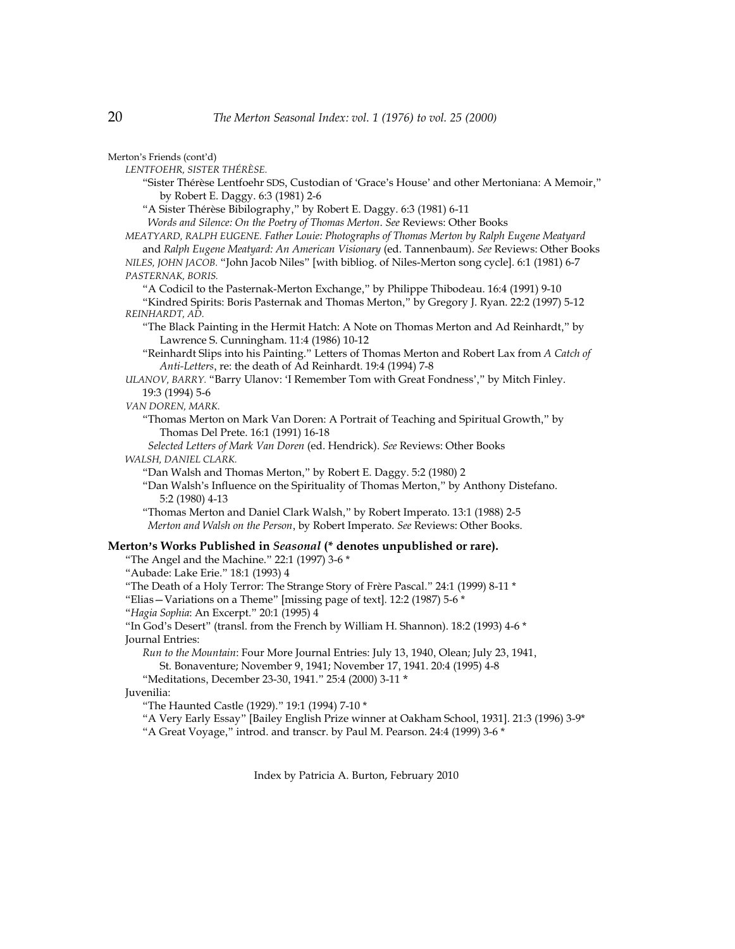Merton's Friends (cont'd)

*LENTFOEHR, SISTER THÉRÈSE.* 

"Sister Thérèse Lentfoehr SDS, Custodian of 'Grace's House' and other Mertoniana: A Memoir," by Robert E. Daggy. 6:3 (1981) 2-6

"A Sister Thérèse Bibilography," by Robert E. Daggy. 6:3 (1981) 6-11

 *Words and Silence: On the Poetry of Thomas Merton*. *See* Reviews: Other Books

*MEATYARD, RALPH EUGENE. Father Louie: Photographs of Thomas Merton by Ralph Eugene Meatyard* and *Ralph Eugene Meatyard: An American Visionary* (ed. Tannenbaum). *See* Reviews: Other Books *NILES, JOHN JACOB.* "John Jacob Niles" [with bibliog. of Niles-Merton song cycle]. 6:1 (1981) 6-7 *PASTERNAK, BORIS.*

"A Codicil to the Pasternak-Merton Exchange," by Philippe Thibodeau. 16:4 (1991) 9-10 "Kindred Spirits: Boris Pasternak and Thomas Merton," by Gregory J. Ryan. 22:2 (1997) 5-12 *REINHARDT, AD.* 

"The Black Painting in the Hermit Hatch: A Note on Thomas Merton and Ad Reinhardt," by Lawrence S. Cunningham. 11:4 (1986) 10-12

"Reinhardt Slips into his Painting." Letters of Thomas Merton and Robert Lax from *A Catch of Anti-Letters*, re: the death of Ad Reinhardt. 19:4 (1994) 7-8

*ULANOV, BARRY.* "Barry Ulanov: 'I Remember Tom with Great Fondness'," by Mitch Finley. 19:3 (1994) 5-6

*VAN DOREN, MARK.*

"Thomas Merton on Mark Van Doren: A Portrait of Teaching and Spiritual Growth," by Thomas Del Prete. 16:1 (1991) 16-18

 *Selected Letters of Mark Van Doren* (ed. Hendrick). *See* Reviews: Other Books *WALSH, DANIEL CLARK.*

"Dan Walsh and Thomas Merton," by Robert E. Daggy. 5:2 (1980) 2

"Dan Walsh's Influence on the Spirituality of Thomas Merton," by Anthony Distefano. 5:2 (1980) 4-13

"Thomas Merton and Daniel Clark Walsh," by Robert Imperato. 13:1 (1988) 2-5  *Merton and Walsh on the Person*, by Robert Imperato. *See* Reviews: Other Books.

## **Merton**'**s Works Published in** *Seasonal* **(\* denotes unpublished or rare).**

"The Angel and the Machine." 22:1 (1997) 3-6 \*

"Aubade: Lake Erie." 18:1 (1993) 4

"The Death of a Holy Terror: The Strange Story of Frère Pascal." 24:1 (1999) 8-11 \*

"Elias—Variations on a Theme" [missing page of text]. 12:2 (1987) 5-6 \*

"*Hagia Sophia*: An Excerpt." 20:1 (1995) 4

"In God's Desert" (transl. from the French by William H. Shannon). 18:2 (1993) 4-6 \* Journal Entries:

*Run to the Mountain*: Four More Journal Entries: July 13, 1940, Olean; July 23, 1941, St. Bonaventure; November 9, 1941; November 17, 1941. 20:4 (1995) 4-8

"Meditations, December 23-30, 1941." 25:4 (2000) 3-11 \*

Juvenilia:

"The Haunted Castle (1929)." 19:1 (1994) 7-10 \*

"A Very Early Essay" [Bailey English Prize winner at Oakham School, 1931]. 21:3 (1996) 3-9\* "A Great Voyage," introd. and transcr. by Paul M. Pearson. 24:4 (1999) 3-6 \*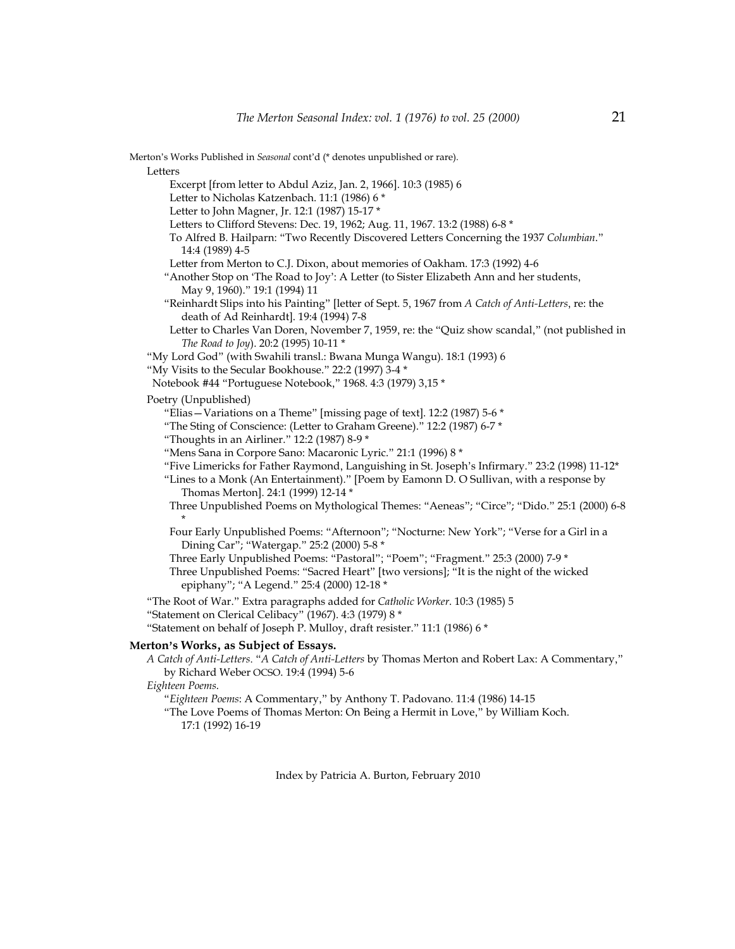Merton's Works Published in *Seasonal* cont'd (\* denotes unpublished or rare). Letters Excerpt [from letter to Abdul Aziz, Jan. 2, 1966]. 10:3 (1985) 6 Letter to Nicholas Katzenbach. 11:1 (1986) 6 \* Letter to John Magner, Jr. 12:1 (1987) 15-17 \* Letters to Clifford Stevens: Dec. 19, 1962; Aug. 11, 1967. 13:2 (1988) 6-8 \* To Alfred B. Hailparn: "Two Recently Discovered Letters Concerning the 1937 *Columbian*." 14:4 (1989) 4-5 Letter from Merton to C.J. Dixon, about memories of Oakham. 17:3 (1992) 4-6 "Another Stop on 'The Road to Joy': A Letter (to Sister Elizabeth Ann and her students, May 9, 1960)." 19:1 (1994) 11 "Reinhardt Slips into his Painting" [letter of Sept. 5, 1967 from *A Catch of Anti-Letters*, re: the death of Ad Reinhardt]. 19:4 (1994) 7-8 Letter to Charles Van Doren, November 7, 1959, re: the "Quiz show scandal," (not published in *The Road to Joy*). 20:2 (1995) 10-11 \* "My Lord God" (with Swahili transl.: Bwana Munga Wangu). 18:1 (1993) 6 "My Visits to the Secular Bookhouse." 22:2 (1997) 3-4 \* Notebook #44 "Portuguese Notebook," 1968. 4:3 (1979) 3,15 \* Poetry (Unpublished) "Elias—Variations on a Theme" [missing page of text]. 12:2 (1987) 5-6 \* "The Sting of Conscience: (Letter to Graham Greene)." 12:2 (1987) 6-7 \* "Thoughts in an Airliner." 12:2 (1987) 8-9 \* "Mens Sana in Corpore Sano: Macaronic Lyric." 21:1 (1996) 8 \* "Five Limericks for Father Raymond, Languishing in St. Joseph's Infirmary." 23:2 (1998) 11-12\* "Lines to a Monk (An Entertainment)." [Poem by Eamonn D. O Sullivan, with a response by Thomas Merton]. 24:1 (1999) 12-14 \* Three Unpublished Poems on Mythological Themes: "Aeneas"; "Circe"; "Dido." 25:1 (2000) 6-8 \* Four Early Unpublished Poems: "Afternoon"; "Nocturne: New York"; "Verse for a Girl in a Dining Car"; "Watergap." 25:2 (2000) 5-8 \* Three Early Unpublished Poems: "Pastoral"; "Poem"; "Fragment." 25:3 (2000) 7-9 \* Three Unpublished Poems: "Sacred Heart" [two versions]; "It is the night of the wicked epiphany"; "A Legend." 25:4 (2000) 12-18 \* "The Root of War." Extra paragraphs added for *Catholic Worker*. 10:3 (1985) 5 "Statement on Clerical Celibacy" (1967). 4:3 (1979) 8 \* "Statement on behalf of Joseph P. Mulloy, draft resister." 11:1 (1986) 6 \* **Merton**'**s Works**, **as Subject of Essays.**  *A Catch of Anti-Letters*. "*A Catch of Anti-Letters* by Thomas Merton and Robert Lax: A Commentary," by Richard Weber OCSO. 19:4 (1994) 5-6 *Eighteen Poems*. "*Eighteen Poems*: A Commentary," by Anthony T. Padovano. 11:4 (1986) 14-15 "The Love Poems of Thomas Merton: On Being a Hermit in Love," by William Koch. 17:1 (1992) 16-19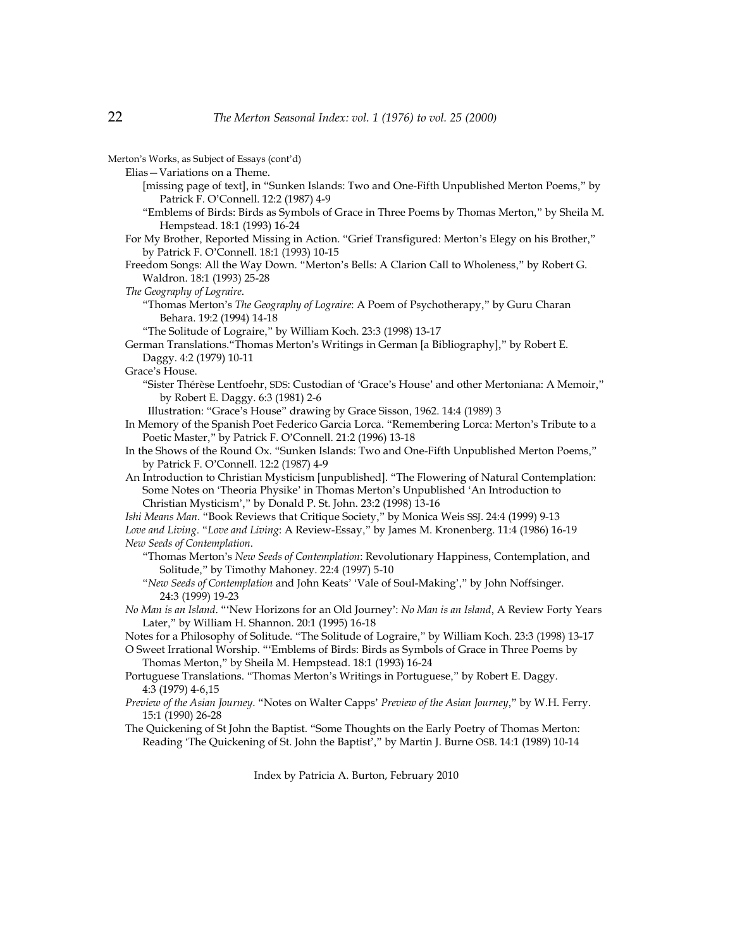Merton's Works, as Subject of Essays (cont'd) Elias—Variations on a Theme. [missing page of text], in "Sunken Islands: Two and One-Fifth Unpublished Merton Poems," by Patrick F. O'Connell. 12:2 (1987) 4-9 "Emblems of Birds: Birds as Symbols of Grace in Three Poems by Thomas Merton," by Sheila M. Hempstead. 18:1 (1993) 16-24 For My Brother, Reported Missing in Action. "Grief Transfigured: Merton's Elegy on his Brother," by Patrick F. O'Connell. 18:1 (1993) 10-15 Freedom Songs: All the Way Down. "Merton's Bells: A Clarion Call to Wholeness," by Robert G. Waldron. 18:1 (1993) 25-28 *The Geography of Lograire*. "Thomas Merton's *The Geography of Lograire*: A Poem of Psychotherapy," by Guru Charan Behara. 19:2 (1994) 14-18 "The Solitude of Lograire," by William Koch. 23:3 (1998) 13-17 German Translations."Thomas Merton's Writings in German [a Bibliography]," by Robert E. Daggy. 4:2 (1979) 10-11 Grace's House. "Sister Thérèse Lentfoehr, SDS: Custodian of 'Grace's House' and other Mertoniana: A Memoir," by Robert E. Daggy. 6:3 (1981) 2-6 Illustration: "Grace's House" drawing by Grace Sisson, 1962. 14:4 (1989) 3 In Memory of the Spanish Poet Federico Garcia Lorca. "Remembering Lorca: Merton's Tribute to a Poetic Master," by Patrick F. O'Connell. 21:2 (1996) 13-18 In the Shows of the Round Ox. "Sunken Islands: Two and One-Fifth Unpublished Merton Poems," by Patrick F. O'Connell. 12:2 (1987) 4-9 An Introduction to Christian Mysticism [unpublished]. "The Flowering of Natural Contemplation: Some Notes on 'Theoria Physike' in Thomas Merton's Unpublished 'An Introduction to Christian Mysticism'," by Donald P. St. John. 23:2 (1998) 13-16 *Ishi Means Man*. "Book Reviews that Critique Society," by Monica Weis SSJ. 24:4 (1999) 9-13 *Love and Living*. "*Love and Living*: A Review-Essay," by James M. Kronenberg. 11:4 (1986) 16-19 *New Seeds of Contemplation*. "Thomas Merton's *New Seeds of Contemplation*: Revolutionary Happiness, Contemplation, and Solitude," by Timothy Mahoney. 22:4 (1997) 5-10 "*New Seeds of Contemplation* and John Keats' 'Vale of Soul-Making'," by John Noffsinger. 24:3 (1999) 19-23 *No Man is an Island*. "'New Horizons for an Old Journey': *No Man is an Island*, A Review Forty Years Later," by William H. Shannon. 20:1 (1995) 16-18 Notes for a Philosophy of Solitude. "The Solitude of Lograire," by William Koch. 23:3 (1998) 13-17 O Sweet Irrational Worship. "'Emblems of Birds: Birds as Symbols of Grace in Three Poems by Thomas Merton," by Sheila M. Hempstead. 18:1 (1993) 16-24 Portuguese Translations. "Thomas Merton's Writings in Portuguese," by Robert E. Daggy. 4:3 (1979) 4-6,15 *Preview of the Asian Journey*. "Notes on Walter Capps' *Preview of the Asian Journey*," by W.H. Ferry. 15:1 (1990) 26-28 The Quickening of St John the Baptist. "Some Thoughts on the Early Poetry of Thomas Merton: Reading 'The Quickening of St. John the Baptist'," by Martin J. Burne OSB. 14:1 (1989) 10-14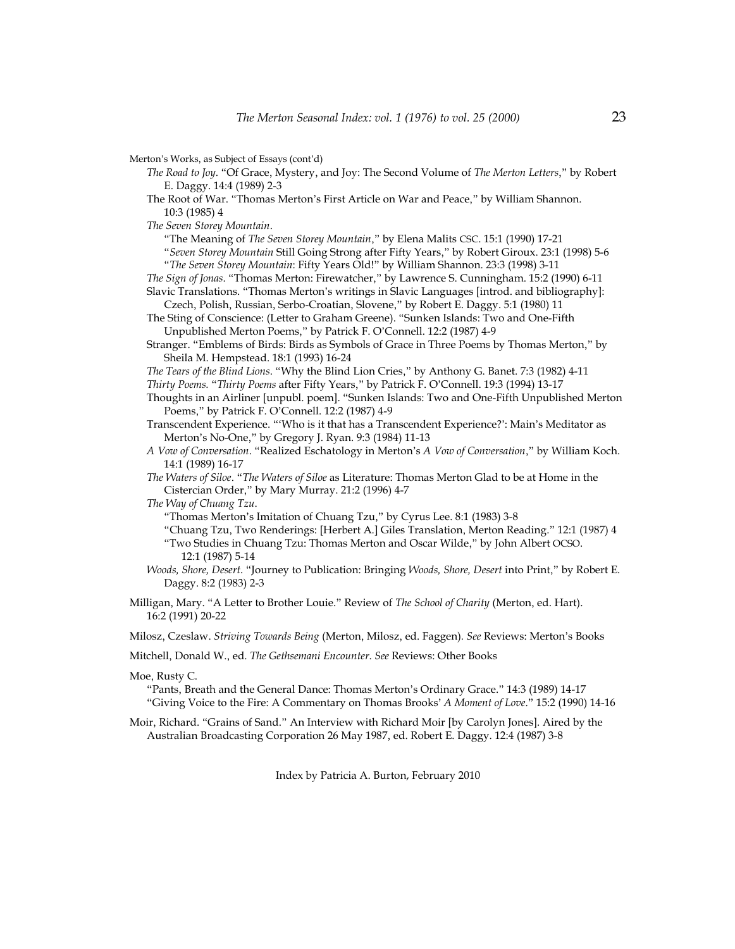Merton's Works, as Subject of Essays (cont'd)

- *The Road to Joy*. "Of Grace, Mystery, and Joy: The Second Volume of *The Merton Letters*," by Robert E. Daggy. 14:4 (1989) 2-3
- The Root of War. "Thomas Merton's First Article on War and Peace," by William Shannon. 10:3 (1985) 4

*The Seven Storey Mountain*.

"The Meaning of *The Seven Storey Mountain*," by Elena Malits CSC. 15:1 (1990) 17-21

"*Seven Storey Mountain* Still Going Strong after Fifty Years," by Robert Giroux. 23:1 (1998) 5-6 "*The Seven Storey Mountain*: Fifty Years Old!" by William Shannon. 23:3 (1998) 3-11

*The Sign of Jonas*. "Thomas Merton: Firewatcher," by Lawrence S. Cunningham. 15:2 (1990) 6-11 Slavic Translations. "Thomas Merton's writings in Slavic Languages [introd. and bibliography]:

Czech, Polish, Russian, Serbo-Croatian, Slovene," by Robert E. Daggy. 5:1 (1980) 11 The Sting of Conscience: (Letter to Graham Greene). "Sunken Islands: Two and One-Fifth

Unpublished Merton Poems," by Patrick F. O'Connell. 12:2 (1987) 4-9

Stranger. "Emblems of Birds: Birds as Symbols of Grace in Three Poems by Thomas Merton," by Sheila M. Hempstead. 18:1 (1993) 16-24

*The Tears of the Blind Lions*. "Why the Blind Lion Cries," by Anthony G. Banet. 7:3 (1982) 4-11

*Thirty Poems.* "*Thirty Poems* after Fifty Years," by Patrick F. O'Connell. 19:3 (1994) 13-17

Thoughts in an Airliner [unpubl. poem]. "Sunken Islands: Two and One-Fifth Unpublished Merton Poems," by Patrick F. O'Connell. 12:2 (1987) 4-9

Transcendent Experience. "'Who is it that has a Transcendent Experience?': Main's Meditator as Merton's No-One," by Gregory J. Ryan. 9:3 (1984) 11-13

- *A Vow of Conversation*. "Realized Eschatology in Merton's *A Vow of Conversation*," by William Koch. 14:1 (1989) 16-17
- *The Waters of Siloe*. "*The Waters of Siloe* as Literature: Thomas Merton Glad to be at Home in the Cistercian Order," by Mary Murray. 21:2 (1996) 4-7

*The Way of Chuang Tzu*.

"Thomas Merton's Imitation of Chuang Tzu," by Cyrus Lee. 8:1 (1983) 3-8

"Chuang Tzu, Two Renderings: [Herbert A.] Giles Translation, Merton Reading." 12:1 (1987) 4 "Two Studies in Chuang Tzu: Thomas Merton and Oscar Wilde," by John Albert OCSO. 12:1 (1987) 5-14

*Woods, Shore, Desert*. "Journey to Publication: Bringing *Woods, Shore, Desert* into Print," by Robert E. Daggy. 8:2 (1983) 2-3

Milligan, Mary. "A Letter to Brother Louie." Review of *The School of Charity* (Merton, ed. Hart). 16:2 (1991) 20-22

Milosz, Czeslaw. *Striving Towards Being* (Merton, Milosz, ed. Faggen)*. See* Reviews: Merton's Books

Mitchell, Donald W., ed. *The Gethsemani Encounter*. *See* Reviews: Other Books

Moe, Rusty C.

"Pants, Breath and the General Dance: Thomas Merton's Ordinary Grace." 14:3 (1989) 14-17 "Giving Voice to the Fire: A Commentary on Thomas Brooks' *A Moment of Love*." 15:2 (1990) 14-16

Moir, Richard. "Grains of Sand." An Interview with Richard Moir [by Carolyn Jones]. Aired by the Australian Broadcasting Corporation 26 May 1987, ed. Robert E. Daggy. 12:4 (1987) 3-8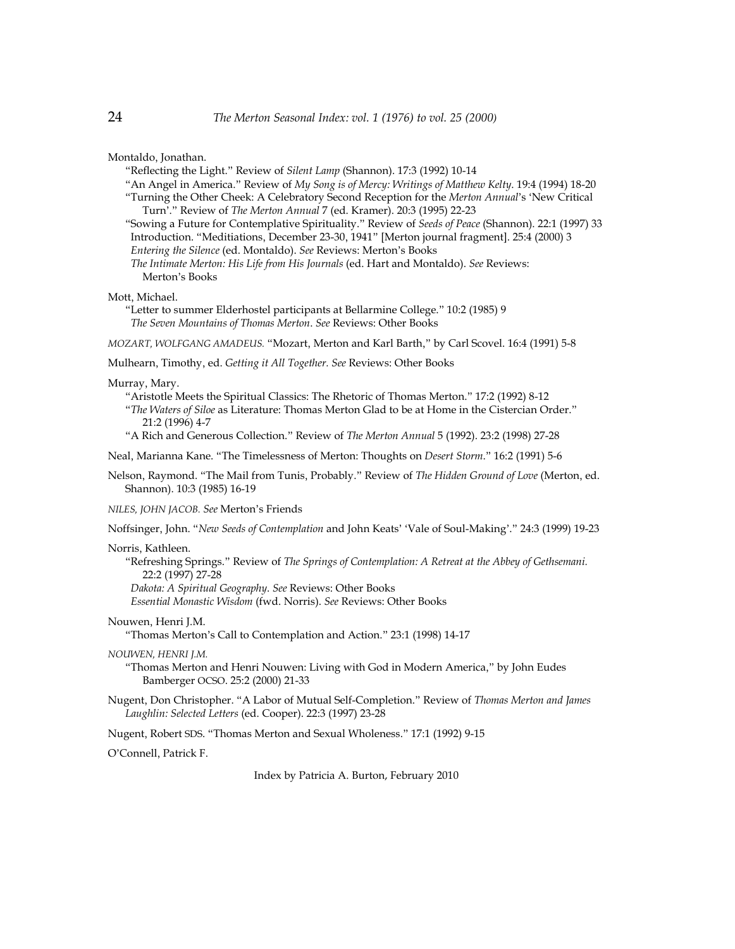Montaldo, Jonathan.

- "Reflecting the Light." Review of *Silent Lamp* (Shannon). 17:3 (1992) 10-14
- "An Angel in America." Review of *My Song is of Mercy: Writings of Matthew Kelty*. 19:4 (1994) 18-20 "Turning the Other Cheek: A Celebratory Second Reception for the *Merton Annual*'s 'New Critical
- Turn'." Review of *The Merton Annual* 7 (ed. Kramer). 20:3 (1995) 22-23
- "Sowing a Future for Contemplative Spirituality." Review of *Seeds of Peace* (Shannon). 22:1 (1997) 33 Introduction. "Meditiations, December 23-30, 1941" [Merton journal fragment]. 25:4 (2000) 3
- *Entering the Silence* (ed. Montaldo). *See* Reviews: Merton's Books

 *The Intimate Merton: His Life from His Journals* (ed. Hart and Montaldo). *See* Reviews: Merton's Books

Mott, Michael.

"Letter to summer Elderhostel participants at Bellarmine College." 10:2 (1985) 9  *The Seven Mountains of Thomas Merton*. *See* Reviews: Other Books

*MOZART, WOLFGANG AMADEUS.* "Mozart, Merton and Karl Barth," by Carl Scovel. 16:4 (1991) 5-8

Mulhearn, Timothy, ed. *Getting it All Together. See* Reviews: Other Books

### Murray, Mary.

- "Aristotle Meets the Spiritual Classics: The Rhetoric of Thomas Merton." 17:2 (1992) 8-12 "*The Waters of Siloe* as Literature: Thomas Merton Glad to be at Home in the Cistercian Order."
- 21:2 (1996) 4-7
- "A Rich and Generous Collection." Review of *The Merton Annual* 5 (1992). 23:2 (1998) 27-28

Neal, Marianna Kane. "The Timelessness of Merton: Thoughts on *Desert Storm*." 16:2 (1991) 5-6

Nelson, Raymond. "The Mail from Tunis, Probably." Review of *The Hidden Ground of Love* (Merton, ed. Shannon). 10:3 (1985) 16-19

*NILES, JOHN JACOB. See* Merton's Friends

Noffsinger, John. "*New Seeds of Contemplation* and John Keats' 'Vale of Soul-Making'." 24:3 (1999) 19-23

#### Norris, Kathleen.

"Refreshing Springs." Review of *The Springs of Contemplation: A Retreat at the Abbey of Gethsemani.* 22:2 (1997) 27-28

 *Dakota: A Spiritual Geography*. *See* Reviews: Other Books

 *Essential Monastic Wisdom* (fwd. Norris). *See* Reviews: Other Books

# Nouwen, Henri J.M.

"Thomas Merton's Call to Contemplation and Action." 23:1 (1998) 14-17

#### *NOUWEN, HENRI J.M.*

"Thomas Merton and Henri Nouwen: Living with God in Modern America," by John Eudes Bamberger OCSO. 25:2 (2000) 21-33

Nugent, Don Christopher. "A Labor of Mutual Self-Completion." Review of *Thomas Merton and James Laughlin: Selected Letters* (ed. Cooper). 22:3 (1997) 23-28

Nugent, Robert SDS. "Thomas Merton and Sexual Wholeness." 17:1 (1992) 9-15

O'Connell, Patrick F.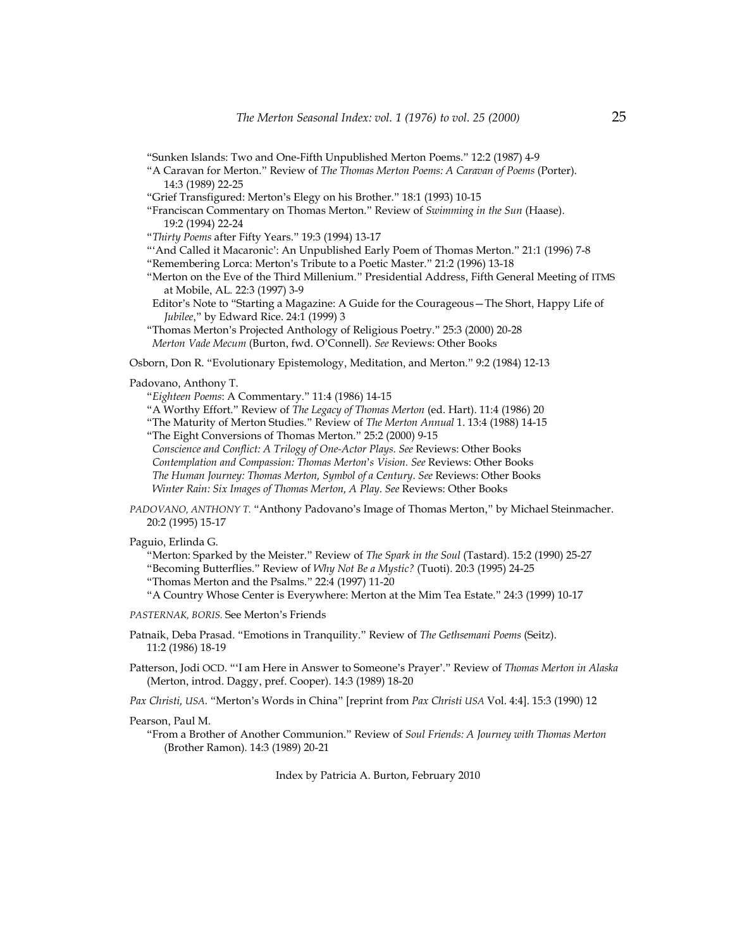- "Sunken Islands: Two and One-Fifth Unpublished Merton Poems." 12:2 (1987) 4-9
- "A Caravan for Merton." Review of *The Thomas Merton Poems: A Caravan of Poems* (Porter). 14:3 (1989) 22-25
- "Grief Transfigured: Merton's Elegy on his Brother." 18:1 (1993) 10-15
- "Franciscan Commentary on Thomas Merton." Review of *Swimming in the Sun* (Haase). 19:2 (1994) 22-24

"*Thirty Poems* after Fifty Years." 19:3 (1994) 13-17

- "'And Called it Macaronic': An Unpublished Early Poem of Thomas Merton." 21:1 (1996) 7-8
- "Remembering Lorca: Merton's Tribute to a Poetic Master." 21:2 (1996) 13-18
- "Merton on the Eve of the Third Millenium." Presidential Address, Fifth General Meeting of ITMS at Mobile, AL*.* 22:3 (1997) 3-9
- Editor's Note to "Starting a Magazine: A Guide for the Courageous—The Short, Happy Life of *Jubilee*," by Edward Rice. 24:1 (1999) 3
- "Thomas Merton's Projected Anthology of Religious Poetry." 25:3 (2000) 20-28  *Merton Vade Mecum* (Burton, fwd. O'Connell). *See* Reviews: Other Books

Osborn, Don R. "Evolutionary Epistemology, Meditation, and Merton." 9:2 (1984) 12-13

# Padovano, Anthony T.

"*Eighteen Poems*: A Commentary." 11:4 (1986) 14-15

"A Worthy Effort." Review of *The Legacy of Thomas Merton* (ed. Hart). 11:4 (1986) 20

- "The Maturity of Merton Studies." Review of *The Merton Annual* 1. 13:4 (1988) 14-15 "The Eight Conversions of Thomas Merton." 25:2 (2000) 9-15
- *Conscience and Conflict: A Trilogy of One-Actor Plays*. *See* Reviews: Other Books  *Contemplation and Compassion: Thomas Merton*'*s Vision. See* Reviews: Other Books
- *The Human Journey: Thomas Merton, Symbol of a Century*. *See* Reviews: Other Books

 *Winter Rain: Six Images of Thomas Merton, A Play*. *See* Reviews: Other Books

*PADOVANO, ANTHONY T.* "Anthony Padovano's Image of Thomas Merton," by Michael Steinmacher. 20:2 (1995) 15-17

# Paguio, Erlinda G.

"Merton: Sparked by the Meister." Review of *The Spark in the Soul* (Tastard). 15:2 (1990) 25-27 "Becoming Butterflies." Review of *Why Not Be a Mystic?* (Tuoti). 20:3 (1995) 24-25

"Thomas Merton and the Psalms." 22:4 (1997) 11-20

"A Country Whose Center is Everywhere: Merton at the Mim Tea Estate." 24:3 (1999) 10-17

- *PASTERNAK, BORIS.* See Merton's Friends
- Patnaik, Deba Prasad. "Emotions in Tranquility." Review of *The Gethsemani Poems* (Seitz). 11:2 (1986) 18-19
- Patterson, Jodi OCD. "'I am Here in Answer to Someone's Prayer'." Review of *Thomas Merton in Alaska* (Merton, introd. Daggy, pref. Cooper). 14:3 (1989) 18-20

*Pax Christi, USA.* "Merton's Words in China" [reprint from *Pax Christi USA* Vol. 4:4]. 15:3 (1990) 12

#### Pearson, Paul M.

"From a Brother of Another Communion." Review of *Soul Friends: A Journey with Thomas Merton* (Brother Ramon). 14:3 (1989) 20-21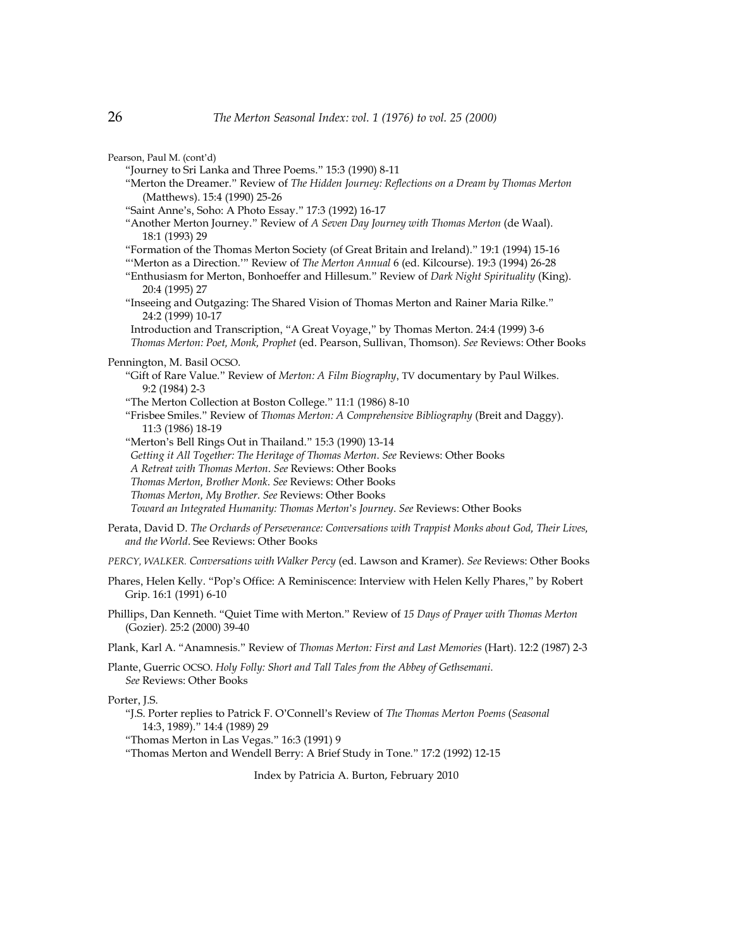| Pearson, Paul M. (cont'd)                                                                                                                                                                                                                                                                                                                                                                                  |
|------------------------------------------------------------------------------------------------------------------------------------------------------------------------------------------------------------------------------------------------------------------------------------------------------------------------------------------------------------------------------------------------------------|
| "Journey to Sri Lanka and Three Poems." 15:3 (1990) 8-11<br>"Merton the Dreamer." Review of The Hidden Journey: Reflections on a Dream by Thomas Merton                                                                                                                                                                                                                                                    |
| (Matthews). 15:4 (1990) 25-26                                                                                                                                                                                                                                                                                                                                                                              |
| "Saint Anne's, Soho: A Photo Essay." 17:3 (1992) 16-17<br>"Another Merton Journey." Review of A Seven Day Journey with Thomas Merton (de Waal).                                                                                                                                                                                                                                                            |
| 18:1 (1993) 29                                                                                                                                                                                                                                                                                                                                                                                             |
| "Formation of the Thomas Merton Society (of Great Britain and Ireland)." 19:1 (1994) 15-16<br>"'Merton as a Direction."" Review of The Merton Annual 6 (ed. Kilcourse). 19:3 (1994) 26-28<br>"Enthusiasm for Merton, Bonhoeffer and Hillesum." Review of Dark Night Spirituality (King).<br>20:4 (1995) 27                                                                                                 |
| "Inseeing and Outgazing: The Shared Vision of Thomas Merton and Rainer Maria Rilke."<br>24:2 (1999) 10-17                                                                                                                                                                                                                                                                                                  |
| Introduction and Transcription, "A Great Voyage," by Thomas Merton. 24:4 (1999) 3-6<br>Thomas Merton: Poet, Monk, Prophet (ed. Pearson, Sullivan, Thomson). See Reviews: Other Books                                                                                                                                                                                                                       |
| Pennington, M. Basil OCSO.<br>"Gift of Rare Value." Review of Merton: A Film Biography, TV documentary by Paul Wilkes.<br>9:2 (1984) 2-3                                                                                                                                                                                                                                                                   |
| "The Merton Collection at Boston College." 11:1 (1986) 8-10<br>"Frisbee Smiles." Review of Thomas Merton: A Comprehensive Bibliography (Breit and Daggy).<br>11:3 (1986) 18-19                                                                                                                                                                                                                             |
| "Merton's Bell Rings Out in Thailand." 15:3 (1990) 13-14<br>Getting it All Together: The Heritage of Thomas Merton. See Reviews: Other Books<br>A Retreat with Thomas Merton. See Reviews: Other Books<br>Thomas Merton, Brother Monk. See Reviews: Other Books<br>Thomas Merton, My Brother. See Reviews: Other Books<br>Toward an Integrated Humanity: Thomas Merton's Journey. See Reviews: Other Books |
|                                                                                                                                                                                                                                                                                                                                                                                                            |
| Perata, David D. The Orchards of Perseverance: Conversations with Trappist Monks about God, Their Lives,<br>and the World. See Reviews: Other Books                                                                                                                                                                                                                                                        |
| PERCY, WALKER. Conversations with Walker Percy (ed. Lawson and Kramer). See Reviews: Other Books                                                                                                                                                                                                                                                                                                           |
| Phares, Helen Kelly. "Pop's Office: A Reminiscence: Interview with Helen Kelly Phares," by Robert<br>Grip. 16:1 (1991) 6-10                                                                                                                                                                                                                                                                                |
| Phillips, Dan Kenneth. "Quiet Time with Merton." Review of 15 Days of Prayer with Thomas Merton<br>(Gozier). 25:2 (2000) 39-40                                                                                                                                                                                                                                                                             |
| Plank, Karl A. "Anamnesis." Review of Thomas Merton: First and Last Memories (Hart). 12:2 (1987) 2-3                                                                                                                                                                                                                                                                                                       |
| Plante, Guerric OCSO. Holy Folly: Short and Tall Tales from the Abbey of Gethsemani.<br>See Reviews: Other Books                                                                                                                                                                                                                                                                                           |
| Porter, J.S.<br>"J.S. Porter replies to Patrick F. O'Connell's Review of The Thomas Merton Poems (Seasonal<br>14:3, 1989)." 14:4 (1989) 29<br>"Thomas Merton in Las Vegas." 16:3 (1991) 9                                                                                                                                                                                                                  |

"Thomas Merton and Wendell Berry: A Brief Study in Tone." 17:2 (1992) 12-15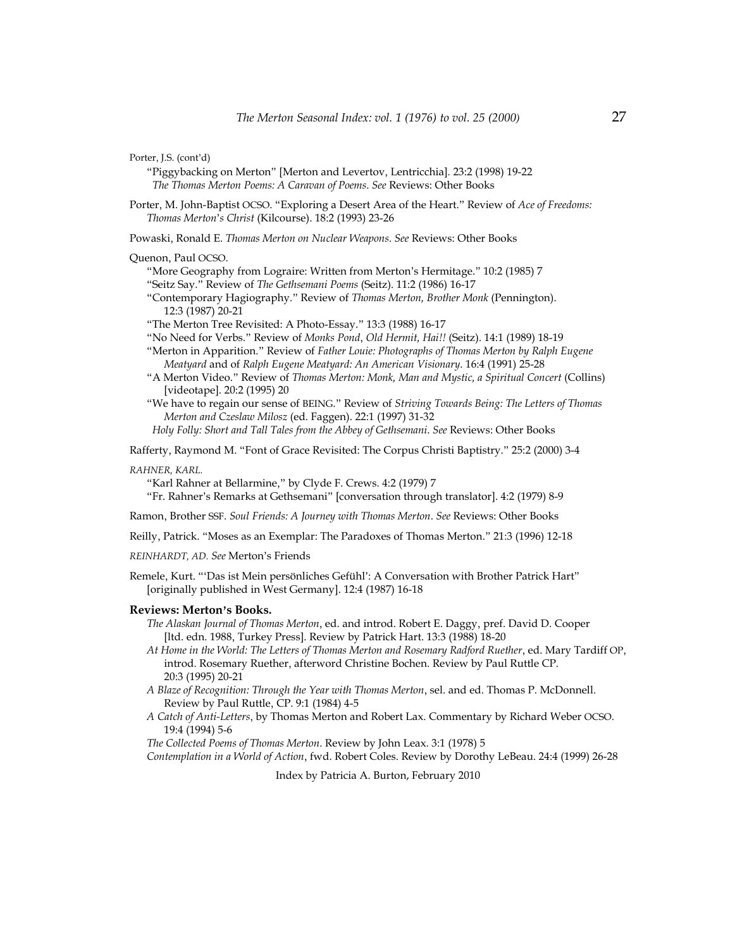Porter, J.S. (cont'd)

- "Piggybacking on Merton" [Merton and Levertov, Lentricchia]*.* 23:2 (1998) 19-22  *The Thomas Merton Poems: A Caravan of Poems*. *See* Reviews: Other Books
- Porter, M. John-Baptist OCSO. "Exploring a Desert Area of the Heart." Review of *Ace of Freedoms: Thomas Merton*'*s Christ* (Kilcourse). 18:2 (1993) 23-26

Powaski, Ronald E. *Thomas Merton on Nuclear Weapons*. *See* Reviews: Other Books

#### Quenon, Paul OCSO.

"More Geography from Lograire: Written from Merton's Hermitage." 10:2 (1985) 7 "Seitz Say." Review of *The Gethsemani Poems* (Seitz). 11:2 (1986) 16-17

"Contemporary Hagiography." Review of *Thomas Merton, Brother Monk* (Pennington). 12:3 (1987) 20-21

"The Merton Tree Revisited: A Photo-Essay." 13:3 (1988) 16-17

"No Need for Verbs." Review of *Monks Pond*, *Old Hermit, Hai!!* (Seitz). 14:1 (1989) 18-19

- "Merton in Apparition." Review of *Father Louie: Photographs of Thomas Merton by Ralph Eugene Meatyard* and of *Ralph Eugene Meatyard: An American Visionary*. 16:4 (1991) 25-28
- "A Merton Video." Review of *Thomas Merton: Monk, Man and Mystic, a Spiritual Concert* (Collins) [videotape]. 20:2 (1995) 20
- "We have to regain our sense of BEING." Review of *Striving Towards Being: The Letters of Thomas Merton and Czeslaw Milosz* (ed. Faggen). 22:1 (1997) 31-32

 *Holy Folly: Short and Tall Tales from the Abbey of Gethsemani*. *See* Reviews: Other Books

Rafferty, Raymond M. "Font of Grace Revisited: The Corpus Christi Baptistry." 25:2 (2000) 3-4

#### *RAHNER, KARL.*

"Karl Rahner at Bellarmine," by Clyde F. Crews. 4:2 (1979) 7

"Fr. Rahner's Remarks at Gethsemani" [conversation through translator]. 4:2 (1979) 8-9

Ramon, Brother SSF. *Soul Friends: A Journey with Thomas Merton*. *See* Reviews: Other Books

Reilly, Patrick. "Moses as an Exemplar: The Paradoxes of Thomas Merton." 21:3 (1996) 12-18

*REINHARDT, AD. See* Merton's Friends

Remele, Kurt. "'Das ist Mein persönliches Gefühl': A Conversation with Brother Patrick Hart" [originally published in West Germany]. 12:4 (1987) 16-18

#### **Reviews: Merton**'**s Books.**

*The Alaskan Journal of Thomas Merton*, ed. and introd. Robert E. Daggy, pref. David D. Cooper [ltd. edn. 1988, Turkey Press]. Review by Patrick Hart. 13:3 (1988) 18-20

- *At Home in the World: The Letters of Thomas Merton and Rosemary Radford Ruether*, ed. Mary Tardiff OP, introd. Rosemary Ruether, afterword Christine Bochen. Review by Paul Ruttle CP. 20:3 (1995) 20-21
- *A Blaze of Recognition: Through the Year with Thomas Merton*, sel. and ed. Thomas P. McDonnell. Review by Paul Ruttle, CP. 9:1 (1984) 4-5
- *A Catch of Anti-Letters*, by Thomas Merton and Robert Lax. Commentary by Richard Weber OCSO. 19:4 (1994) 5-6

*The Collected Poems of Thomas Merton*. Review by John Leax. 3:1 (1978) 5

*Contemplation in a World of Action*, fwd. Robert Coles. Review by Dorothy LeBeau. 24:4 (1999) 26-28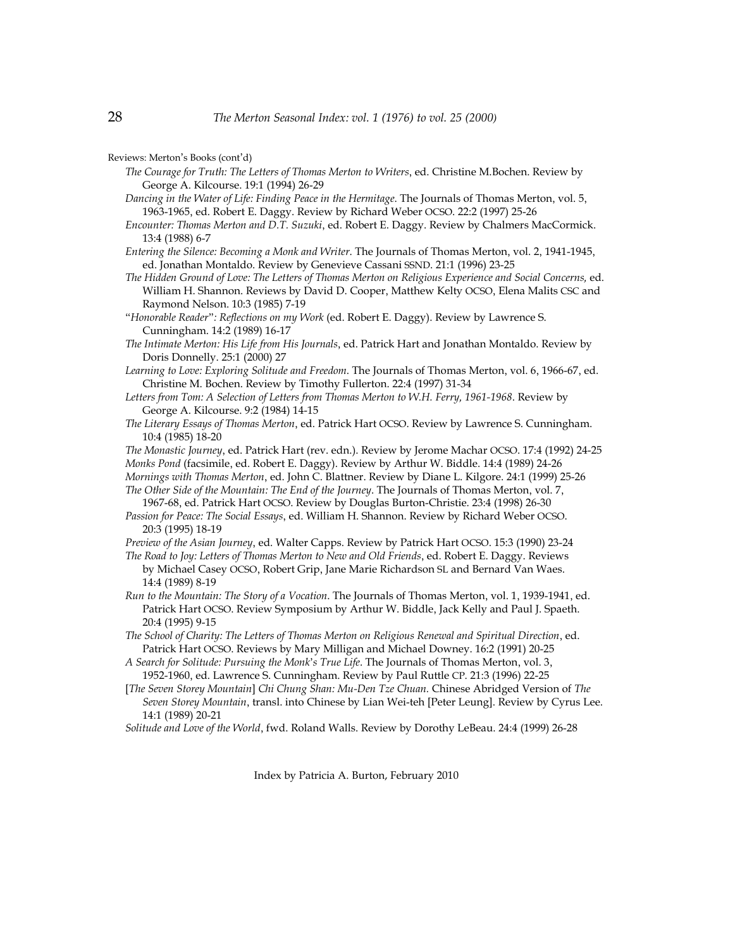Reviews: Merton's Books (cont'd)

- *The Courage for Truth: The Letters of Thomas Merton to Writers*, ed. Christine M.Bochen. Review by George A. Kilcourse. 19:1 (1994) 26-29
- *Dancing in the Water of Life: Finding Peace in the Hermitage*. The Journals of Thomas Merton, vol. 5, 1963-1965, ed. Robert E. Daggy. Review by Richard Weber OCSO. 22:2 (1997) 25-26
- *Encounter: Thomas Merton and D.T. Suzuki*, ed. Robert E. Daggy. Review by Chalmers MacCormick. 13:4 (1988) 6-7
- *Entering the Silence: Becoming a Monk and Writer*. The Journals of Thomas Merton, vol. 2, 1941-1945, ed. Jonathan Montaldo. Review by Genevieve Cassani SSND. 21:1 (1996) 23-25
- *The Hidden Ground of Love: The Letters of Thomas Merton on Religious Experience and Social Concerns,* ed. William H. Shannon. Reviews by David D. Cooper, Matthew Kelty OCSO, Elena Malits CSC and Raymond Nelson. 10:3 (1985) 7-19
- "*Honorable Reader*"*: Reflections on my Work* (ed. Robert E. Daggy). Review by Lawrence S. Cunningham. 14:2 (1989) 16-17
- *The Intimate Merton: His Life from His Journals*, ed. Patrick Hart and Jonathan Montaldo. Review by Doris Donnelly. 25:1 (2000) 27
- *Learning to Love: Exploring Solitude and Freedom*. The Journals of Thomas Merton, vol. 6, 1966-67, ed. Christine M. Bochen. Review by Timothy Fullerton. 22:4 (1997) 31-34
- *Letters from Tom: A Selection of Letters from Thomas Merton to W.H. Ferry, 1961-1968*. Review by George A. Kilcourse. 9:2 (1984) 14-15
- *The Literary Essays of Thomas Merton*, ed. Patrick Hart OCSO. Review by Lawrence S. Cunningham. 10:4 (1985) 18-20
- *The Monastic Journey*, ed. Patrick Hart (rev. edn.). Review by Jerome Machar OCSO. 17:4 (1992) 24-25 *Monks Pond* (facsimile, ed. Robert E. Daggy). Review by Arthur W. Biddle. 14:4 (1989) 24-26
- *Mornings with Thomas Merton*, ed. John C. Blattner. Review by Diane L. Kilgore. 24:1 (1999) 25-26 *The Other Side of the Mountain: The End of the Journey*. The Journals of Thomas Merton, vol. 7,
- 1967-68, ed. Patrick Hart OCSO. Review by Douglas Burton-Christie. 23:4 (1998) 26-30 *Passion for Peace: The Social Essays*, ed. William H. Shannon. Review by Richard Weber OCSO. 20:3 (1995) 18-19
- *Preview of the Asian Journey*, ed. Walter Capps. Review by Patrick Hart OCSO. 15:3 (1990) 23-24
- *The Road to Joy: Letters of Thomas Merton to New and Old Friends*, ed. Robert E. Daggy. Reviews by Michael Casey OCSO, Robert Grip, Jane Marie Richardson SL and Bernard Van Waes. 14:4 (1989) 8-19
- *Run to the Mountain: The Story of a Vocation*. The Journals of Thomas Merton, vol. 1, 1939-1941, ed. Patrick Hart OCSO. Review Symposium by Arthur W. Biddle, Jack Kelly and Paul J. Spaeth. 20:4 (1995) 9-15
- *The School of Charity: The Letters of Thomas Merton on Religious Renewal and Spiritual Direction*, ed. Patrick Hart OCSO. Reviews by Mary Milligan and Michael Downey. 16:2 (1991) 20-25
- *A Search for Solitude: Pursuing the Monk*'*s True Life*. The Journals of Thomas Merton, vol. 3, 1952-1960, ed. Lawrence S. Cunningham. Review by Paul Ruttle CP. 21:3 (1996) 22-25
- [*The Seven Storey Mountain*] *Chi Chung Shan: Mu-Den Tze Chuan.* Chinese Abridged Version of *The Seven Storey Mountain*, transl. into Chinese by Lian Wei-teh [Peter Leung]. Review by Cyrus Lee. 14:1 (1989) 20-21
- *Solitude and Love of the World*, fwd. Roland Walls. Review by Dorothy LeBeau. 24:4 (1999) 26-28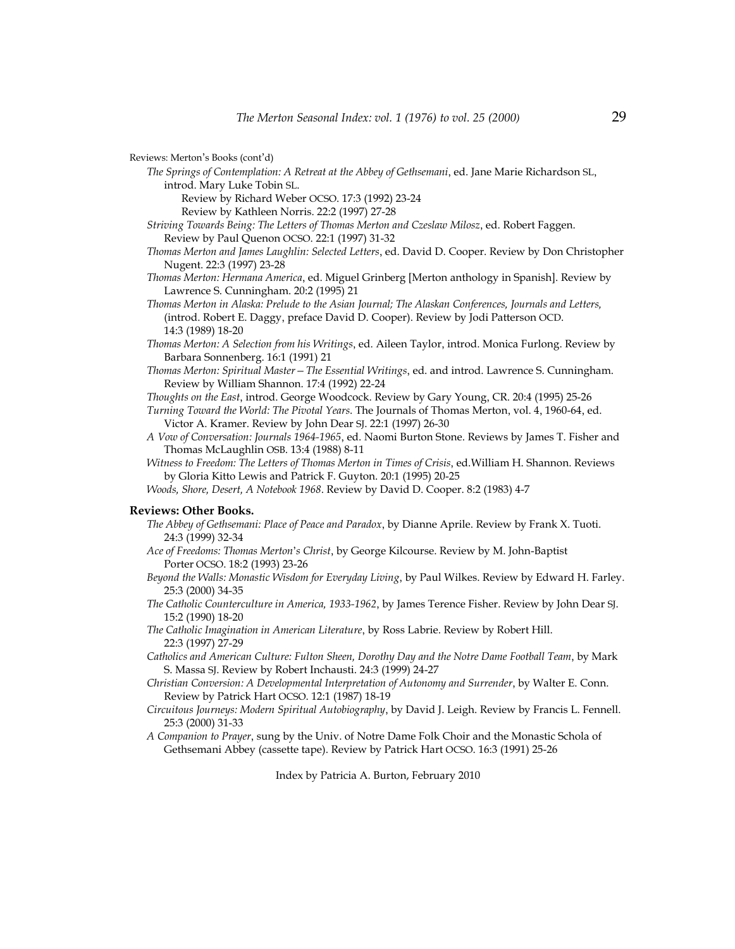Reviews: Merton's Books (cont'd)

*The Springs of Contemplation: A Retreat at the Abbey of Gethsemani*, ed. Jane Marie Richardson SL, introd. Mary Luke Tobin SL.

Review by Richard Weber OCSO. 17:3 (1992) 23-24

Review by Kathleen Norris. 22:2 (1997) 27-28

- *Striving Towards Being: The Letters of Thomas Merton and Czeslaw Milosz*, ed. Robert Faggen. Review by Paul Quenon OCSO. 22:1 (1997) 31-32
- *Thomas Merton and James Laughlin: Selected Letters*, ed. David D. Cooper. Review by Don Christopher Nugent. 22:3 (1997) 23-28
- *Thomas Merton: Hermana America*, ed. Miguel Grinberg [Merton anthology in Spanish]. Review by Lawrence S. Cunningham. 20:2 (1995) 21
- *Thomas Merton in Alaska: Prelude to the Asian Journal; The Alaskan Conferences, Journals and Letters,* (introd. Robert E. Daggy, preface David D. Cooper). Review by Jodi Patterson OCD. 14:3 (1989) 18-20
- *Thomas Merton: A Selection from his Writings*, ed. Aileen Taylor, introd. Monica Furlong. Review by Barbara Sonnenberg. 16:1 (1991) 21
- *Thomas Merton: Spiritual Master—The Essential Writings*, ed. and introd. Lawrence S. Cunningham. Review by William Shannon. 17:4 (1992) 22-24
- *Thoughts on the East*, introd. George Woodcock. Review by Gary Young, CR. 20:4 (1995) 25-26

*Turning Toward the World: The Pivotal Years*. The Journals of Thomas Merton, vol. 4, 1960-64, ed. Victor A. Kramer. Review by John Dear SJ. 22:1 (1997) 26-30

*A Vow of Conversation: Journals 1964-1965*, ed. Naomi Burton Stone. Reviews by James T. Fisher and Thomas McLaughlin OSB. 13:4 (1988) 8-11

*Witness to Freedom: The Letters of Thomas Merton in Times of Crisis*, ed.William H. Shannon. Reviews by Gloria Kitto Lewis and Patrick F. Guyton. 20:1 (1995) 20-25

*Woods, Shore, Desert, A Notebook 1968*. Review by David D. Cooper. 8:2 (1983) 4-7

# **Reviews: Other Books.**

- *The Abbey of Gethsemani: Place of Peace and Paradox*, by Dianne Aprile. Review by Frank X. Tuoti. 24:3 (1999) 32-34
- *Ace of Freedoms: Thomas Merton*'*s Christ*, by George Kilcourse. Review by M. John-Baptist Porter OCSO. 18:2 (1993) 23-26
- *Beyond the Walls: Monastic Wisdom for Everyday Living*, by Paul Wilkes. Review by Edward H. Farley. 25:3 (2000) 34-35
- *The Catholic Counterculture in America, 1933-1962*, by James Terence Fisher. Review by John Dear SJ. 15:2 (1990) 18-20
- *The Catholic Imagination in American Literature*, by Ross Labrie. Review by Robert Hill. 22:3 (1997) 27-29
- *Catholics and American Culture: Fulton Sheen, Dorothy Day and the Notre Dame Football Team*, by Mark S. Massa SJ. Review by Robert Inchausti. 24:3 (1999) 24-27
- *Christian Conversion: A Developmental Interpretation of Autonomy and Surrender*, by Walter E. Conn. Review by Patrick Hart OCSO. 12:1 (1987) 18-19
- *Circuitous Journeys: Modern Spiritual Autobiography*, by David J. Leigh. Review by Francis L. Fennell. 25:3 (2000) 31-33
- *A Companion to Prayer*, sung by the Univ. of Notre Dame Folk Choir and the Monastic Schola of Gethsemani Abbey (cassette tape). Review by Patrick Hart OCSO. 16:3 (1991) 25-26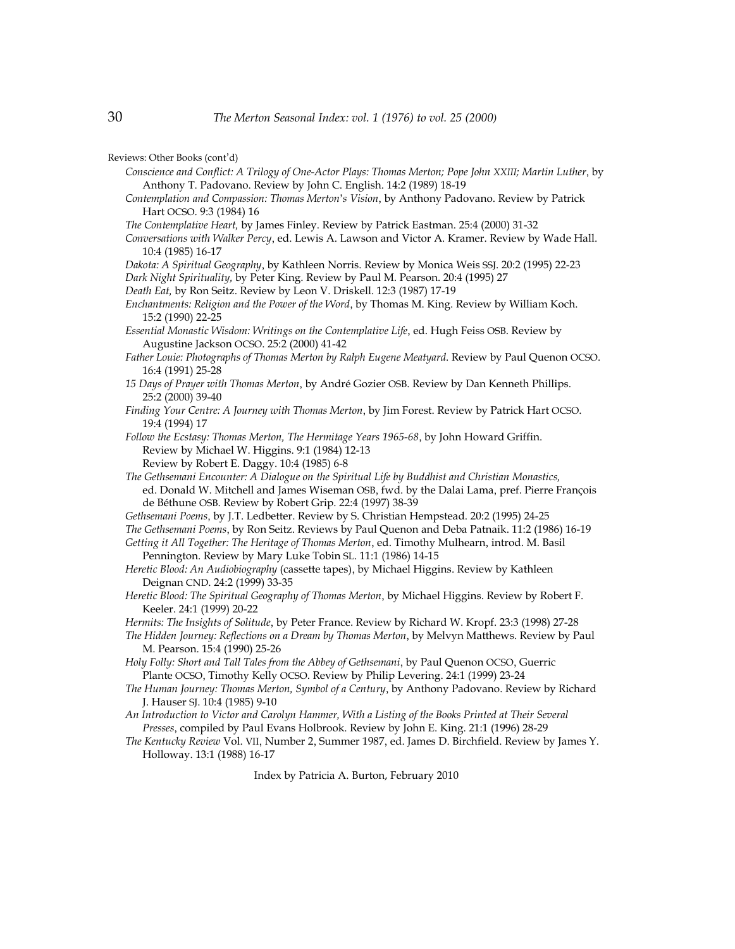- *Conscience and Conflict: A Trilogy of One-Actor Plays: Thomas Merton; Pope John XXIII; Martin Luther*, by Anthony T. Padovano. Review by John C. English. 14:2 (1989) 18-19
- *Contemplation and Compassion: Thomas Merton*'*s Vision*, by Anthony Padovano. Review by Patrick Hart OCSO. 9:3 (1984) 16
- *The Contemplative Heart,* by James Finley. Review by Patrick Eastman. 25:4 (2000) 31-32
- *Conversations with Walker Percy*, ed. Lewis A. Lawson and Victor A. Kramer. Review by Wade Hall. 10:4 (1985) 16-17

*Dakota: A Spiritual Geography*, by Kathleen Norris. Review by Monica Weis SSJ. 20:2 (1995) 22-23

- *Dark Night Spirituality,* by Peter King. Review by Paul M. Pearson. 20:4 (1995) 27
- *Death Eat,* by Ron Seitz. Review by Leon V. Driskell. 12:3 (1987) 17-19
- *Enchantments: Religion and the Power of the Word*, by Thomas M. King. Review by William Koch. 15:2 (1990) 22-25

*Essential Monastic Wisdom: Writings on the Contemplative Life*, ed. Hugh Feiss OSB. Review by Augustine Jackson OCSO. 25:2 (2000) 41-42

- *Father Louie: Photographs of Thomas Merton by Ralph Eugene Meatyard*. Review by Paul Quenon OCSO. 16:4 (1991) 25-28
- *15 Days of Prayer with Thomas Merton*, by André Gozier OSB. Review by Dan Kenneth Phillips. 25:2 (2000) 39-40
- *Finding Your Centre: A Journey with Thomas Merton*, by Jim Forest. Review by Patrick Hart OCSO. 19:4 (1994) 17

*Follow the Ecstasy: Thomas Merton, The Hermitage Years 1965-68*, by John Howard Griffin. Review by Michael W. Higgins. 9:1 (1984) 12-13 Review by Robert E. Daggy. 10:4 (1985) 6-8

- *The Gethsemani Encounter: A Dialogue on the Spiritual Life by Buddhist and Christian Monastics,* ed. Donald W. Mitchell and James Wiseman OSB, fwd. by the Dalai Lama, pref. Pierre François de Béthune OSB. Review by Robert Grip. 22:4 (1997) 38-39
- *Gethsemani Poems*, by J.T. Ledbetter. Review by S. Christian Hempstead. 20:2 (1995) 24-25

*The Gethsemani Poems*, by Ron Seitz. Reviews by Paul Quenon and Deba Patnaik. 11:2 (1986) 16-19

*Getting it All Together: The Heritage of Thomas Merton*, ed. Timothy Mulhearn, introd. M. Basil Pennington. Review by Mary Luke Tobin SL. 11:1 (1986) 14-15

*Heretic Blood: An Audiobiography* (cassette tapes), by Michael Higgins. Review by Kathleen Deignan CND. 24:2 (1999) 33-35

*Heretic Blood: The Spiritual Geography of Thomas Merton*, by Michael Higgins. Review by Robert F. Keeler. 24:1 (1999) 20-22

*Hermits: The Insights of Solitude*, by Peter France. Review by Richard W. Kropf. 23:3 (1998) 27-28

*The Hidden Journey: Reflections on a Dream by Thomas Merton*, by Melvyn Matthews. Review by Paul M. Pearson. 15:4 (1990) 25-26

*Holy Folly: Short and Tall Tales from the Abbey of Gethsemani*, by Paul Quenon OCSO, Guerric Plante OCSO, Timothy Kelly OCSO. Review by Philip Levering. 24:1 (1999) 23-24

- *The Human Journey: Thomas Merton, Symbol of a Century*, by Anthony Padovano. Review by Richard J. Hauser SJ. 10:4 (1985) 9-10
- *An Introduction to Victor and Carolyn Hammer, With a Listing of the Books Printed at Their Several Presses*, compiled by Paul Evans Holbrook. Review by John E. King. 21:1 (1996) 28-29

*The Kentucky Review* Vol. VII, Number 2, Summer 1987, ed. James D. Birchfield. Review by James Y. Holloway. 13:1 (1988) 16-17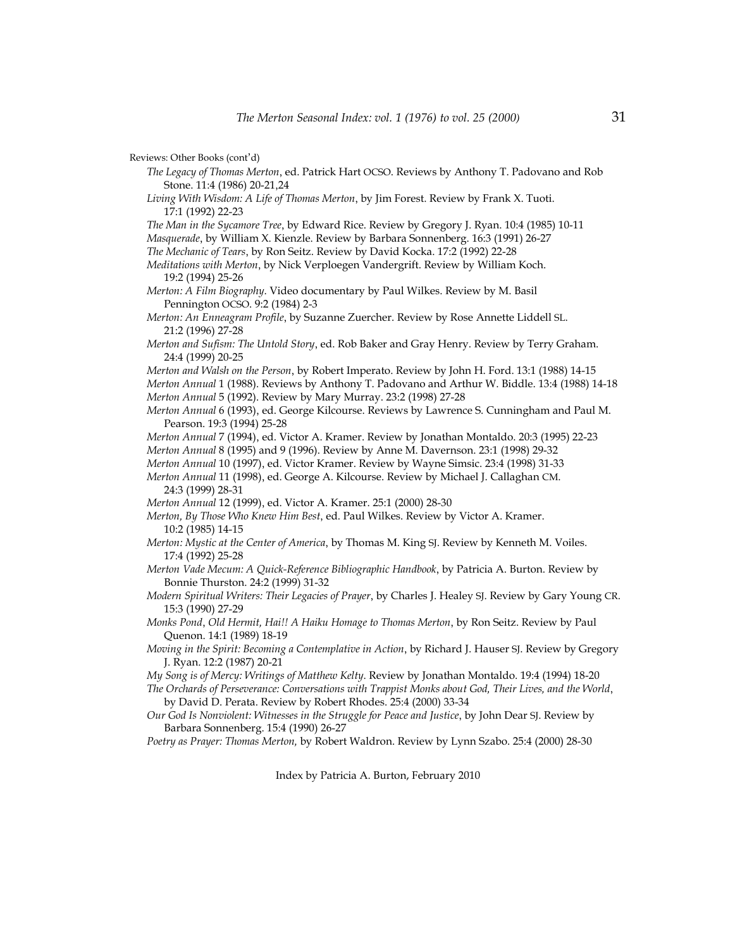- *The Legacy of Thomas Merton*, ed. Patrick Hart OCSO. Reviews by Anthony T. Padovano and Rob Stone. 11:4 (1986) 20-21,24
- *Living With Wisdom: A Life of Thomas Merton*, by Jim Forest. Review by Frank X. Tuoti. 17:1 (1992) 22-23
- *The Man in the Sycamore Tree*, by Edward Rice. Review by Gregory J. Ryan. 10:4 (1985) 10-11 *Masquerade*, by William X. Kienzle. Review by Barbara Sonnenberg. 16:3 (1991) 26-27
- *The Mechanic of Tears*, by Ron Seitz. Review by David Kocka. 17:2 (1992) 22-28
- *Meditations with Merton*, by Nick Verploegen Vandergrift. Review by William Koch. 19:2 (1994) 25-26
- *Merton: A Film Biography*. Video documentary by Paul Wilkes. Review by M. Basil Pennington OCSO. 9:2 (1984) 2-3
- *Merton: An Enneagram Profile*, by Suzanne Zuercher. Review by Rose Annette Liddell SL. 21:2 (1996) 27-28
- *Merton and Sufism: The Untold Story*, ed. Rob Baker and Gray Henry. Review by Terry Graham. 24:4 (1999) 20-25
- *Merton and Walsh on the Person*, by Robert Imperato. Review by John H. Ford. 13:1 (1988) 14-15 *Merton Annual* 1 (1988). Reviews by Anthony T. Padovano and Arthur W. Biddle. 13:4 (1988) 14-18 *Merton Annual* 5 (1992). Review by Mary Murray. 23:2 (1998) 27-28
- *Merton Annual* 6 (1993), ed. George Kilcourse. Reviews by Lawrence S. Cunningham and Paul M. Pearson. 19:3 (1994) 25-28
- *Merton Annual* 7 (1994), ed. Victor A. Kramer. Review by Jonathan Montaldo. 20:3 (1995) 22-23
- *Merton Annual* 8 (1995) and 9 (1996). Review by Anne M. Davernson. 23:1 (1998) 29-32
- *Merton Annual* 10 (1997), ed. Victor Kramer. Review by Wayne Simsic. 23:4 (1998) 31-33
- *Merton Annual* 11 (1998), ed. George A. Kilcourse. Review by Michael J. Callaghan CM. 24:3 (1999) 28-31
- *Merton Annual* 12 (1999), ed. Victor A. Kramer. 25:1 (2000) 28-30
- *Merton, By Those Who Knew Him Best*, ed. Paul Wilkes. Review by Victor A. Kramer. 10:2 (1985) 14-15
- *Merton: Mystic at the Center of America*, by Thomas M. King SJ. Review by Kenneth M. Voiles. 17:4 (1992) 25-28
- *Merton Vade Mecum: A Quick-Reference Bibliographic Handbook*, by Patricia A. Burton. Review by Bonnie Thurston. 24:2 (1999) 31-32
- *Modern Spiritual Writers: Their Legacies of Prayer*, by Charles J. Healey SJ. Review by Gary Young CR. 15:3 (1990) 27-29
- *Monks Pond*, *Old Hermit, Hai!! A Haiku Homage to Thomas Merton*, by Ron Seitz. Review by Paul Quenon. 14:1 (1989) 18-19
- *Moving in the Spirit: Becoming a Contemplative in Action*, by Richard J. Hauser SJ. Review by Gregory J. Ryan. 12:2 (1987) 20-21
- *My Song is of Mercy: Writings of Matthew Kelty*. Review by Jonathan Montaldo. 19:4 (1994) 18-20
- *The Orchards of Perseverance: Conversations with Trappist Monks about God, Their Lives, and the World*, by David D. Perata. Review by Robert Rhodes. 25:4 (2000) 33-34
- *Our God Is Nonviolent: Witnesses in the Struggle for Peace and Justice*, by John Dear SJ. Review by Barbara Sonnenberg. 15:4 (1990) 26-27
- *Poetry as Prayer: Thomas Merton,* by Robert Waldron. Review by Lynn Szabo. 25:4 (2000) 28-30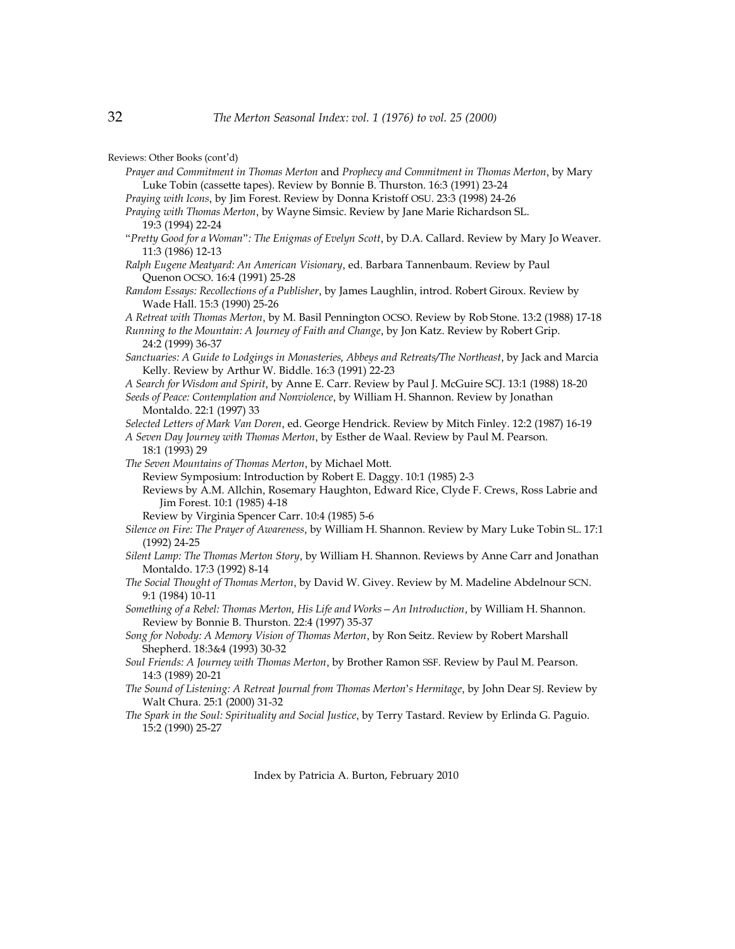- *Prayer and Commitment in Thomas Merton* and *Prophecy and Commitment in Thomas Merton*, by Mary Luke Tobin (cassette tapes). Review by Bonnie B. Thurston. 16:3 (1991) 23-24
- *Praying with Icons*, by Jim Forest. Review by Donna Kristoff OSU. 23:3 (1998) 24-26
- *Praying with Thomas Merton*, by Wayne Simsic. Review by Jane Marie Richardson SL. 19:3 (1994) 22-24
- "*Pretty Good for a Woman*"*: The Enigmas of Evelyn Scott*, by D.A. Callard. Review by Mary Jo Weaver. 11:3 (1986) 12-13
- *Ralph Eugene Meatyard: An American Visionary*, ed. Barbara Tannenbaum. Review by Paul Quenon OCSO. 16:4 (1991) 25-28
- *Random Essays: Recollections of a Publisher*, by James Laughlin, introd. Robert Giroux. Review by Wade Hall. 15:3 (1990) 25-26
- *A Retreat with Thomas Merton*, by M. Basil Pennington OCSO. Review by Rob Stone. 13:2 (1988) 17-18

*Running to the Mountain: A Journey of Faith and Change*, by Jon Katz. Review by Robert Grip. 24:2 (1999) 36-37

- *Sanctuaries: A Guide to Lodgings in Monasteries, Abbeys and Retreats/The Northeast*, by Jack and Marcia Kelly. Review by Arthur W. Biddle. 16:3 (1991) 22-23
- *A Search for Wisdom and Spirit*, by Anne E. Carr. Review by Paul J. McGuire SCJ. 13:1 (1988) 18-20
- *Seeds of Peace: Contemplation and Nonviolence*, by William H. Shannon. Review by Jonathan Montaldo. 22:1 (1997) 33
- *Selected Letters of Mark Van Doren*, ed. George Hendrick. Review by Mitch Finley. 12:2 (1987) 16-19
- *A Seven Day Journey with Thomas Merton*, by Esther de Waal. Review by Paul M. Pearson. 18:1 (1993) 29
- *The Seven Mountains of Thomas Merton*, by Michael Mott.
	- Review Symposium: Introduction by Robert E. Daggy. 10:1 (1985) 2-3

Reviews by A.M. Allchin, Rosemary Haughton, Edward Rice, Clyde F. Crews, Ross Labrie and Jim Forest. 10:1 (1985) 4-18

Review by Virginia Spencer Carr. 10:4 (1985) 5-6

- *Silence on Fire: The Prayer of Awareness*, by William H. Shannon. Review by Mary Luke Tobin SL. 17:1 (1992) 24-25
- *Silent Lamp: The Thomas Merton Story*, by William H. Shannon. Reviews by Anne Carr and Jonathan Montaldo. 17:3 (1992) 8-14
- *The Social Thought of Thomas Merton*, by David W. Givey. Review by M. Madeline Abdelnour SCN. 9:1 (1984) 10-11
- *Something of a Rebel: Thomas Merton, His Life and Works—An Introduction*, by William H. Shannon. Review by Bonnie B. Thurston. 22:4 (1997) 35-37
- *Song for Nobody: A Memory Vision of Thomas Merton*, by Ron Seitz. Review by Robert Marshall Shepherd. 18:3&4 (1993) 30-32
- *Soul Friends: A Journey with Thomas Merton*, by Brother Ramon SSF. Review by Paul M. Pearson. 14:3 (1989) 20-21
- *The Sound of Listening: A Retreat Journal from Thomas Merton*'*s Hermitage*, by John Dear SJ. Review by Walt Chura. 25:1 (2000) 31-32
- *The Spark in the Soul: Spirituality and Social Justice*, by Terry Tastard. Review by Erlinda G. Paguio. 15:2 (1990) 25-27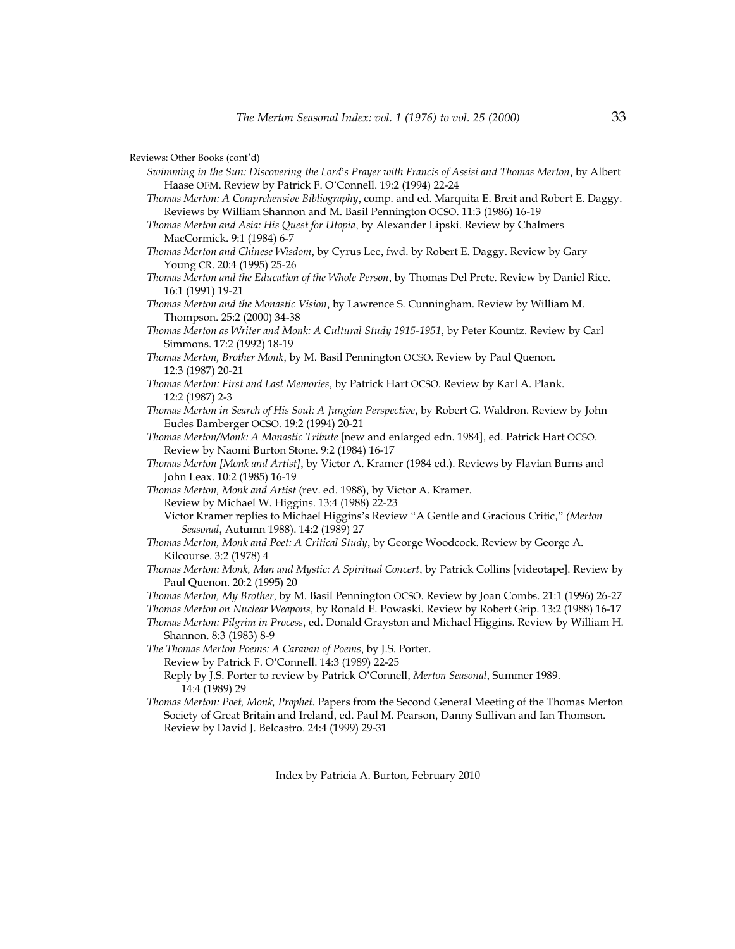- *Swimming in the Sun: Discovering the Lord*'*s Prayer with Francis of Assisi and Thomas Merton*, by Albert Haase OFM. Review by Patrick F. O'Connell. 19:2 (1994) 22-24
- *Thomas Merton: A Comprehensive Bibliography*, comp. and ed. Marquita E. Breit and Robert E. Daggy. Reviews by William Shannon and M. Basil Pennington OCSO. 11:3 (1986) 16-19
- *Thomas Merton and Asia: His Quest for Utopia*, by Alexander Lipski. Review by Chalmers MacCormick. 9:1 (1984) 6-7
- *Thomas Merton and Chinese Wisdom*, by Cyrus Lee, fwd. by Robert E. Daggy. Review by Gary Young CR. 20:4 (1995) 25-26
- *Thomas Merton and the Education of the Whole Person*, by Thomas Del Prete. Review by Daniel Rice. 16:1 (1991) 19-21
- *Thomas Merton and the Monastic Vision*, by Lawrence S. Cunningham. Review by William M. Thompson. 25:2 (2000) 34-38
- *Thomas Merton as Writer and Monk: A Cultural Study 1915-1951*, by Peter Kountz. Review by Carl Simmons. 17:2 (1992) 18-19
- *Thomas Merton, Brother Monk*, by M. Basil Pennington OCSO. Review by Paul Quenon. 12:3 (1987) 20-21
- *Thomas Merton: First and Last Memories*, by Patrick Hart OCSO. Review by Karl A. Plank. 12:2 (1987) 2-3
- *Thomas Merton in Search of His Soul: A Jungian Perspective*, by Robert G. Waldron. Review by John Eudes Bamberger OCSO. 19:2 (1994) 20-21
- *Thomas Merton/Monk: A Monastic Tribute* [new and enlarged edn. 1984], ed. Patrick Hart OCSO. Review by Naomi Burton Stone. 9:2 (1984) 16-17
- *Thomas Merton [Monk and Artist]*, by Victor A. Kramer (1984 ed.). Reviews by Flavian Burns and John Leax. 10:2 (1985) 16-19
- *Thomas Merton, Monk and Artist* (rev. ed. 1988), by Victor A. Kramer.
	- Review by Michael W. Higgins. 13:4 (1988) 22-23
	- Victor Kramer replies to Michael Higgins's Review "A Gentle and Gracious Critic," *(Merton Seasonal*, Autumn 1988). 14:2 (1989) 27
- *Thomas Merton, Monk and Poet: A Critical Study*, by George Woodcock. Review by George A. Kilcourse. 3:2 (1978) 4
- *Thomas Merton: Monk, Man and Mystic: A Spiritual Concert*, by Patrick Collins [videotape]. Review by Paul Quenon. 20:2 (1995) 20
- *Thomas Merton, My Brother*, by M. Basil Pennington OCSO. Review by Joan Combs. 21:1 (1996) 26-27
- *Thomas Merton on Nuclear Weapons*, by Ronald E. Powaski. Review by Robert Grip. 13:2 (1988) 16-17
- *Thomas Merton: Pilgrim in Process*, ed. Donald Grayston and Michael Higgins. Review by William H. Shannon. 8:3 (1983) 8-9
- *The Thomas Merton Poems: A Caravan of Poems*, by J.S. Porter.
	- Review by Patrick F. O'Connell. 14:3 (1989) 22-25
	- Reply by J.S. Porter to review by Patrick O'Connell, *Merton Seasonal*, Summer 1989. 14:4 (1989) 29
- *Thomas Merton: Poet, Monk, Prophet*. Papers from the Second General Meeting of the Thomas Merton Society of Great Britain and Ireland, ed. Paul M. Pearson, Danny Sullivan and Ian Thomson. Review by David J. Belcastro. 24:4 (1999) 29-31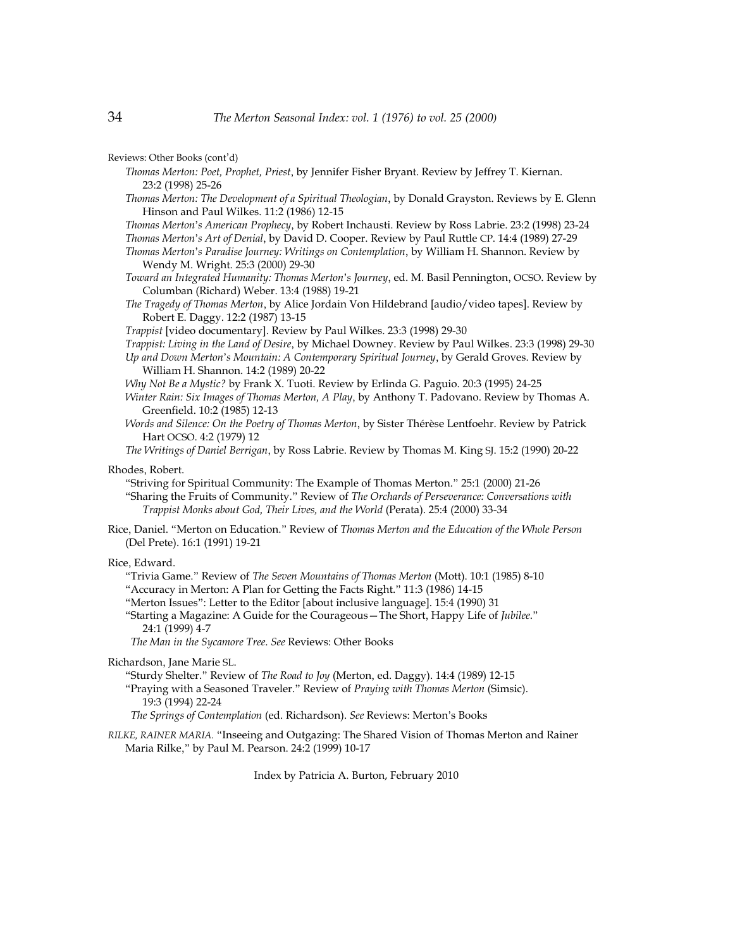- *Thomas Merton: Poet, Prophet, Priest*, by Jennifer Fisher Bryant. Review by Jeffrey T. Kiernan. 23:2 (1998) 25-26
- *Thomas Merton: The Development of a Spiritual Theologian*, by Donald Grayston. Reviews by E. Glenn Hinson and Paul Wilkes. 11:2 (1986) 12-15
- *Thomas Merton*'*s American Prophecy*, by Robert Inchausti. Review by Ross Labrie. 23:2 (1998) 23-24
- *Thomas Merton*'*s Art of Denial*, by David D. Cooper. Review by Paul Ruttle CP. 14:4 (1989) 27-29 *Thomas Merton*'*s Paradise Journey: Writings on Contemplation*, by William H. Shannon. Review by Wendy M. Wright. 25:3 (2000) 29-30
- *Toward an Integrated Humanity: Thomas Merton*'*s Journey*, ed. M. Basil Pennington, OCSO. Review by Columban (Richard) Weber. 13:4 (1988) 19-21
- *The Tragedy of Thomas Merton*, by Alice Jordain Von Hildebrand [audio/video tapes]. Review by Robert E. Daggy. 12:2 (1987) 13-15
- *Trappist* [video documentary]. Review by Paul Wilkes. 23:3 (1998) 29-30
- *Trappist: Living in the Land of Desire*, by Michael Downey. Review by Paul Wilkes. 23:3 (1998) 29-30
- *Up and Down Merton*'*s Mountain: A Contemporary Spiritual Journey*, by Gerald Groves. Review by William H. Shannon. 14:2 (1989) 20-22
- *Why Not Be a Mystic?* by Frank X. Tuoti. Review by Erlinda G. Paguio. 20:3 (1995) 24-25
- *Winter Rain: Six Images of Thomas Merton, A Play*, by Anthony T. Padovano. Review by Thomas A. Greenfield. 10:2 (1985) 12-13
- *Words and Silence: On the Poetry of Thomas Merton*, by Sister Thérèse Lentfoehr. Review by Patrick Hart OCSO. 4:2 (1979) 12
- *The Writings of Daniel Berrigan*, by Ross Labrie. Review by Thomas M. King SJ. 15:2 (1990) 20-22

Rhodes, Robert.

- "Striving for Spiritual Community: The Example of Thomas Merton." 25:1 (2000) 21-26 "Sharing the Fruits of Community." Review of *The Orchards of Perseverance: Conversations with Trappist Monks about God, Their Lives, and the World* (Perata). 25:4 (2000) 33-34
- Rice, Daniel. "Merton on Education." Review of *Thomas Merton and the Education of the Whole Person* (Del Prete). 16:1 (1991) 19-21

Rice, Edward.

"Trivia Game." Review of *The Seven Mountains of Thomas Merton* (Mott). 10:1 (1985) 8-10

"Accuracy in Merton: A Plan for Getting the Facts Right." 11:3 (1986) 14-15

"Merton Issues": Letter to the Editor [about inclusive language]. 15:4 (1990) 31

"Starting a Magazine: A Guide for the Courageous—The Short, Happy Life of *Jubilee*." 24:1 (1999) 4-7

 *The Man in the Sycamore Tree*. *See* Reviews: Other Books

Richardson, Jane Marie SL.

- "Sturdy Shelter." Review of *The Road to Joy* (Merton, ed. Daggy). 14:4 (1989) 12-15
- "Praying with a Seasoned Traveler." Review of *Praying with Thomas Merton* (Simsic). 19:3 (1994) 22-24

 *The Springs of Contemplation* (ed. Richardson). *See* Reviews: Merton's Books

*RILKE, RAINER MARIA.* "Inseeing and Outgazing: The Shared Vision of Thomas Merton and Rainer Maria Rilke," by Paul M. Pearson. 24:2 (1999) 10-17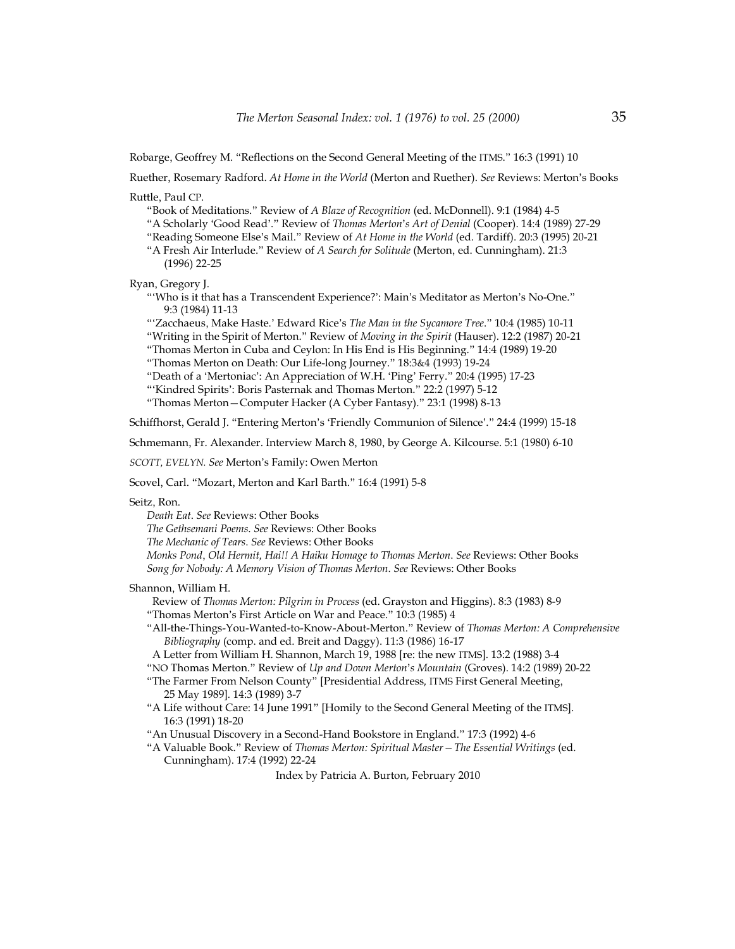Robarge, Geoffrey M. "Reflections on the Second General Meeting of the ITMS." 16:3 (1991) 10

Ruether, Rosemary Radford. *At Home in the World* (Merton and Ruether). *See* Reviews: Merton's Books

Ruttle, Paul CP.

"Book of Meditations." Review of *A Blaze of Recognition* (ed. McDonnell). 9:1 (1984) 4-5

"A Scholarly 'Good Read'." Review of *Thomas Merton*'*s Art of Denial* (Cooper). 14:4 (1989) 27-29

"Reading Someone Else's Mail." Review of *At Home in the World* (ed. Tardiff). 20:3 (1995) 20-21

"A Fresh Air Interlude." Review of *A Search for Solitude* (Merton, ed. Cunningham). 21:3 (1996) 22-25

Ryan, Gregory J.

"'Who is it that has a Transcendent Experience?': Main's Meditator as Merton's No-One." 9:3 (1984) 11-13

"'Zacchaeus, Make Haste.' Edward Rice's *The Man in the Sycamore Tree*." 10:4 (1985) 10-11 "Writing in the Spirit of Merton." Review of *Moving in the Spirit* (Hauser). 12:2 (1987) 20-21

"Thomas Merton in Cuba and Ceylon: In His End is His Beginning." 14:4 (1989) 19-20

"Thomas Merton on Death: Our Life-long Journey." 18:3&4 (1993) 19-24

"Death of a 'Mertoniac': An Appreciation of W.H. 'Ping' Ferry." 20:4 (1995) 17-23

"'Kindred Spirits': Boris Pasternak and Thomas Merton." 22:2 (1997) 5-12

"Thomas Merton—Computer Hacker (A Cyber Fantasy)." 23:1 (1998) 8-13

Schiffhorst, Gerald J. "Entering Merton's 'Friendly Communion of Silence'." 24:4 (1999) 15-18

Schmemann, Fr. Alexander. Interview March 8, 1980, by George A. Kilcourse. 5:1 (1980) 6-10

*SCOTT, EVELYN. See* Merton's Family: Owen Merton

Scovel, Carl. "Mozart, Merton and Karl Barth." 16:4 (1991) 5-8

Seitz, Ron.

*Death Eat*. *See* Reviews: Other Books

*The Gethsemani Poems*. *See* Reviews: Other Books

*The Mechanic of Tears*. *See* Reviews: Other Books

*Monks Pond*, *Old Hermit, Hai!! A Haiku Homage to Thomas Merton*. *See* Reviews: Other Books *Song for Nobody: A Memory Vision of Thomas Merton*. *See* Reviews: Other Books

Shannon, William H.

Review of *Thomas Merton: Pilgrim in Process* (ed. Grayston and Higgins). 8:3 (1983) 8-9

"Thomas Merton's First Article on War and Peace." 10:3 (1985) 4

"All-the-Things-You-Wanted-to-Know-About-Merton." Review of *Thomas Merton: A Comprehensive Bibliography* (comp. and ed. Breit and Daggy). 11:3 (1986) 16-17

A Letter from William H. Shannon, March 19, 1988 [re: the new ITMS]. 13:2 (1988) 3-4

"NO Thomas Merton." Review of *Up and Down Merton*'*s Mountain* (Groves). 14:2 (1989) 20-22

"The Farmer From Nelson County" [Presidential Address*,* ITMS First General Meeting, 25 May 1989]*.* 14:3 (1989) 3-7

"A Life without Care: 14 June 1991" [Homily to the Second General Meeting of the ITMS]. 16:3 (1991) 18-20

"An Unusual Discovery in a Second-Hand Bookstore in England." 17:3 (1992) 4-6

"A Valuable Book." Review of *Thomas Merton: Spiritual Master—The Essential Writings* (ed. Cunningham). 17:4 (1992) 22-24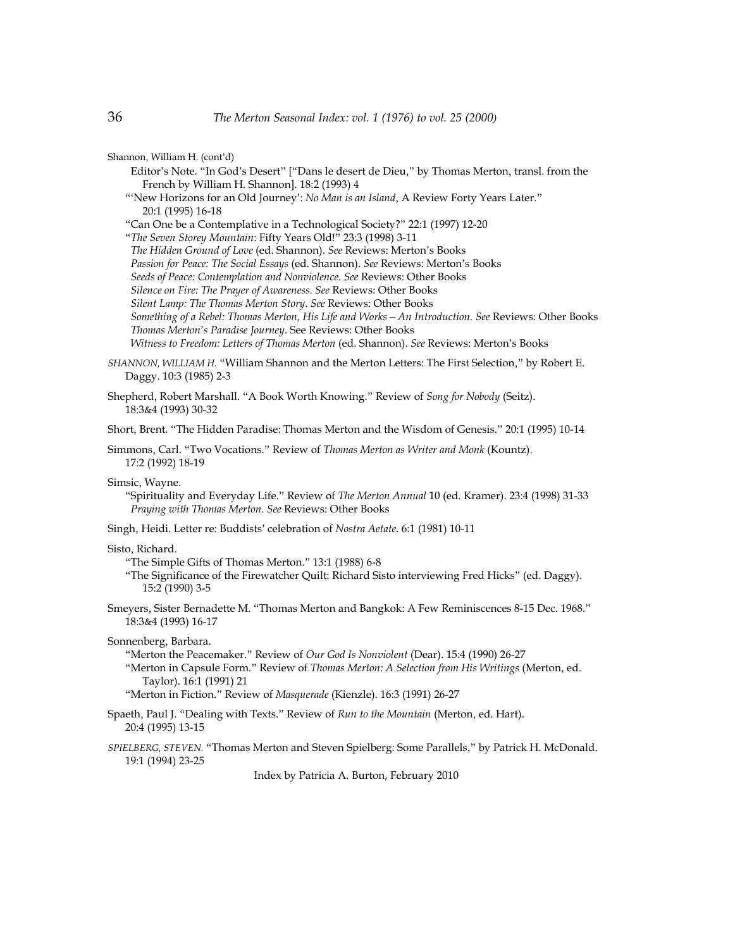Shannon, William H. (cont'd)

 Editor's Note. "In God's Desert" ["Dans le desert de Dieu," by Thomas Merton, transl. from the French by William H. Shannon]. 18:2 (1993) 4

"'New Horizons for an Old Journey': *No Man is an Island*, A Review Forty Years Later." 20:1 (1995) 16-18

"Can One be a Contemplative in a Technological Society?" 22:1 (1997) 12-20

"*The Seven Storey Mountain*: Fifty Years Old!" 23:3 (1998) 3-11

 *The Hidden Ground of Love* (ed. Shannon). *See* Reviews: Merton's Books

 *Passion for Peace: The Social Essays* (ed. Shannon). *See* Reviews: Merton's Books

 *Seeds of Peace: Contemplation and Nonviolence*. *See* Reviews: Other Books

 *Silence on Fire: The Prayer of Awareness*. *See* Reviews: Other Books

 *Silent Lamp: The Thomas Merton Story*. *See* Reviews: Other Books

 *Something of a Rebel: Thomas Merton, His Life and Works—An Introduction. See* Reviews: Other Books  *Thomas Merton*'*s Paradise Journey*. See Reviews: Other Books

 *Witness to Freedom: Letters of Thomas Merton* (ed. Shannon). *See* Reviews: Merton's Books

*SHANNON, WILLIAM H.* "William Shannon and the Merton Letters: The First Selection," by Robert E. Daggy. 10:3 (1985) 2-3

Shepherd, Robert Marshall. "A Book Worth Knowing." Review of *Song for Nobody* (Seitz). 18:3&4 (1993) 30-32

Short, Brent. "The Hidden Paradise: Thomas Merton and the Wisdom of Genesis." 20:1 (1995) 10-14

Simmons, Carl. "Two Vocations." Review of *Thomas Merton as Writer and Monk* (Kountz). 17:2 (1992) 18-19

### Simsic, Wayne.

"Spirituality and Everyday Life." Review of *The Merton Annual* 10 (ed. Kramer). 23:4 (1998) 31-33  *Praying with Thomas Merton*. *See* Reviews: Other Books

Singh, Heidi. Letter re: Buddists' celebration of *Nostra Aetate*. 6:1 (1981) 10-11

## Sisto, Richard.

"The Simple Gifts of Thomas Merton." 13:1 (1988) 6-8

"The Significance of the Firewatcher Quilt: Richard Sisto interviewing Fred Hicks" (ed. Daggy). 15:2 (1990) 3-5

Smeyers, Sister Bernadette M. "Thomas Merton and Bangkok: A Few Reminiscences 8-15 Dec. 1968." 18:3&4 (1993) 16-17

Sonnenberg, Barbara.

"Merton the Peacemaker." Review of *Our God Is Nonviolent* (Dear). 15:4 (1990) 26-27

"Merton in Capsule Form." Review of *Thomas Merton: A Selection from His Writings* (Merton, ed. Taylor). 16:1 (1991) 21

"Merton in Fiction." Review of *Masquerade* (Kienzle). 16:3 (1991) 26-27

Spaeth, Paul J. "Dealing with Texts." Review of *Run to the Mountain* (Merton, ed. Hart). 20:4 (1995) 13-15

*SPIELBERG, STEVEN.* "Thomas Merton and Steven Spielberg: Some Parallels," by Patrick H. McDonald. 19:1 (1994) 23-25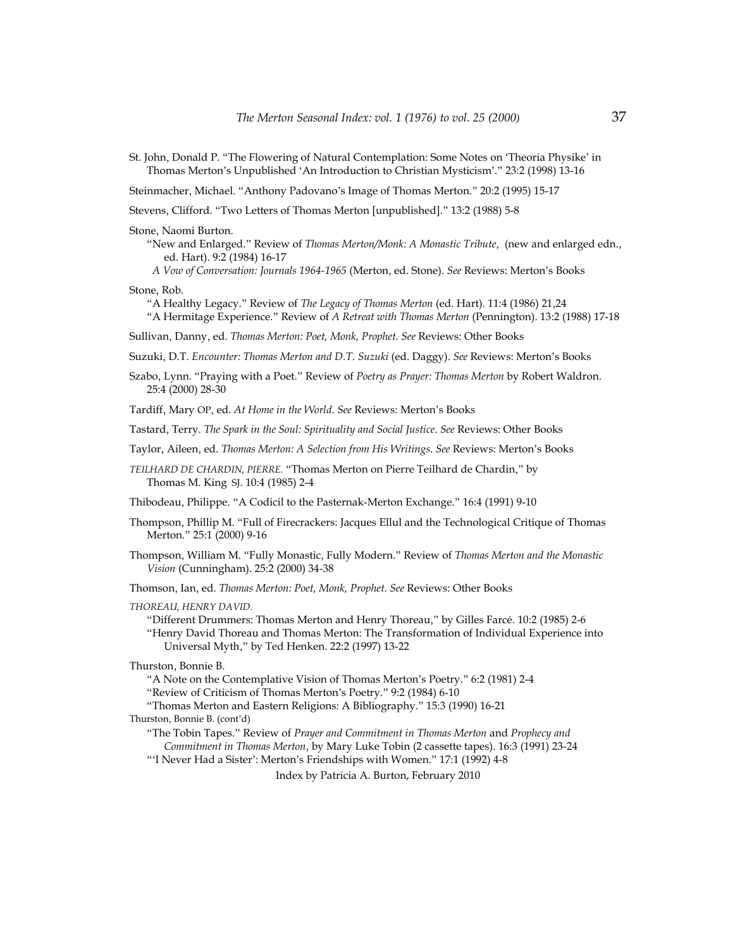St. John, Donald P. "The Flowering of Natural Contemplation: Some Notes on 'Theoria Physike' in Thomas Merton's Unpublished 'An Introduction to Christian Mysticism'." 23:2 (1998) 13-16

Steinmacher, Michael. "Anthony Padovano's Image of Thomas Merton." 20:2 (1995) 15-17

Stevens, Clifford. "Two Letters of Thomas Merton [unpublished]." 13:2 (1988) 5-8

Stone, Naomi Burton.

"New and Enlarged." Review of *Thomas Merton/Monk: A Monastic Tribute*, (new and enlarged edn., ed. Hart). 9:2 (1984) 16-17

 *A Vow of Conversation: Journals 1964-1965* (Merton, ed. Stone). *See* Reviews: Merton's Books

Stone, Rob.

"A Healthy Legacy." Review of *The Legacy of Thomas Merton* (ed. Hart). 11:4 (1986) 21,24

"A Hermitage Experience." Review of *A Retreat with Thomas Merton* (Pennington). 13:2 (1988) 17-18

Sullivan, Danny, ed. *Thomas Merton: Poet, Monk, Prophet*. *See* Reviews: Other Books

Suzuki, D.T. *Encounter: Thomas Merton and D.T. Suzuki* (ed. Daggy). *See* Reviews: Merton's Books

Szabo, Lynn. "Praying with a Poet." Review of *Poetry as Prayer: Thomas Merton* by Robert Waldron. 25:4 (2000) 28-30

Tardiff, Mary OP, ed. *At Home in the World*. *See* Reviews: Merton's Books

Tastard, Terry. *The Spark in the Soul: Spirituality and Social Justice*. *See* Reviews: Other Books

Taylor, Aileen, ed. *Thomas Merton: A Selection from His Writings*. *See* Reviews: Merton's Books

*TEILHARD DE CHARDIN, PIERRE.* "Thomas Merton on Pierre Teilhard de Chardin," by Thomas M. King SJ. 10:4 (1985) 2-4

Thibodeau, Philippe. "A Codicil to the Pasternak-Merton Exchange." 16:4 (1991) 9-10

- Thompson, Phillip M. "Full of Firecrackers: Jacques Ellul and the Technological Critique of Thomas Merton." 25:1 (2000) 9-16
- Thompson, William M. "Fully Monastic, Fully Modern." Review of *Thomas Merton and the Monastic Vision* (Cunningham). 25:2 (2000) 34-38

Thomson, Ian, ed. *Thomas Merton: Poet, Monk, Prophet*. *See* Reviews: Other Books

*THOREAU, HENRY DAVID.* 

"Different Drummers: Thomas Merton and Henry Thoreau," by Gilles Farcé. 10:2 (1985) 2-6 "Henry David Thoreau and Thomas Merton: The Transformation of Individual Experience into Universal Myth," by Ted Henken. 22:2 (1997) 13-22

Thurston, Bonnie B.

"A Note on the Contemplative Vision of Thomas Merton's Poetry." 6:2 (1981) 2-4

"Review of Criticism of Thomas Merton's Poetry." 9:2 (1984) 6-10

"Thomas Merton and Eastern Religions: A Bibliography." 15:3 (1990) 16-21

Thurston, Bonnie B. (cont'd)

"The Tobin Tapes." Review of *Prayer and Commitment in Thomas Merton* and *Prophecy and Commitment in Thomas Merton*, by Mary Luke Tobin (2 cassette tapes). 16:3 (1991) 23-24

"'I Never Had a Sister': Merton's Friendships with Women." 17:1 (1992) 4-8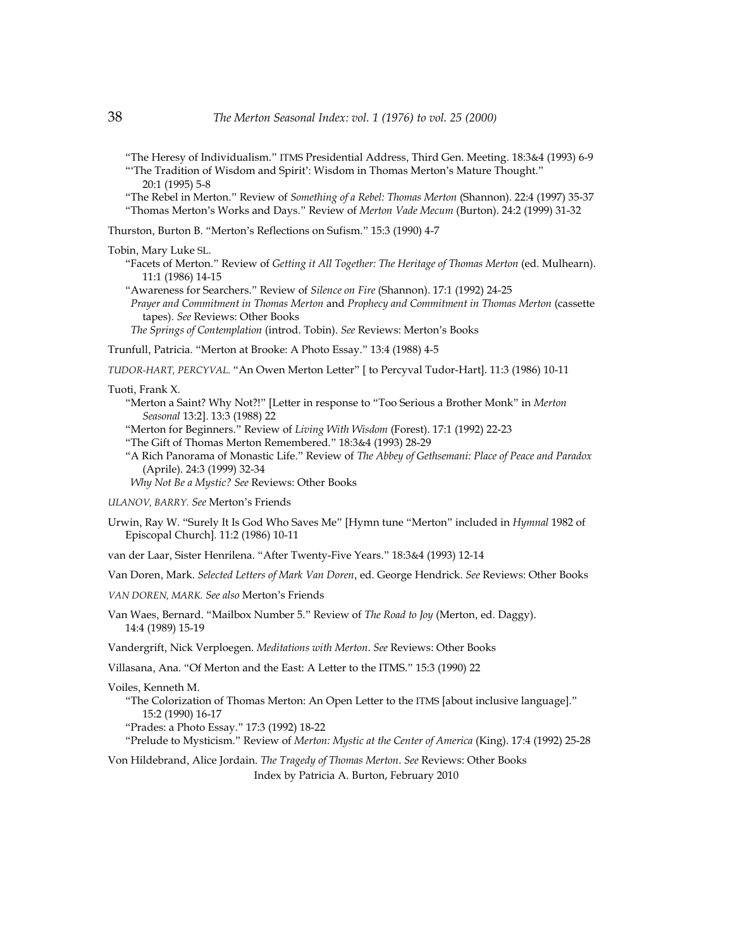"The Heresy of Individualism." ITMS Presidential Address, Third Gen. Meeting. 18:3&4 (1993) 6-9 "'The Tradition of Wisdom and Spirit': Wisdom in Thomas Merton's Mature Thought." 20:1 (1995) 5-8

"The Rebel in Merton." Review of *Something of a Rebel: Thomas Merton* (Shannon). 22:4 (1997) 35-37 "Thomas Merton's Works and Days." Review of *Merton Vade Mecum* (Burton). 24:2 (1999) 31-32

Thurston, Burton B. "Merton's Reflections on Sufism." 15:3 (1990) 4-7

Tobin, Mary Luke SL.

"Facets of Merton." Review of *Getting it All Together: The Heritage of Thomas Merton* (ed. Mulhearn). 11:1 (1986) 14-15

"Awareness for Searchers." Review of *Silence on Fire* (Shannon). 17:1 (1992) 24-25  *Prayer and Commitment in Thomas Merton* and *Prophecy and Commitment in Thomas Merton* (cassette

tapes). *See* Reviews: Other Books  *The Springs of Contemplation* (introd. Tobin). *See* Reviews: Merton's Books

Trunfull, Patricia. "Merton at Brooke: A Photo Essay." 13:4 (1988) 4-5

*TUDOR-HART, PERCYVAL.* "An Owen Merton Letter" [ to Percyval Tudor-Hart]. 11:3 (1986) 10-11

## Tuoti, Frank X.

"Merton a Saint? Why Not?!" [Letter in response to "Too Serious a Brother Monk" in *Merton Seasonal* 13:2]. 13:3 (1988) 22

"Merton for Beginners." Review of *Living With Wisdom* (Forest). 17:1 (1992) 22-23

"The Gift of Thomas Merton Remembered." 18:3&4 (1993) 28-29

"A Rich Panorama of Monastic Life." Review of *The Abbey of Gethsemani: Place of Peace and Paradox* (Aprile). 24:3 (1999) 32-34

 *Why Not Be a Mystic? See* Reviews: Other Books

*ULANOV, BARRY. See* Merton's Friends

Urwin, Ray W. "Surely It Is God Who Saves Me" [Hymn tune "Merton" included in *Hymnal* 1982 of Episcopal Church]. 11:2 (1986) 10-11

van der Laar, Sister Henrilena. "After Twenty-Five Years." 18:3&4 (1993) 12-14

Van Doren, Mark. *Selected Letters of Mark Van Doren*, ed. George Hendrick. *See* Reviews: Other Books

*VAN DOREN, MARK. See also* Merton's Friends

Van Waes, Bernard. "Mailbox Number 5." Review of *The Road to Joy* (Merton, ed. Daggy). 14:4 (1989) 15-19

Vandergrift, Nick Verploegen. *Meditations with Merton*. *See* Reviews: Other Books

Villasana, Ana. "Of Merton and the East: A Letter to the ITMS." 15:3 (1990) 22

Voiles, Kenneth M.

"The Colorization of Thomas Merton: An Open Letter to the ITMS [about inclusive language]." 15:2 (1990) 16-17

"Prades: a Photo Essay." 17:3 (1992) 18-22

"Prelude to Mysticism." Review of *Merton: Mystic at the Center of America* (King). 17:4 (1992) 25-28

Von Hildebrand, Alice Jordain. *The Tragedy of Thomas Merton*. *See* Reviews: Other Books Index by Patricia A. Burton, February 2010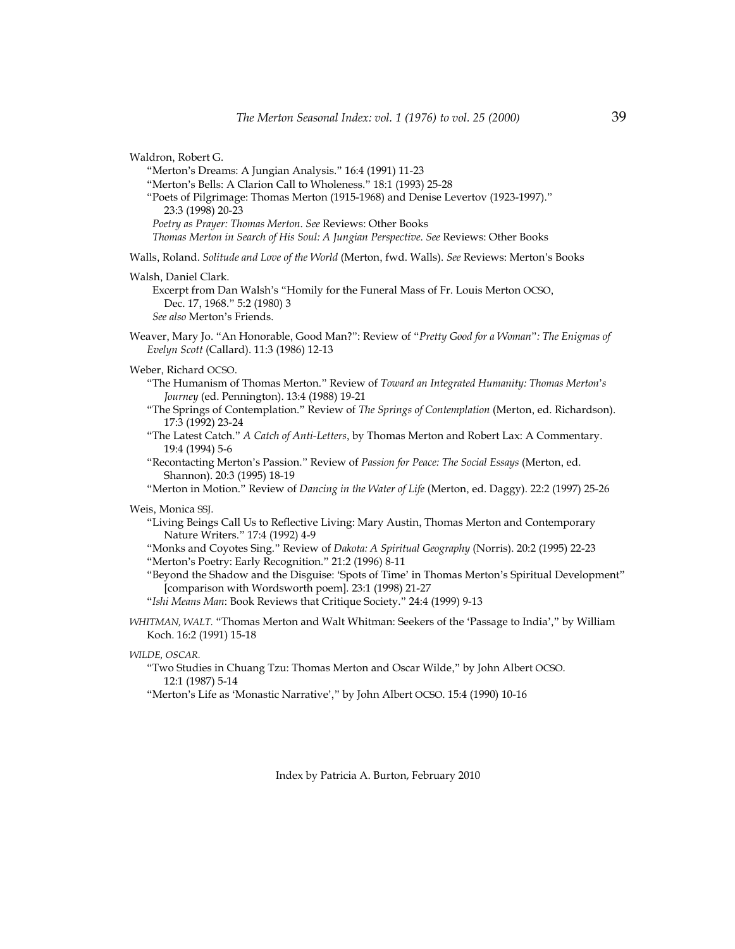| Waldron, Robert G.<br>"Merton's Dreams: A Jungian Analysis." 16:4 (1991) 11-23<br>"Merton's Bells: A Clarion Call to Wholeness." 18:1 (1993) 25-28<br>"Poets of Pilgrimage: Thomas Merton (1915-1968) and Denise Levertov (1923-1997)."<br>23:3 (1998) 20-23<br>Poetry as Prayer: Thomas Merton. See Reviews: Other Books<br>Thomas Merton in Search of His Soul: A Jungian Perspective. See Reviews: Other Books                                                                                                                                                                                                                               |
|-------------------------------------------------------------------------------------------------------------------------------------------------------------------------------------------------------------------------------------------------------------------------------------------------------------------------------------------------------------------------------------------------------------------------------------------------------------------------------------------------------------------------------------------------------------------------------------------------------------------------------------------------|
| Walls, Roland. Solitude and Love of the World (Merton, fwd. Walls). See Reviews: Merton's Books                                                                                                                                                                                                                                                                                                                                                                                                                                                                                                                                                 |
| Walsh, Daniel Clark.<br>Excerpt from Dan Walsh's "Homily for the Funeral Mass of Fr. Louis Merton OCSO,<br>Dec. 17, 1968." 5:2 (1980) 3<br>See also Merton's Friends.                                                                                                                                                                                                                                                                                                                                                                                                                                                                           |
| Weaver, Mary Jo. "An Honorable, Good Man?": Review of "Pretty Good for a Woman": The Enigmas of<br>Evelyn Scott (Callard). 11:3 (1986) 12-13                                                                                                                                                                                                                                                                                                                                                                                                                                                                                                    |
| Weber, Richard OCSO.<br>"The Humanism of Thomas Merton." Review of Toward an Integrated Humanity: Thomas Merton's<br>Journey (ed. Pennington). 13:4 (1988) 19-21<br>"The Springs of Contemplation." Review of The Springs of Contemplation (Merton, ed. Richardson).<br>17:3 (1992) 23-24<br>"The Latest Catch." A Catch of Anti-Letters, by Thomas Merton and Robert Lax: A Commentary.<br>19:4 (1994) 5-6<br>"Recontacting Merton's Passion." Review of Passion for Peace: The Social Essays (Merton, ed.<br>Shannon). 20:3 (1995) 18-19<br>"Merton in Motion." Review of Dancing in the Water of Life (Merton, ed. Daggy). 22:2 (1997) 25-26 |
| Weis, Monica SSJ.<br>"Living Beings Call Us to Reflective Living: Mary Austin, Thomas Merton and Contemporary<br>Nature Writers." 17:4 (1992) 4-9<br>"Monks and Coyotes Sing." Review of Dakota: A Spiritual Geography (Norris). 20:2 (1995) 22-23<br>"Merton's Poetry: Early Recognition." 21:2 (1996) 8-11<br>"Beyond the Shadow and the Disguise: 'Spots of Time' in Thomas Merton's Spiritual Development"<br>[comparison with Wordsworth poem]. 23:1 (1998) 21-27<br>"Ishi Means Man: Book Reviews that Critique Society." 24:4 (1999) 9-13                                                                                                |
| WHITMAN, WALT. "Thomas Merton and Walt Whitman: Seekers of the 'Passage to India'," by William<br>Koch. 16:2 (1991) 15-18                                                                                                                                                                                                                                                                                                                                                                                                                                                                                                                       |
| WILDE, OSCAR.<br>"Two Studies in Chuang Tzu: Thomas Merton and Oscar Wilde," by John Albert OCSO.<br>12:1 (1987) 5-14<br>"Merton's Life as 'Monastic Narrative'," by John Albert OCSO. 15:4 (1990) 10-16                                                                                                                                                                                                                                                                                                                                                                                                                                        |
| Index by Patricia A. Burton, February 2010                                                                                                                                                                                                                                                                                                                                                                                                                                                                                                                                                                                                      |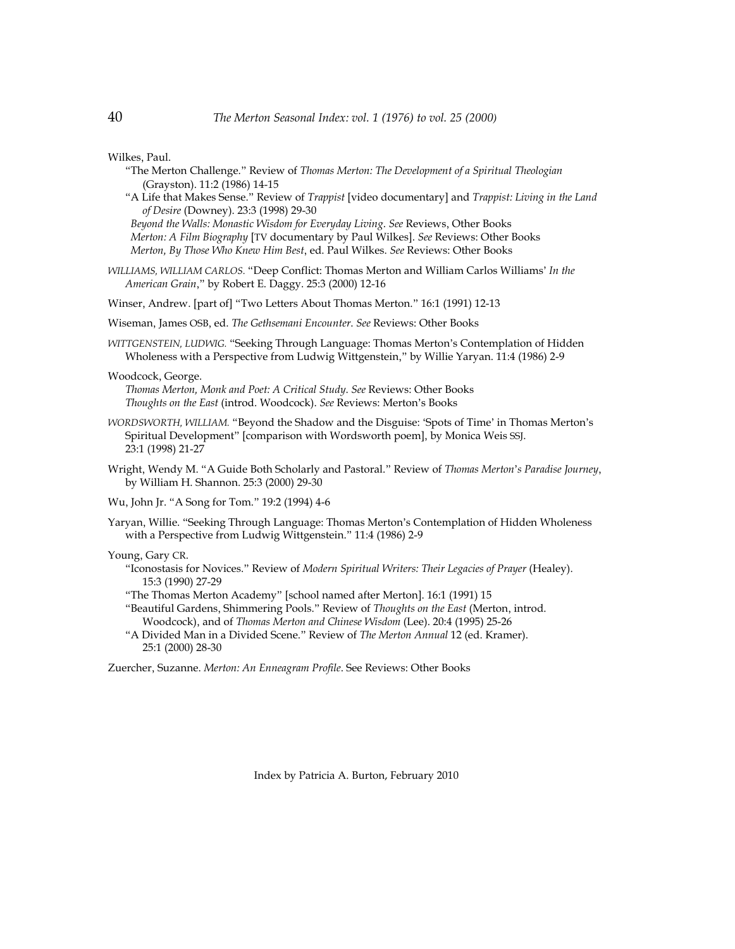Wilkes, Paul.

- "The Merton Challenge." Review of *Thomas Merton: The Development of a Spiritual Theologian* (Grayston). 11:2 (1986) 14-15
- "A Life that Makes Sense." Review of *Trappist* [video documentary] and *Trappist: Living in the Land of Desire* (Downey). 23:3 (1998) 29-30  *Beyond the Walls: Monastic Wisdom for Everyday Living*. *See* Reviews, Other Books

 *Merton: A Film Biography* [TV documentary by Paul Wilkes]. *See* Reviews: Other Books  *Merton, By Those Who Knew Him Best*, ed. Paul Wilkes. *See* Reviews: Other Books

*WILLIAMS, WILLIAM CARLOS*. "Deep Conflict: Thomas Merton and William Carlos Williams' *In the American Grain*," by Robert E. Daggy. 25:3 (2000) 12-16

Winser, Andrew. [part of] "Two Letters About Thomas Merton." 16:1 (1991) 12-13

- Wiseman, James OSB, ed. *The Gethsemani Encounter*. *See* Reviews: Other Books
- *WITTGENSTEIN, LUDWIG.* "Seeking Through Language: Thomas Merton's Contemplation of Hidden Wholeness with a Perspective from Ludwig Wittgenstein," by Willie Yaryan. 11:4 (1986) 2-9

Woodcock, George.

*Thomas Merton, Monk and Poet: A Critical Study*. *See* Reviews: Other Books *Thoughts on the East* (introd. Woodcock). *See* Reviews: Merton's Books

- *WORDSWORTH, WILLIAM.* "Beyond the Shadow and the Disguise: 'Spots of Time' in Thomas Merton's Spiritual Development" [comparison with Wordsworth poem], by Monica Weis SSJ. 23:1 (1998) 21-27
- Wright, Wendy M. "A Guide Both Scholarly and Pastoral." Review of *Thomas Merton*'*s Paradise Journey*, by William H. Shannon. 25:3 (2000) 29-30

Wu, John Jr. "A Song for Tom." 19:2 (1994) 4-6

Yaryan, Willie. "Seeking Through Language: Thomas Merton's Contemplation of Hidden Wholeness with a Perspective from Ludwig Wittgenstein." 11:4 (1986) 2-9

Young, Gary CR.

- "Iconostasis for Novices." Review of *Modern Spiritual Writers: Their Legacies of Prayer* (Healey). 15:3 (1990) 27-29
- "The Thomas Merton Academy" [school named after Merton]. 16:1 (1991) 15
- "Beautiful Gardens, Shimmering Pools." Review of *Thoughts on the East* (Merton, introd. Woodcock), and of *Thomas Merton and Chinese Wisdom* (Lee). 20:4 (1995) 25-26
- "A Divided Man in a Divided Scene." Review of *The Merton Annual* 12 (ed. Kramer). 25:1 (2000) 28-30

Zuercher, Suzanne. *Merton: An Enneagram Profile*. See Reviews: Other Books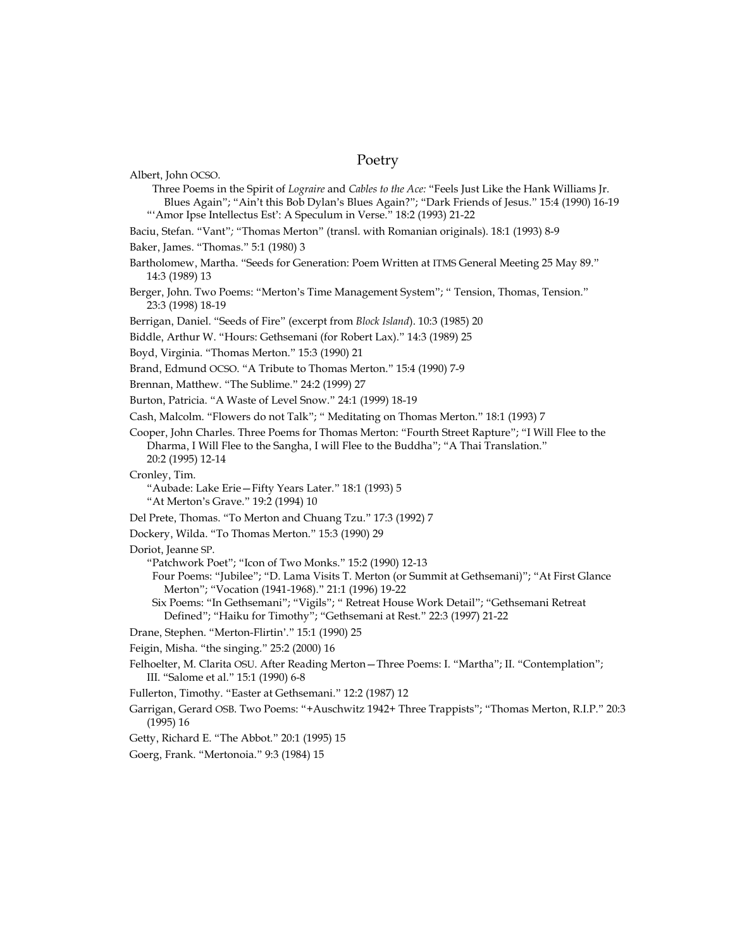# Poetry

| Albert, John OCSO.                                                                                                                                                                                                                                                                                                                                                                                         |
|------------------------------------------------------------------------------------------------------------------------------------------------------------------------------------------------------------------------------------------------------------------------------------------------------------------------------------------------------------------------------------------------------------|
| Three Poems in the Spirit of Lograire and Cables to the Ace: "Feels Just Like the Hank Williams Jr.<br>Blues Again"; "Ain't this Bob Dylan's Blues Again?"; "Dark Friends of Jesus." 15:4 (1990) 16-19                                                                                                                                                                                                     |
| "'Amor Ipse Intellectus Est': A Speculum in Verse." 18:2 (1993) 21-22                                                                                                                                                                                                                                                                                                                                      |
| Baciu, Stefan. "Vant"; "Thomas Merton" (transl. with Romanian originals). 18:1 (1993) 8-9                                                                                                                                                                                                                                                                                                                  |
| Baker, James. "Thomas." 5:1 (1980) 3                                                                                                                                                                                                                                                                                                                                                                       |
| Bartholomew, Martha. "Seeds for Generation: Poem Written at ITMS General Meeting 25 May 89."<br>14:3 (1989) 13                                                                                                                                                                                                                                                                                             |
| Berger, John. Two Poems: "Merton's Time Management System"; "Tension, Thomas, Tension."<br>23:3 (1998) 18-19                                                                                                                                                                                                                                                                                               |
| Berrigan, Daniel. "Seeds of Fire" (excerpt from Block Island). 10:3 (1985) 20                                                                                                                                                                                                                                                                                                                              |
| Biddle, Arthur W. "Hours: Gethsemani (for Robert Lax)." 14:3 (1989) 25                                                                                                                                                                                                                                                                                                                                     |
| Boyd, Virginia. "Thomas Merton." 15:3 (1990) 21                                                                                                                                                                                                                                                                                                                                                            |
| Brand, Edmund OCSO. "A Tribute to Thomas Merton." 15:4 (1990) 7-9                                                                                                                                                                                                                                                                                                                                          |
| Brennan, Matthew. "The Sublime." 24:2 (1999) 27                                                                                                                                                                                                                                                                                                                                                            |
| Burton, Patricia. "A Waste of Level Snow." 24:1 (1999) 18-19                                                                                                                                                                                                                                                                                                                                               |
| Cash, Malcolm. "Flowers do not Talk"; " Meditating on Thomas Merton." 18:1 (1993) 7                                                                                                                                                                                                                                                                                                                        |
| Cooper, John Charles. Three Poems for Thomas Merton: "Fourth Street Rapture"; "I Will Flee to the<br>Dharma, I Will Flee to the Sangha, I will Flee to the Buddha"; "A Thai Translation."<br>20:2 (1995) 12-14                                                                                                                                                                                             |
| Cronley, Tim.<br>"Aubade: Lake Erie-Fifty Years Later." 18:1 (1993) 5<br>"At Merton's Grave." 19:2 (1994) 10                                                                                                                                                                                                                                                                                               |
| Del Prete, Thomas. "To Merton and Chuang Tzu." 17:3 (1992) 7                                                                                                                                                                                                                                                                                                                                               |
| Dockery, Wilda. "To Thomas Merton." 15:3 (1990) 29                                                                                                                                                                                                                                                                                                                                                         |
| Doriot, Jeanne SP.<br>"Patchwork Poet"; "Icon of Two Monks." 15:2 (1990) 12-13<br>Four Poems: "Jubilee"; "D. Lama Visits T. Merton (or Summit at Gethsemani)"; "At First Glance<br>Merton"; "Vocation (1941-1968)." 21:1 (1996) 19-22<br>Six Poems: "In Gethsemani"; "Vigils"; " Retreat House Work Detail"; "Gethsemani Retreat<br>Defined"; "Haiku for Timothy"; "Gethsemani at Rest." 22:3 (1997) 21-22 |
| Drane, Stephen. "Merton-Flirtin'." 15:1 (1990) 25                                                                                                                                                                                                                                                                                                                                                          |
| Feigin, Misha. "the singing." 25:2 (2000) 16                                                                                                                                                                                                                                                                                                                                                               |
| Felhoelter, M. Clarita OSU. After Reading Merton - Three Poems: I. "Martha"; II. "Contemplation";<br>III. "Salome et al." 15:1 (1990) 6-8                                                                                                                                                                                                                                                                  |
| Fullerton, Timothy. "Easter at Gethsemani." 12:2 (1987) 12                                                                                                                                                                                                                                                                                                                                                 |
| Garrigan, Gerard OSB. Two Poems: "+Auschwitz 1942+ Three Trappists"; "Thomas Merton, R.I.P." 20:3<br>(1995)16                                                                                                                                                                                                                                                                                              |
| Getty, Richard E. "The Abbot." 20:1 (1995) 15                                                                                                                                                                                                                                                                                                                                                              |
|                                                                                                                                                                                                                                                                                                                                                                                                            |

Goerg, Frank. "Mertonoia." 9:3 (1984) 15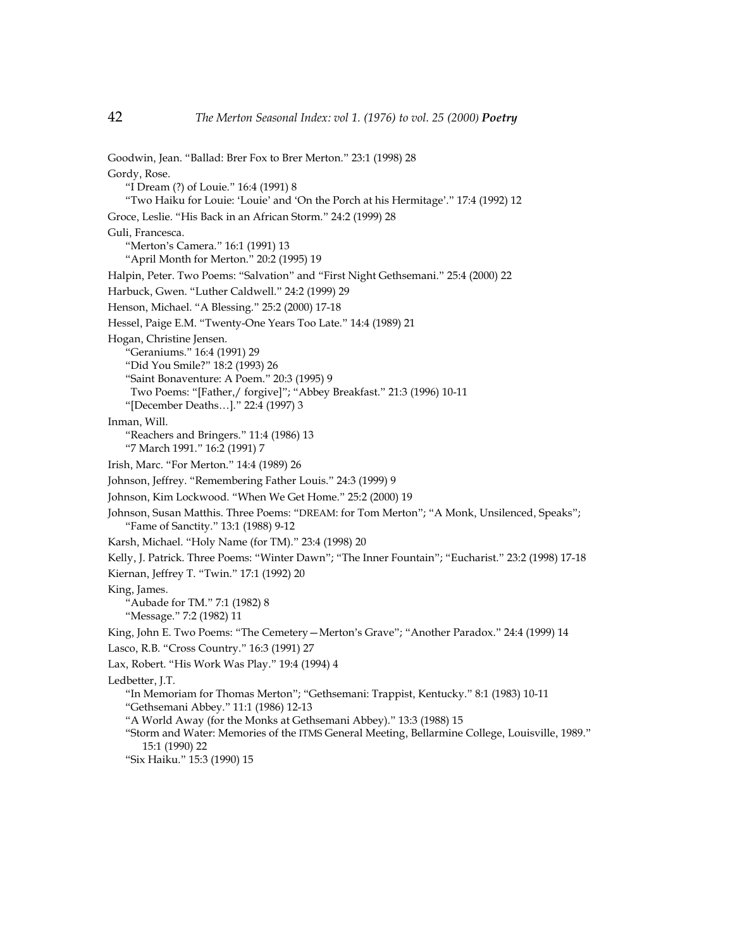Goodwin, Jean. "Ballad: Brer Fox to Brer Merton." 23:1 (1998) 28 Gordy, Rose. "I Dream (?) of Louie." 16:4 (1991) 8 "Two Haiku for Louie: 'Louie' and 'On the Porch at his Hermitage'." 17:4 (1992) 12 Groce, Leslie. "His Back in an African Storm." 24:2 (1999) 28 Guli, Francesca. "Merton's Camera." 16:1 (1991) 13 "April Month for Merton." 20:2 (1995) 19 Halpin, Peter. Two Poems: "Salvation" and "First Night Gethsemani." 25:4 (2000) 22 Harbuck, Gwen. "Luther Caldwell." 24:2 (1999) 29 Henson, Michael. "A Blessing." 25:2 (2000) 17-18 Hessel, Paige E.M. "Twenty-One Years Too Late." 14:4 (1989) 21 Hogan, Christine Jensen. "Geraniums." 16:4 (1991) 29 "Did You Smile?" 18:2 (1993) 26 "Saint Bonaventure: A Poem." 20:3 (1995) 9 Two Poems: "[Father,/ forgive]"; "Abbey Breakfast." 21:3 (1996) 10-11 "[December Deaths…]." 22:4 (1997) 3 Inman, Will. "Reachers and Bringers." 11:4 (1986) 13 "7 March 1991." 16:2 (1991) 7 Irish, Marc. "For Merton." 14:4 (1989) 26 Johnson, Jeffrey. "Remembering Father Louis." 24:3 (1999) 9 Johnson, Kim Lockwood. "When We Get Home." 25:2 (2000) 19 Johnson, Susan Matthis. Three Poems: "DREAM: for Tom Merton"; "A Monk, Unsilenced, Speaks"; "Fame of Sanctity." 13:1 (1988) 9-12 Karsh, Michael. "Holy Name (for TM)." 23:4 (1998) 20 Kelly, J. Patrick. Three Poems: "Winter Dawn"; "The Inner Fountain"; "Eucharist." 23:2 (1998) 17-18 Kiernan, Jeffrey T. "Twin." 17:1 (1992) 20 King, James. "Aubade for TM." 7:1 (1982) 8 "Message." 7:2 (1982) 11 King, John E. Two Poems: "The Cemetery—Merton's Grave"; "Another Paradox." 24:4 (1999) 14 Lasco, R.B. "Cross Country." 16:3 (1991) 27 Lax, Robert. "His Work Was Play." 19:4 (1994) 4 Ledbetter, J.T. "In Memoriam for Thomas Merton"; "Gethsemani: Trappist, Kentucky." 8:1 (1983) 10-11 "Gethsemani Abbey." 11:1 (1986) 12-13 "A World Away (for the Monks at Gethsemani Abbey)." 13:3 (1988) 15 "Storm and Water: Memories of the ITMS General Meeting, Bellarmine College, Louisville, 1989." 15:1 (1990) 22 "Six Haiku." 15:3 (1990) 15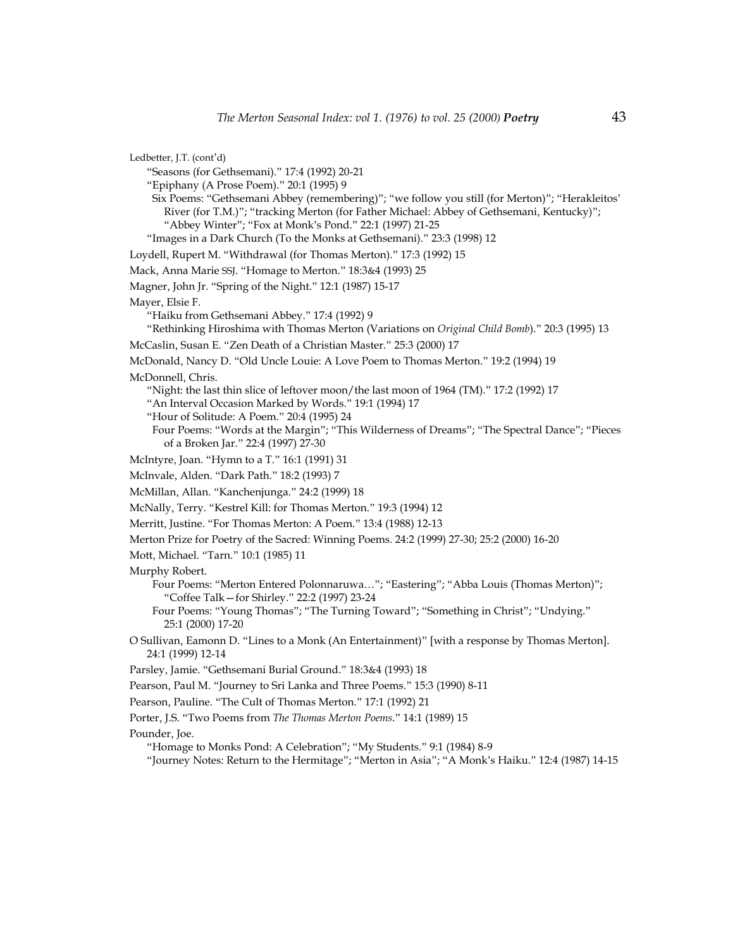Ledbetter, J.T. (cont'd) "Seasons (for Gethsemani)." 17:4 (1992) 20-21 "Epiphany (A Prose Poem)." 20:1 (1995) 9 Six Poems: "Gethsemani Abbey (remembering)"; "we follow you still (for Merton)"; "Herakleitos' River (for T.M.)"; "tracking Merton (for Father Michael: Abbey of Gethsemani, Kentucky)"; "Abbey Winter"; "Fox at Monk's Pond." 22:1 (1997) 21-25 "Images in a Dark Church (To the Monks at Gethsemani)." 23:3 (1998) 12 Loydell, Rupert M. "Withdrawal (for Thomas Merton)." 17:3 (1992) 15 Mack, Anna Marie SSJ. "Homage to Merton." 18:3&4 (1993) 25 Magner, John Jr. "Spring of the Night." 12:1 (1987) 15-17 Mayer, Elsie F. "Haiku from Gethsemani Abbey." 17:4 (1992) 9 "Rethinking Hiroshima with Thomas Merton (Variations on *Original Child Bomb*)." 20:3 (1995) 13 McCaslin, Susan E. "Zen Death of a Christian Master." 25:3 (2000) 17 McDonald, Nancy D. "Old Uncle Louie: A Love Poem to Thomas Merton." 19:2 (1994) 19 McDonnell, Chris. "Night: the last thin slice of leftover moon/the last moon of 1964 (TM)." 17:2 (1992) 17 "An Interval Occasion Marked by Words." 19:1 (1994) 17 "Hour of Solitude: A Poem." 20:4 (1995) 24 Four Poems: "Words at the Margin"; "This Wilderness of Dreams"; "The Spectral Dance"; "Pieces of a Broken Jar." 22:4 (1997) 27-30 McIntyre, Joan. "Hymn to a T." 16:1 (1991) 31 McInvale, Alden. "Dark Path." 18:2 (1993) 7 McMillan, Allan. "Kanchenjunga." 24:2 (1999) 18 McNally, Terry. "Kestrel Kill: for Thomas Merton." 19:3 (1994) 12 Merritt, Justine. "For Thomas Merton: A Poem." 13:4 (1988) 12-13 Merton Prize for Poetry of the Sacred: Winning Poems. 24:2 (1999) 27-30; 25:2 (2000) 16-20 Mott, Michael. "Tarn." 10:1 (1985) 11 Murphy Robert. Four Poems: "Merton Entered Polonnaruwa…"; "Eastering"; "Abba Louis (Thomas Merton)"; "Coffee Talk—for Shirley." 22:2 (1997) 23-24 Four Poems: "Young Thomas"; "The Turning Toward"; "Something in Christ"; "Undying." 25:1 (2000) 17-20 O Sullivan, Eamonn D. "Lines to a Monk (An Entertainment)" [with a response by Thomas Merton]. 24:1 (1999) 12-14 Parsley, Jamie. "Gethsemani Burial Ground." 18:3&4 (1993) 18 Pearson, Paul M. "Journey to Sri Lanka and Three Poems." 15:3 (1990) 8-11 Pearson, Pauline. "The Cult of Thomas Merton." 17:1 (1992) 21 Porter, J.S. "Two Poems from *The Thomas Merton Poems*." 14:1 (1989) 15 Pounder, Joe. "Homage to Monks Pond: A Celebration"; "My Students." 9:1 (1984) 8-9 "Journey Notes: Return to the Hermitage"; "Merton in Asia"; "A Monk's Haiku." 12:4 (1987) 14-15